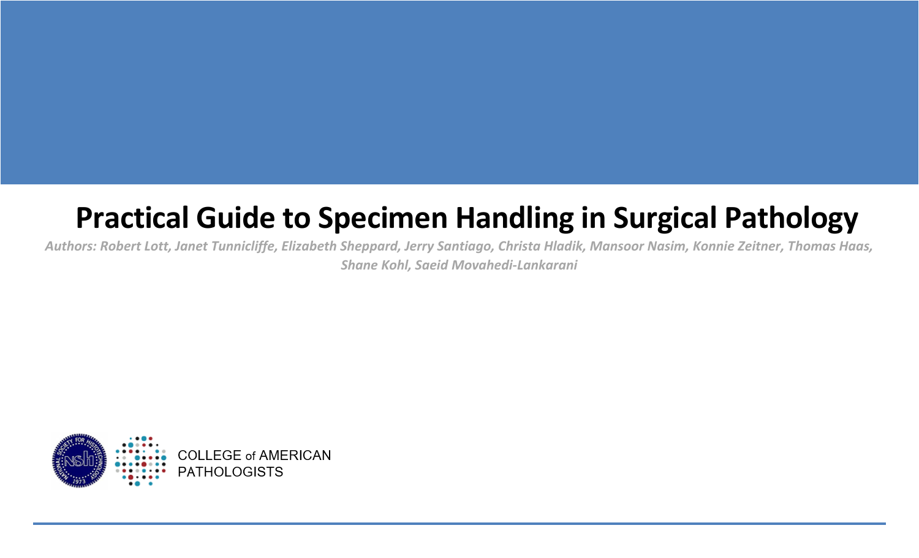# **Practical Guide to Specimen Handling in Surgical Pathology**

*Authors: Robert Lott, Janet Tunnicliffe, Elizabeth Sheppard, Jerry Santiago, Christa Hladik, Mansoor Nasim, Konnie Zeitner, Thomas Haas, Shane Kohl, Saeid Movahedi-Lankarani*

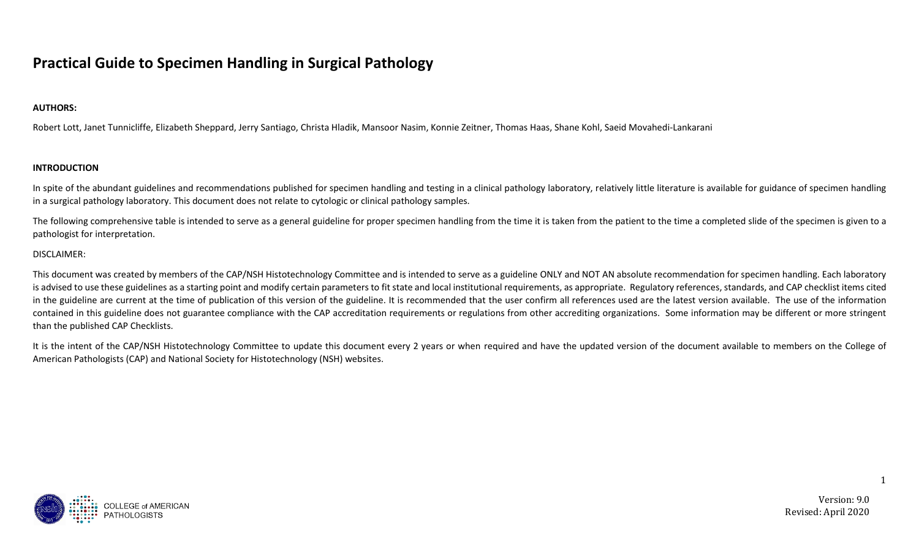## **Practical Guide to Specimen Handling in Surgical Pathology**

#### **AUTHORS:**

Robert Lott, Janet Tunnicliffe, Elizabeth Sheppard, Jerry Santiago, Christa Hladik, Mansoor Nasim, Konnie Zeitner, Thomas Haas, Shane Kohl, Saeid Movahedi-Lankarani

#### **INTRODUCTION**

In spite of the abundant guidelines and recommendations published for specimen handling and testing in a clinical pathology laboratory, relatively little literature is available for guidance of specimen handling in a surgical pathology laboratory. This document does not relate to cytologic or clinical pathology samples.

The following comprehensive table is intended to serve as a general guideline for proper specimen handling from the time it is taken from the patient to the time a completed slide of the specimen is given to a pathologist for interpretation.

#### DISCLAIMER:

This document was created by members of the CAP/NSH Histotechnology Committee and is intended to serve as a guideline ONLY and NOT AN absolute recommendation for specimen handling. Each laboratory is advised to use these guidelines as a starting point and modify certain parameters to fit state and local institutional requirements, as appropriate. Regulatory references, standards, and CAP checklist items cited in the guideline are current at the time of publication of this version of the guideline. It is recommended that the user confirm all references used are the latest version available. The use of the information contained in this guideline does not guarantee compliance with the CAP accreditation requirements or regulations from other accrediting organizations. Some information may be different or more stringent than the published CAP Checklists.

It is the intent of the CAP/NSH Histotechnology Committee to update this document every 2 years or when required and have the updated version of the document available to members on the College of American Pathologists (CAP) and National Society for Histotechnology (NSH) websites.



Version: 9.0 Revised: April 2020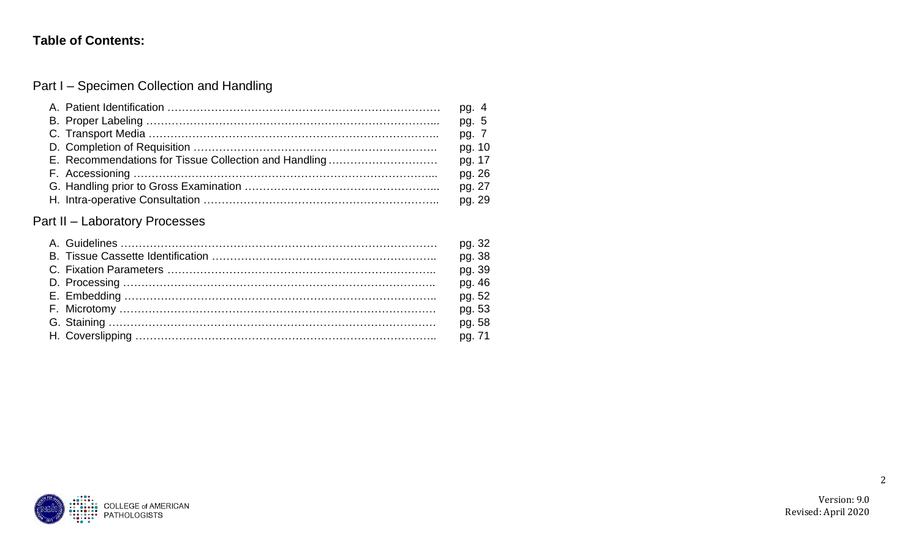### **Table of Contents:**

Part I – Specimen Collection and Handling

|                                                       | pg. 4  |
|-------------------------------------------------------|--------|
|                                                       | pg. 5  |
|                                                       | pg. 7  |
|                                                       | pg. 10 |
| E. Recommendations for Tissue Collection and Handling | pg. 17 |
|                                                       | pg. 26 |
|                                                       | pg. 27 |
|                                                       | pg. 29 |

## Part II – Laboratory Processes

|  | pg. 32 |
|--|--------|
|  | pg. 38 |
|  | pg. 39 |
|  | pg. 46 |
|  | pg. 52 |
|  | pg. 53 |
|  | pg. 58 |
|  |        |



Version: 9.0 Revised: April 2020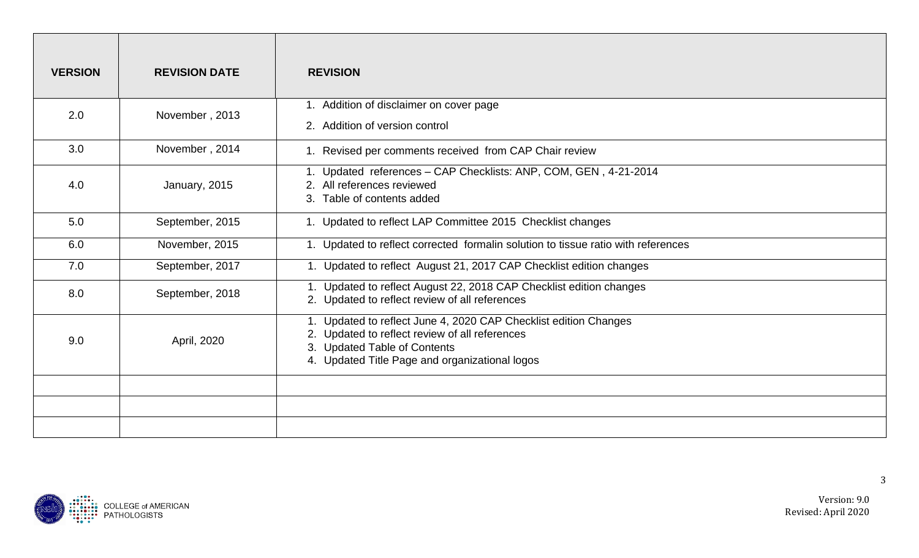| <b>VERSION</b> | <b>REVISION DATE</b> | <b>REVISION</b>                                                                                                                                                                                      |
|----------------|----------------------|------------------------------------------------------------------------------------------------------------------------------------------------------------------------------------------------------|
| 2.0            | November, 2013       | 1. Addition of disclaimer on cover page<br>2. Addition of version control                                                                                                                            |
| 3.0            | November, 2014       | 1. Revised per comments received from CAP Chair review                                                                                                                                               |
| 4.0            | January, 2015        | 1. Updated references - CAP Checklists: ANP, COM, GEN, 4-21-2014<br>2. All references reviewed<br>3. Table of contents added                                                                         |
| 5.0            | September, 2015      | 1. Updated to reflect LAP Committee 2015 Checklist changes                                                                                                                                           |
| 6.0            | November, 2015       | 1. Updated to reflect corrected formalin solution to tissue ratio with references                                                                                                                    |
| 7.0            | September, 2017      | 1. Updated to reflect August 21, 2017 CAP Checklist edition changes                                                                                                                                  |
| 8.0            | September, 2018      | 1. Updated to reflect August 22, 2018 CAP Checklist edition changes<br>2. Updated to reflect review of all references                                                                                |
| 9.0            | April, 2020          | 1. Updated to reflect June 4, 2020 CAP Checklist edition Changes<br>2. Updated to reflect review of all references<br>3. Updated Table of Contents<br>4. Updated Title Page and organizational logos |
|                |                      |                                                                                                                                                                                                      |
|                |                      |                                                                                                                                                                                                      |
|                |                      |                                                                                                                                                                                                      |

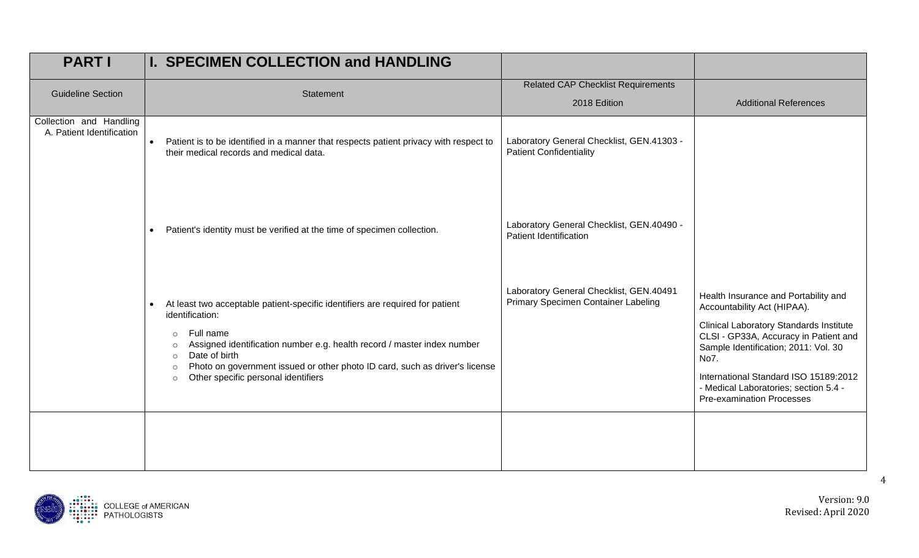| <b>PART I</b>                                        | <b>I. SPECIMEN COLLECTION and HANDLING</b>                                                                                                                                                                                                                                                                                                                                             |                                                                                |                                                                                                                                                                                                                                                                                                                                      |
|------------------------------------------------------|----------------------------------------------------------------------------------------------------------------------------------------------------------------------------------------------------------------------------------------------------------------------------------------------------------------------------------------------------------------------------------------|--------------------------------------------------------------------------------|--------------------------------------------------------------------------------------------------------------------------------------------------------------------------------------------------------------------------------------------------------------------------------------------------------------------------------------|
| <b>Guideline Section</b>                             | Statement                                                                                                                                                                                                                                                                                                                                                                              | <b>Related CAP Checklist Requirements</b><br>2018 Edition                      | <b>Additional References</b>                                                                                                                                                                                                                                                                                                         |
| Collection and Handling<br>A. Patient Identification | • Patient is to be identified in a manner that respects patient privacy with respect to<br>their medical records and medical data.                                                                                                                                                                                                                                                     | Laboratory General Checklist, GEN.41303 -<br><b>Patient Confidentiality</b>    |                                                                                                                                                                                                                                                                                                                                      |
|                                                      | Patient's identity must be verified at the time of specimen collection.<br>$\bullet$                                                                                                                                                                                                                                                                                                   | Laboratory General Checklist, GEN.40490 -<br>Patient Identification            |                                                                                                                                                                                                                                                                                                                                      |
|                                                      | At least two acceptable patient-specific identifiers are required for patient<br>identification:<br>Full name<br>$\circ$<br>Assigned identification number e.g. health record / master index number<br>$\circ$<br>Date of birth<br>$\circ$<br>Photo on government issued or other photo ID card, such as driver's license<br>$\circ$<br>Other specific personal identifiers<br>$\circ$ | Laboratory General Checklist, GEN.40491<br>Primary Specimen Container Labeling | Health Insurance and Portability and<br>Accountability Act (HIPAA).<br><b>Clinical Laboratory Standards Institute</b><br>CLSI - GP33A, Accuracy in Patient and<br>Sample Identification; 2011: Vol. 30<br>No7.<br>International Standard ISO 15189:2012<br>- Medical Laboratories; section 5.4 -<br><b>Pre-examination Processes</b> |

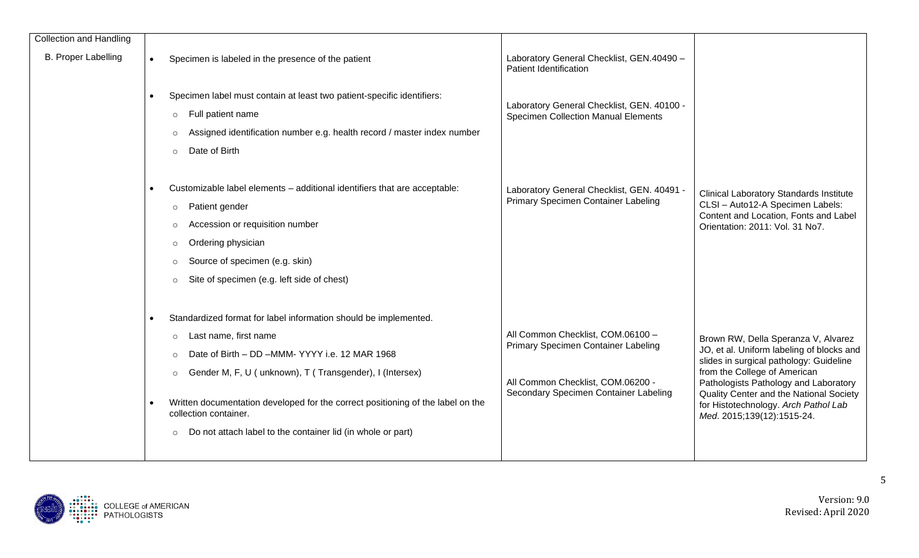| <b>Collection and Handling</b> |           |                                                                                                                                                                                                                                                                                                                                                                                               |                                                                                                                                                        |                                                                                                                                                                                                                                                                                                                       |
|--------------------------------|-----------|-----------------------------------------------------------------------------------------------------------------------------------------------------------------------------------------------------------------------------------------------------------------------------------------------------------------------------------------------------------------------------------------------|--------------------------------------------------------------------------------------------------------------------------------------------------------|-----------------------------------------------------------------------------------------------------------------------------------------------------------------------------------------------------------------------------------------------------------------------------------------------------------------------|
| <b>B. Proper Labelling</b>     | $\bullet$ | Specimen is labeled in the presence of the patient                                                                                                                                                                                                                                                                                                                                            | Laboratory General Checklist, GEN.40490 -<br>Patient Identification                                                                                    |                                                                                                                                                                                                                                                                                                                       |
|                                |           | Specimen label must contain at least two patient-specific identifiers:<br>Full patient name<br>$\circ$<br>Assigned identification number e.g. health record / master index number<br>Date of Birth<br>$\circ$                                                                                                                                                                                 | Laboratory General Checklist, GEN. 40100 -<br><b>Specimen Collection Manual Elements</b>                                                               |                                                                                                                                                                                                                                                                                                                       |
|                                |           | Customizable label elements - additional identifiers that are acceptable:<br>Patient gender<br>$\circ$<br>Accession or requisition number<br>Ordering physician<br>$\circ$<br>Source of specimen (e.g. skin)<br>$\circ$<br>Site of specimen (e.g. left side of chest)                                                                                                                         | Laboratory General Checklist, GEN. 40491 -<br>Primary Specimen Container Labeling                                                                      | <b>Clinical Laboratory Standards Institute</b><br>CLSI - Auto12-A Specimen Labels:<br>Content and Location, Fonts and Label<br>Orientation: 2011: Vol. 31 No7.                                                                                                                                                        |
|                                |           | Standardized format for label information should be implemented.<br>Last name, first name<br>$\circ$<br>Date of Birth - DD -MMM-YYYY i.e. 12 MAR 1968<br>Gender M, F, U ( unknown), T ( Transgender), I (Intersex)<br>Written documentation developed for the correct positioning of the label on the<br>collection container.<br>Do not attach label to the container lid (in whole or part) | All Common Checklist, COM.06100 -<br>Primary Specimen Container Labeling<br>All Common Checklist, COM.06200 -<br>Secondary Specimen Container Labeling | Brown RW, Della Speranza V, Alvarez<br>JO, et al. Uniform labeling of blocks and<br>slides in surgical pathology: Guideline<br>from the College of American<br>Pathologists Pathology and Laboratory<br>Quality Center and the National Society<br>for Histotechnology. Arch Pathol Lab<br>Med. 2015;139(12):1515-24. |

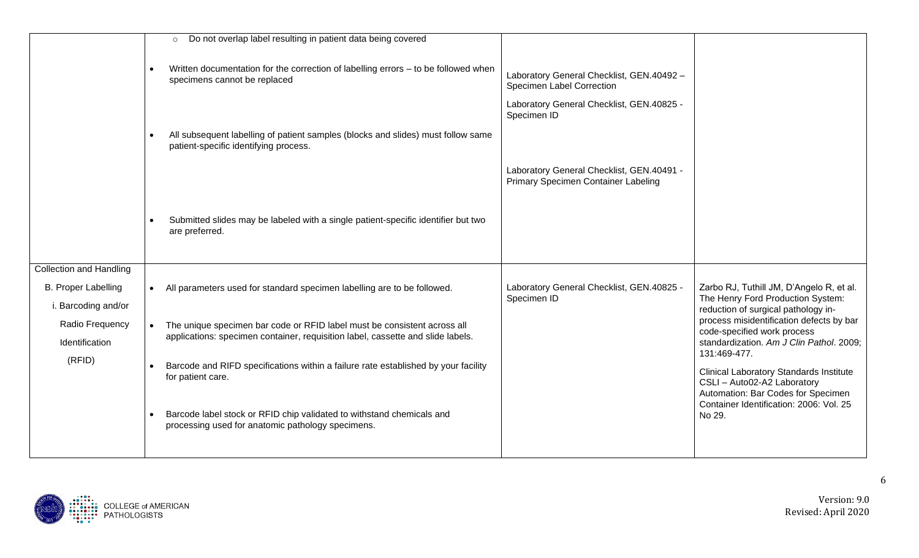|                                | Do not overlap label resulting in patient data being covered<br>$\circ$                                                                |                                                                                                                                    |                                                                                                                                     |
|--------------------------------|----------------------------------------------------------------------------------------------------------------------------------------|------------------------------------------------------------------------------------------------------------------------------------|-------------------------------------------------------------------------------------------------------------------------------------|
|                                | Written documentation for the correction of labelling errors - to be followed when<br>$\bullet$<br>specimens cannot be replaced        | Laboratory General Checklist, GEN.40492 -<br>Specimen Label Correction<br>Laboratory General Checklist, GEN.40825 -<br>Specimen ID |                                                                                                                                     |
|                                | All subsequent labelling of patient samples (blocks and slides) must follow same<br>$\bullet$<br>patient-specific identifying process. |                                                                                                                                    |                                                                                                                                     |
|                                |                                                                                                                                        | Laboratory General Checklist, GEN.40491 -<br>Primary Specimen Container Labeling                                                   |                                                                                                                                     |
|                                | Submitted slides may be labeled with a single patient-specific identifier but two<br>$\bullet$<br>are preferred.                       |                                                                                                                                    |                                                                                                                                     |
| <b>Collection and Handling</b> |                                                                                                                                        |                                                                                                                                    |                                                                                                                                     |
| <b>B. Proper Labelling</b>     | All parameters used for standard specimen labelling are to be followed.<br>$\bullet$                                                   | Laboratory General Checklist, GEN.40825 -                                                                                          | Zarbo RJ, Tuthill JM, D'Angelo R, et al.                                                                                            |
| i. Barcoding and/or            |                                                                                                                                        | Specimen ID                                                                                                                        | The Henry Ford Production System:<br>reduction of surgical pathology in-                                                            |
| Radio Frequency                | The unique specimen bar code or RFID label must be consistent across all<br>$\bullet$                                                  |                                                                                                                                    | process misidentification defects by bar<br>code-specified work process                                                             |
| Identification                 | applications: specimen container, requisition label, cassette and slide labels.                                                        |                                                                                                                                    | standardization. Am J Clin Pathol. 2009;                                                                                            |
| (RFID)                         | Barcode and RIFD specifications within a failure rate established by your facility<br>for patient care.                                |                                                                                                                                    | 131:469-477.<br><b>Clinical Laboratory Standards Institute</b><br>CSLI - Auto02-A2 Laboratory<br>Automation: Bar Codes for Specimen |
|                                | Barcode label stock or RFID chip validated to withstand chemicals and<br>processing used for anatomic pathology specimens.             |                                                                                                                                    | Container Identification: 2006: Vol. 25<br>No 29.                                                                                   |

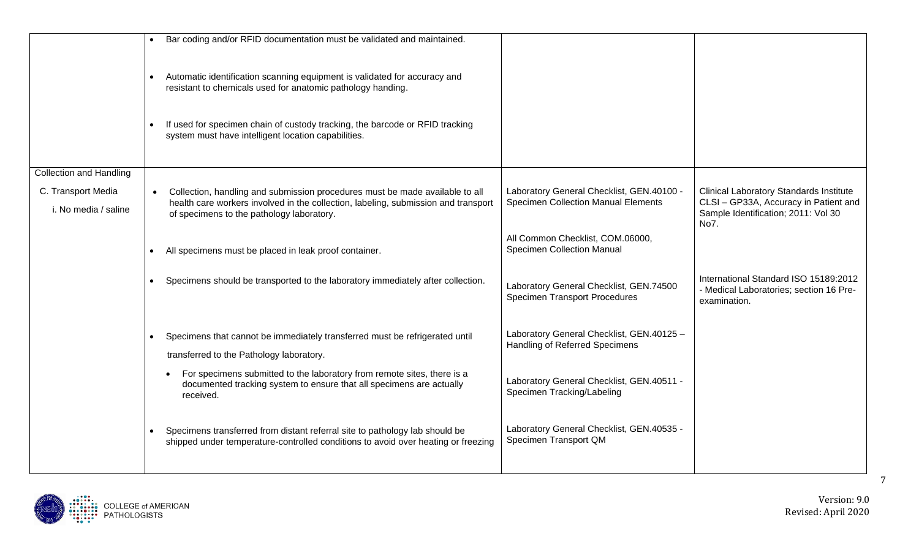|                                | Bar coding and/or RFID documentation must be validated and maintained.                                                                                           |                                                                                 |                                                                                                  |
|--------------------------------|------------------------------------------------------------------------------------------------------------------------------------------------------------------|---------------------------------------------------------------------------------|--------------------------------------------------------------------------------------------------|
|                                | Automatic identification scanning equipment is validated for accuracy and<br>resistant to chemicals used for anatomic pathology handing.                         |                                                                                 |                                                                                                  |
|                                | If used for specimen chain of custody tracking, the barcode or RFID tracking<br>system must have intelligent location capabilities.                              |                                                                                 |                                                                                                  |
| <b>Collection and Handling</b> |                                                                                                                                                                  |                                                                                 |                                                                                                  |
| C. Transport Media             | Collection, handling and submission procedures must be made available to all                                                                                     | Laboratory General Checklist, GEN.40100 -                                       | <b>Clinical Laboratory Standards Institute</b>                                                   |
| i. No media / saline           | health care workers involved in the collection, labeling, submission and transport<br>of specimens to the pathology laboratory.                                  | <b>Specimen Collection Manual Elements</b>                                      | CLSI - GP33A, Accuracy in Patient and<br>Sample Identification; 2011: Vol 30<br>No7.             |
|                                | All specimens must be placed in leak proof container.                                                                                                            | All Common Checklist, COM.06000,<br><b>Specimen Collection Manual</b>           |                                                                                                  |
|                                | Specimens should be transported to the laboratory immediately after collection.                                                                                  | Laboratory General Checklist, GEN.74500<br><b>Specimen Transport Procedures</b> | International Standard ISO 15189:2012<br>- Medical Laboratories; section 16 Pre-<br>examination. |
|                                | Specimens that cannot be immediately transferred must be refrigerated until                                                                                      | Laboratory General Checklist, GEN.40125 -                                       |                                                                                                  |
|                                | transferred to the Pathology laboratory.                                                                                                                         | Handling of Referred Specimens                                                  |                                                                                                  |
|                                | For specimens submitted to the laboratory from remote sites, there is a<br>documented tracking system to ensure that all specimens are actually<br>received.     | Laboratory General Checklist, GEN.40511 -<br>Specimen Tracking/Labeling         |                                                                                                  |
|                                | Specimens transferred from distant referral site to pathology lab should be<br>shipped under temperature-controlled conditions to avoid over heating or freezing | Laboratory General Checklist, GEN.40535 -<br>Specimen Transport QM              |                                                                                                  |

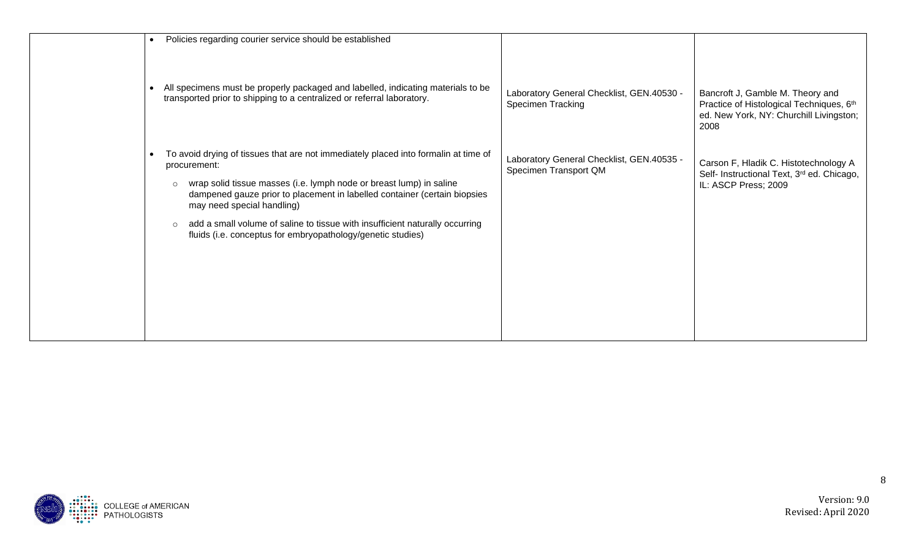| Policies regarding courier service should be established<br>$\bullet$                                                                                                                                                                                                                                                                                                                                                                                      |                                                                    |                                                                                                                                 |
|------------------------------------------------------------------------------------------------------------------------------------------------------------------------------------------------------------------------------------------------------------------------------------------------------------------------------------------------------------------------------------------------------------------------------------------------------------|--------------------------------------------------------------------|---------------------------------------------------------------------------------------------------------------------------------|
| All specimens must be properly packaged and labelled, indicating materials to be<br>transported prior to shipping to a centralized or referral laboratory.                                                                                                                                                                                                                                                                                                 | Laboratory General Checklist, GEN.40530 -<br>Specimen Tracking     | Bancroft J, Gamble M. Theory and<br>Practice of Histological Techniques, 6th<br>ed. New York, NY: Churchill Livingston;<br>2008 |
| To avoid drying of tissues that are not immediately placed into formalin at time of<br>procurement:<br>wrap solid tissue masses (i.e. lymph node or breast lump) in saline<br>$\circ$<br>dampened gauze prior to placement in labelled container (certain biopsies<br>may need special handling)<br>add a small volume of saline to tissue with insufficient naturally occurring<br>$\circ$<br>fluids (i.e. conceptus for embryopathology/genetic studies) | Laboratory General Checklist, GEN.40535 -<br>Specimen Transport QM | Carson F, Hladik C. Histotechnology A<br>Self- Instructional Text, 3rd ed. Chicago,<br>IL: ASCP Press; 2009                     |

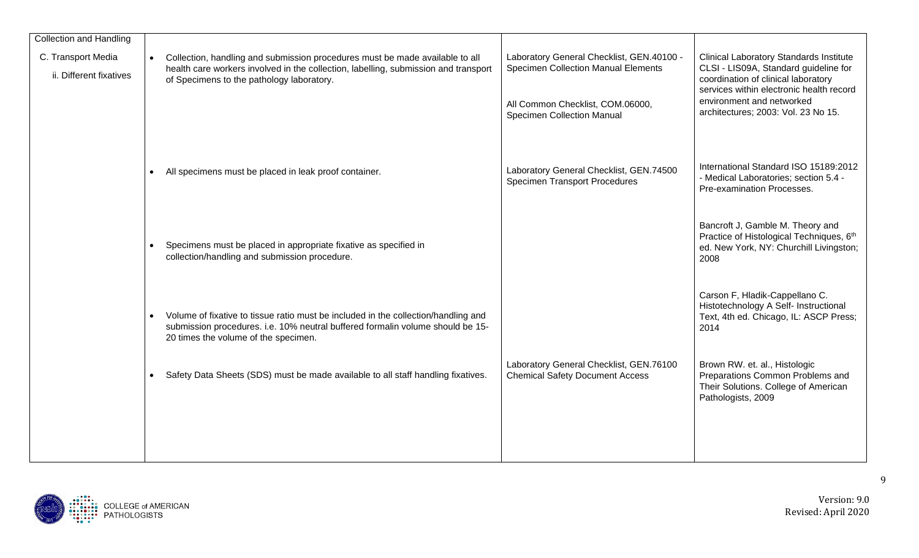| <b>Collection and Handling</b>                |           |                                                                                                                                                                                                                  |                                                                                         |                                                                                                                                                                            |
|-----------------------------------------------|-----------|------------------------------------------------------------------------------------------------------------------------------------------------------------------------------------------------------------------|-----------------------------------------------------------------------------------------|----------------------------------------------------------------------------------------------------------------------------------------------------------------------------|
| C. Transport Media<br>ii. Different fixatives |           | Collection, handling and submission procedures must be made available to all<br>health care workers involved in the collection, labelling, submission and transport<br>of Specimens to the pathology laboratory. | Laboratory General Checklist, GEN.40100 -<br><b>Specimen Collection Manual Elements</b> | <b>Clinical Laboratory Standards Institute</b><br>CLSI - LIS09A, Standard guideline for<br>coordination of clinical laboratory<br>services within electronic health record |
|                                               |           |                                                                                                                                                                                                                  | All Common Checklist, COM.06000,<br><b>Specimen Collection Manual</b>                   | environment and networked<br>architectures; 2003: Vol. 23 No 15.                                                                                                           |
|                                               | $\bullet$ | All specimens must be placed in leak proof container.                                                                                                                                                            | Laboratory General Checklist, GEN.74500<br><b>Specimen Transport Procedures</b>         | International Standard ISO 15189:2012<br>- Medical Laboratories; section 5.4 -<br>Pre-examination Processes.                                                               |
|                                               |           |                                                                                                                                                                                                                  |                                                                                         |                                                                                                                                                                            |
|                                               |           | Specimens must be placed in appropriate fixative as specified in<br>collection/handling and submission procedure.                                                                                                |                                                                                         | Bancroft J, Gamble M. Theory and<br>Practice of Histological Techniques, 6th<br>ed. New York, NY: Churchill Livingston;<br>2008                                            |
|                                               |           | Volume of fixative to tissue ratio must be included in the collection/handling and<br>submission procedures. i.e. 10% neutral buffered formalin volume should be 15-<br>20 times the volume of the specimen.     |                                                                                         | Carson F, Hladik-Cappellano C.<br>Histotechnology A Self- Instructional<br>Text, 4th ed. Chicago, IL: ASCP Press;<br>2014                                                  |
|                                               |           | Safety Data Sheets (SDS) must be made available to all staff handling fixatives.                                                                                                                                 | Laboratory General Checklist, GEN.76100<br><b>Chemical Safety Document Access</b>       | Brown RW. et. al., Histologic<br>Preparations Common Problems and<br>Their Solutions. College of American<br>Pathologists, 2009                                            |
|                                               |           |                                                                                                                                                                                                                  |                                                                                         |                                                                                                                                                                            |

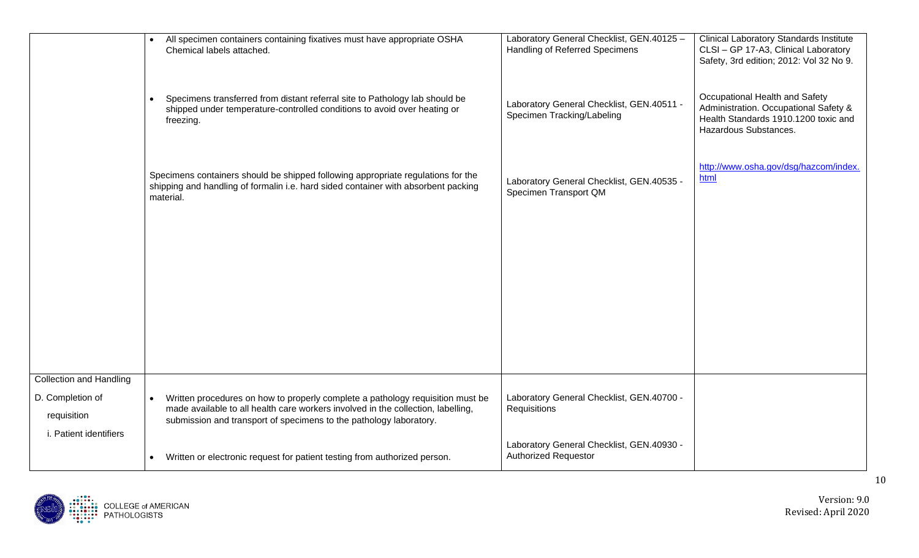|                                 | All specimen containers containing fixatives must have appropriate OSHA<br>$\bullet$<br>Chemical labels attached.                                                                                                                                     | Laboratory General Checklist, GEN.40125 -<br>Handling of Referred Specimens | <b>Clinical Laboratory Standards Institute</b><br>CLSI - GP 17-A3, Clinical Laboratory<br>Safety, 3rd edition; 2012: Vol 32 No 9.        |
|---------------------------------|-------------------------------------------------------------------------------------------------------------------------------------------------------------------------------------------------------------------------------------------------------|-----------------------------------------------------------------------------|------------------------------------------------------------------------------------------------------------------------------------------|
|                                 | Specimens transferred from distant referral site to Pathology lab should be<br>$\bullet$<br>shipped under temperature-controlled conditions to avoid over heating or<br>freezing.                                                                     | Laboratory General Checklist, GEN.40511 -<br>Specimen Tracking/Labeling     | Occupational Health and Safety<br>Administration. Occupational Safety &<br>Health Standards 1910.1200 toxic and<br>Hazardous Substances. |
|                                 | Specimens containers should be shipped following appropriate regulations for the<br>shipping and handling of formalin i.e. hard sided container with absorbent packing<br>material.                                                                   | Laboratory General Checklist, GEN.40535 -<br>Specimen Transport QM          | http://www.osha.gov/dsg/hazcom/index.<br>html                                                                                            |
|                                 |                                                                                                                                                                                                                                                       |                                                                             |                                                                                                                                          |
|                                 |                                                                                                                                                                                                                                                       |                                                                             |                                                                                                                                          |
|                                 |                                                                                                                                                                                                                                                       |                                                                             |                                                                                                                                          |
| <b>Collection and Handling</b>  |                                                                                                                                                                                                                                                       |                                                                             |                                                                                                                                          |
| D. Completion of<br>requisition | Written procedures on how to properly complete a pathology requisition must be<br>$\bullet$<br>made available to all health care workers involved in the collection, labelling,<br>submission and transport of specimens to the pathology laboratory. | Laboratory General Checklist, GEN.40700 -<br>Requisitions                   |                                                                                                                                          |
| i. Patient identifiers          | Written or electronic request for patient testing from authorized person.<br>$\bullet$                                                                                                                                                                | Laboratory General Checklist, GEN.40930 -<br><b>Authorized Requestor</b>    |                                                                                                                                          |

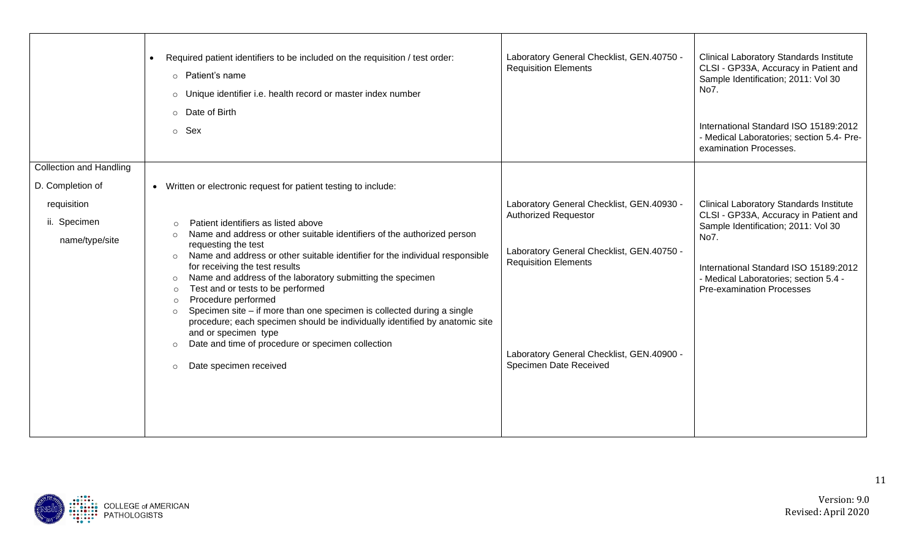|                                | Required patient identifiers to be included on the requisition / test order:<br>$\circ$ Patient's name<br>o Unique identifier i.e. health record or master index number<br>o Date of Birth<br>o Sex                                                                                                                                                                                                                                                                                                                                                          | Laboratory General Checklist, GEN.40750 -<br><b>Requisition Elements</b> | <b>Clinical Laboratory Standards Institute</b><br>CLSI - GP33A, Accuracy in Patient and<br>Sample Identification; 2011: Vol 30<br>No7.<br>International Standard ISO 15189:2012<br>- Medical Laboratories; section 5.4- Pre-<br>examination Processes. |
|--------------------------------|--------------------------------------------------------------------------------------------------------------------------------------------------------------------------------------------------------------------------------------------------------------------------------------------------------------------------------------------------------------------------------------------------------------------------------------------------------------------------------------------------------------------------------------------------------------|--------------------------------------------------------------------------|--------------------------------------------------------------------------------------------------------------------------------------------------------------------------------------------------------------------------------------------------------|
| <b>Collection and Handling</b> |                                                                                                                                                                                                                                                                                                                                                                                                                                                                                                                                                              |                                                                          |                                                                                                                                                                                                                                                        |
| D. Completion of               | Written or electronic request for patient testing to include:<br>$\bullet$                                                                                                                                                                                                                                                                                                                                                                                                                                                                                   |                                                                          |                                                                                                                                                                                                                                                        |
| requisition                    |                                                                                                                                                                                                                                                                                                                                                                                                                                                                                                                                                              | Laboratory General Checklist, GEN.40930 -                                | <b>Clinical Laboratory Standards Institute</b>                                                                                                                                                                                                         |
| ii. Specimen                   | Patient identifiers as listed above<br>$\circ$                                                                                                                                                                                                                                                                                                                                                                                                                                                                                                               | <b>Authorized Requestor</b>                                              | CLSI - GP33A, Accuracy in Patient and<br>Sample Identification; 2011: Vol 30                                                                                                                                                                           |
| name/type/site                 | Name and address or other suitable identifiers of the authorized person<br>$\circ$                                                                                                                                                                                                                                                                                                                                                                                                                                                                           |                                                                          | No7.                                                                                                                                                                                                                                                   |
|                                | requesting the test<br>Name and address or other suitable identifier for the individual responsible<br>$\circ$<br>for receiving the test results<br>Name and address of the laboratory submitting the specimen<br>$\circ$<br>Test and or tests to be performed<br>$\circ$<br>Procedure performed<br>$\circ$<br>Specimen site – if more than one specimen is collected during a single<br>$\circ$<br>procedure; each specimen should be individually identified by anatomic site<br>and or specimen type<br>Date and time of procedure or specimen collection | Laboratory General Checklist, GEN.40750 -<br><b>Requisition Elements</b> | International Standard ISO 15189:2012<br>- Medical Laboratories; section 5.4 -<br><b>Pre-examination Processes</b>                                                                                                                                     |
|                                | $\circ$<br>Date specimen received<br>$\circ$                                                                                                                                                                                                                                                                                                                                                                                                                                                                                                                 | Laboratory General Checklist, GEN.40900 -<br>Specimen Date Received      |                                                                                                                                                                                                                                                        |

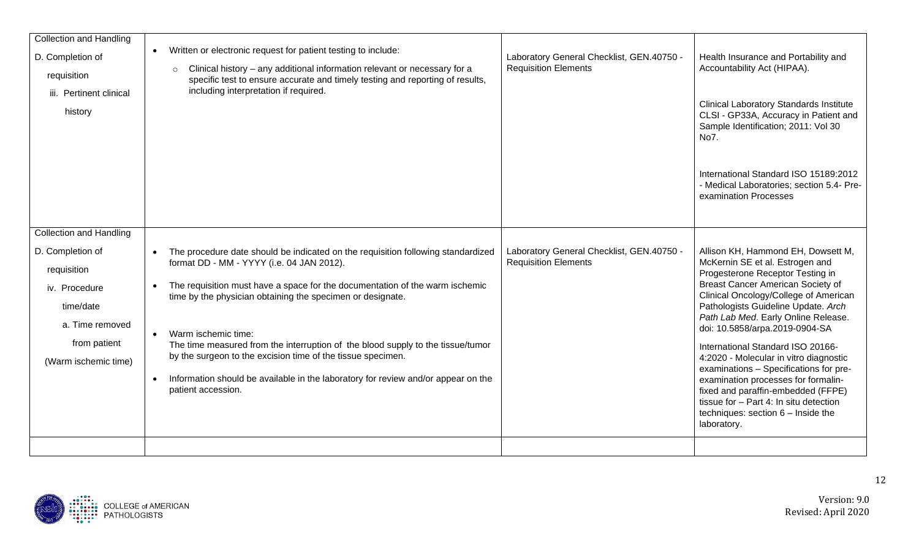| D. Completion of<br>requisition<br>iii. Pertinent clinical<br>history                                                                                      | Written or electronic request for patient testing to include:<br>$\bullet$<br>Clinical history - any additional information relevant or necessary for a<br>$\circ$<br>specific test to ensure accurate and timely testing and reporting of results,<br>including interpretation if required.                                                                                                                                                                                                                                                                                                                        | Laboratory General Checklist, GEN.40750 -<br><b>Requisition Elements</b> | Health Insurance and Portability and<br>Accountability Act (HIPAA).<br><b>Clinical Laboratory Standards Institute</b><br>CLSI - GP33A, Accuracy in Patient and<br>Sample Identification; 2011: Vol 30<br>No7.<br>International Standard ISO 15189:2012<br>- Medical Laboratories; section 5.4- Pre-<br>examination Processes                                                                                                                                                                                                                                                                                 |
|------------------------------------------------------------------------------------------------------------------------------------------------------------|---------------------------------------------------------------------------------------------------------------------------------------------------------------------------------------------------------------------------------------------------------------------------------------------------------------------------------------------------------------------------------------------------------------------------------------------------------------------------------------------------------------------------------------------------------------------------------------------------------------------|--------------------------------------------------------------------------|--------------------------------------------------------------------------------------------------------------------------------------------------------------------------------------------------------------------------------------------------------------------------------------------------------------------------------------------------------------------------------------------------------------------------------------------------------------------------------------------------------------------------------------------------------------------------------------------------------------|
| <b>Collection and Handling</b><br>D. Completion of<br>requisition<br>iv. Procedure<br>time/date<br>a. Time removed<br>from patient<br>(Warm ischemic time) | The procedure date should be indicated on the requisition following standardized<br>$\bullet$<br>format DD - MM - YYYY (i.e. 04 JAN 2012).<br>The requisition must have a space for the documentation of the warm ischemic<br>$\bullet$<br>time by the physician obtaining the specimen or designate.<br>Warm ischemic time:<br>$\bullet$<br>The time measured from the interruption of the blood supply to the tissue/tumor<br>by the surgeon to the excision time of the tissue specimen.<br>Information should be available in the laboratory for review and/or appear on the<br>$\bullet$<br>patient accession. | Laboratory General Checklist, GEN.40750 -<br><b>Requisition Elements</b> | Allison KH, Hammond EH, Dowsett M,<br>McKernin SE et al. Estrogen and<br>Progesterone Receptor Testing in<br>Breast Cancer American Society of<br>Clinical Oncology/College of American<br>Pathologists Guideline Update. Arch<br>Path Lab Med. Early Online Release.<br>doi: 10.5858/arpa.2019-0904-SA<br>International Standard ISO 20166-<br>4:2020 - Molecular in vitro diagnostic<br>examinations - Specifications for pre-<br>examination processes for formalin-<br>fixed and paraffin-embedded (FFPE)<br>tissue for - Part 4: In situ detection<br>techniques: section 6 - Inside the<br>laboratory. |

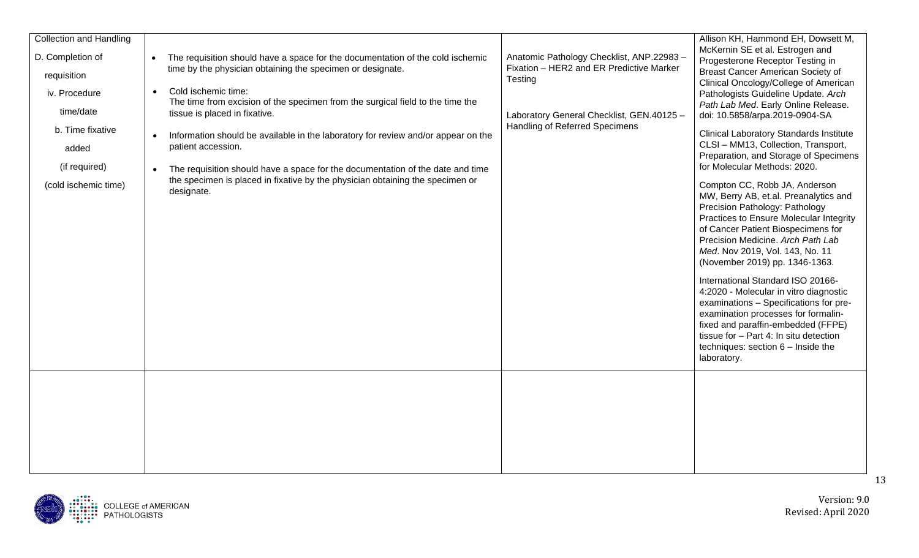| <b>Collection and Handling</b>                                                                                                      |                                                                                                                                                                                                                                                                                                                                                                                                                                                                                                                                                                                                                                        |                                                                                                                                                                                        | Allison KH, Hammond EH, Dowsett M,                                                                                                                                                                                                                                                                                                                                                                                                                                                                                                                                                                                                                                                                                                                                                                                                                                                                                                                                                         |
|-------------------------------------------------------------------------------------------------------------------------------------|----------------------------------------------------------------------------------------------------------------------------------------------------------------------------------------------------------------------------------------------------------------------------------------------------------------------------------------------------------------------------------------------------------------------------------------------------------------------------------------------------------------------------------------------------------------------------------------------------------------------------------------|----------------------------------------------------------------------------------------------------------------------------------------------------------------------------------------|--------------------------------------------------------------------------------------------------------------------------------------------------------------------------------------------------------------------------------------------------------------------------------------------------------------------------------------------------------------------------------------------------------------------------------------------------------------------------------------------------------------------------------------------------------------------------------------------------------------------------------------------------------------------------------------------------------------------------------------------------------------------------------------------------------------------------------------------------------------------------------------------------------------------------------------------------------------------------------------------|
| D. Completion of<br>requisition<br>iv. Procedure<br>time/date<br>b. Time fixative<br>added<br>(if required)<br>(cold ischemic time) | The requisition should have a space for the documentation of the cold ischemic<br>$\bullet$<br>time by the physician obtaining the specimen or designate.<br>Cold ischemic time:<br>$\bullet$<br>The time from excision of the specimen from the surgical field to the time the<br>tissue is placed in fixative.<br>Information should be available in the laboratory for review and/or appear on the<br>$\bullet$<br>patient accession.<br>The requisition should have a space for the documentation of the date and time<br>$\bullet$<br>the specimen is placed in fixative by the physician obtaining the specimen or<br>designate. | Anatomic Pathology Checklist, ANP.22983 -<br>Fixation - HER2 and ER Predictive Marker<br>Testing<br>Laboratory General Checklist, GEN.40125 -<br><b>Handling of Referred Specimens</b> | McKernin SE et al. Estrogen and<br>Progesterone Receptor Testing in<br>Breast Cancer American Society of<br>Clinical Oncology/College of American<br>Pathologists Guideline Update. Arch<br>Path Lab Med. Early Online Release.<br>doi: 10.5858/arpa.2019-0904-SA<br><b>Clinical Laboratory Standards Institute</b><br>CLSI - MM13, Collection, Transport,<br>Preparation, and Storage of Specimens<br>for Molecular Methods: 2020.<br>Compton CC, Robb JA, Anderson<br>MW, Berry AB, et.al. Preanalytics and<br>Precision Pathology: Pathology<br>Practices to Ensure Molecular Integrity<br>of Cancer Patient Biospecimens for<br>Precision Medicine. Arch Path Lab<br>Med. Nov 2019, Vol. 143, No. 11<br>(November 2019) pp. 1346-1363.<br>International Standard ISO 20166-<br>4:2020 - Molecular in vitro diagnostic<br>examinations - Specifications for pre-<br>examination processes for formalin-<br>fixed and paraffin-embedded (FFPE)<br>tissue for - Part 4: In situ detection |
|                                                                                                                                     |                                                                                                                                                                                                                                                                                                                                                                                                                                                                                                                                                                                                                                        |                                                                                                                                                                                        | techniques: section $6$ – Inside the<br>laboratory.                                                                                                                                                                                                                                                                                                                                                                                                                                                                                                                                                                                                                                                                                                                                                                                                                                                                                                                                        |
|                                                                                                                                     |                                                                                                                                                                                                                                                                                                                                                                                                                                                                                                                                                                                                                                        |                                                                                                                                                                                        |                                                                                                                                                                                                                                                                                                                                                                                                                                                                                                                                                                                                                                                                                                                                                                                                                                                                                                                                                                                            |

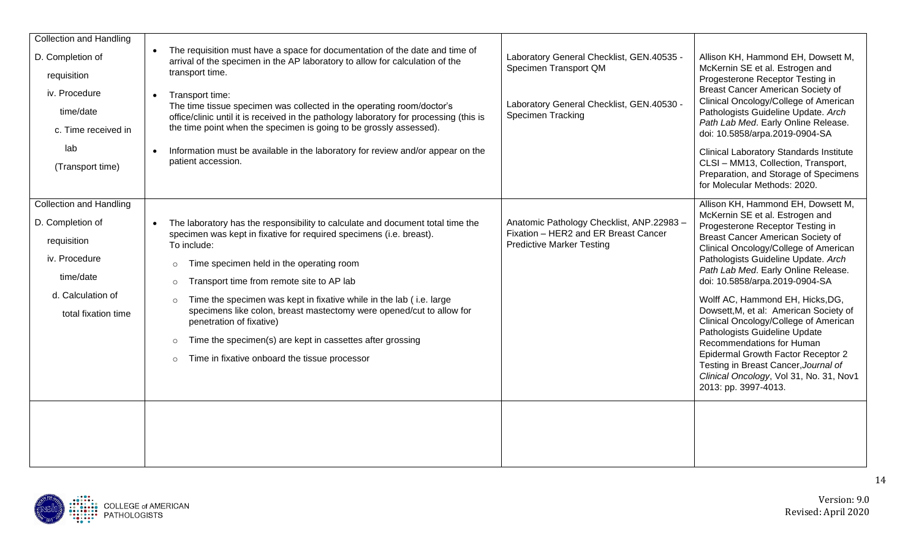| <b>Collection and Handling</b><br>D. Completion of<br>requisition<br>iv. Procedure<br>time/date<br>c. Time received in<br>lab<br>(Transport time) | The requisition must have a space for documentation of the date and time of<br>arrival of the specimen in the AP laboratory to allow for calculation of the<br>transport time.<br>Transport time:<br>$\bullet$<br>The time tissue specimen was collected in the operating room/doctor's<br>office/clinic until it is received in the pathology laboratory for processing (this is<br>the time point when the specimen is going to be grossly assessed).<br>Information must be available in the laboratory for review and/or appear on the<br>patient accession.                                                           | Laboratory General Checklist, GEN.40535 -<br>Specimen Transport QM<br>Laboratory General Checklist, GEN.40530 -<br><b>Specimen Tracking</b> | Allison KH, Hammond EH, Dowsett M,<br>McKernin SE et al. Estrogen and<br>Progesterone Receptor Testing in<br>Breast Cancer American Society of<br>Clinical Oncology/College of American<br>Pathologists Guideline Update. Arch<br>Path Lab Med. Early Online Release.<br>doi: 10.5858/arpa.2019-0904-SA<br><b>Clinical Laboratory Standards Institute</b><br>CLSI - MM13, Collection, Transport,<br>Preparation, and Storage of Specimens<br>for Molecular Methods: 2020.                                                                                                                                                                     |
|---------------------------------------------------------------------------------------------------------------------------------------------------|----------------------------------------------------------------------------------------------------------------------------------------------------------------------------------------------------------------------------------------------------------------------------------------------------------------------------------------------------------------------------------------------------------------------------------------------------------------------------------------------------------------------------------------------------------------------------------------------------------------------------|---------------------------------------------------------------------------------------------------------------------------------------------|-----------------------------------------------------------------------------------------------------------------------------------------------------------------------------------------------------------------------------------------------------------------------------------------------------------------------------------------------------------------------------------------------------------------------------------------------------------------------------------------------------------------------------------------------------------------------------------------------------------------------------------------------|
| <b>Collection and Handling</b><br>D. Completion of<br>requisition<br>iv. Procedure<br>time/date<br>d. Calculation of<br>total fixation time       | The laboratory has the responsibility to calculate and document total time the<br>$\bullet$<br>specimen was kept in fixative for required specimens (i.e. breast).<br>To include:<br>Time specimen held in the operating room<br>$\circ$<br>Transport time from remote site to AP lab<br>$\circ$<br>Time the specimen was kept in fixative while in the lab (i.e. large<br>$\circ$<br>specimens like colon, breast mastectomy were opened/cut to allow for<br>penetration of fixative)<br>Time the specimen(s) are kept in cassettes after grossing<br>$\circ$<br>Time in fixative onboard the tissue processor<br>$\circ$ | Anatomic Pathology Checklist, ANP.22983 -<br>Fixation - HER2 and ER Breast Cancer<br><b>Predictive Marker Testing</b>                       | Allison KH, Hammond EH, Dowsett M,<br>McKernin SE et al. Estrogen and<br>Progesterone Receptor Testing in<br>Breast Cancer American Society of<br>Clinical Oncology/College of American<br>Pathologists Guideline Update. Arch<br>Path Lab Med. Early Online Release.<br>doi: 10.5858/arpa.2019-0904-SA<br>Wolff AC, Hammond EH, Hicks, DG,<br>Dowsett, M, et al: American Society of<br>Clinical Oncology/College of American<br>Pathologists Guideline Update<br>Recommendations for Human<br>Epidermal Growth Factor Receptor 2<br>Testing in Breast Cancer, Journal of<br>Clinical Oncology, Vol 31, No. 31, Nov1<br>2013: pp. 3997-4013. |
|                                                                                                                                                   |                                                                                                                                                                                                                                                                                                                                                                                                                                                                                                                                                                                                                            |                                                                                                                                             |                                                                                                                                                                                                                                                                                                                                                                                                                                                                                                                                                                                                                                               |

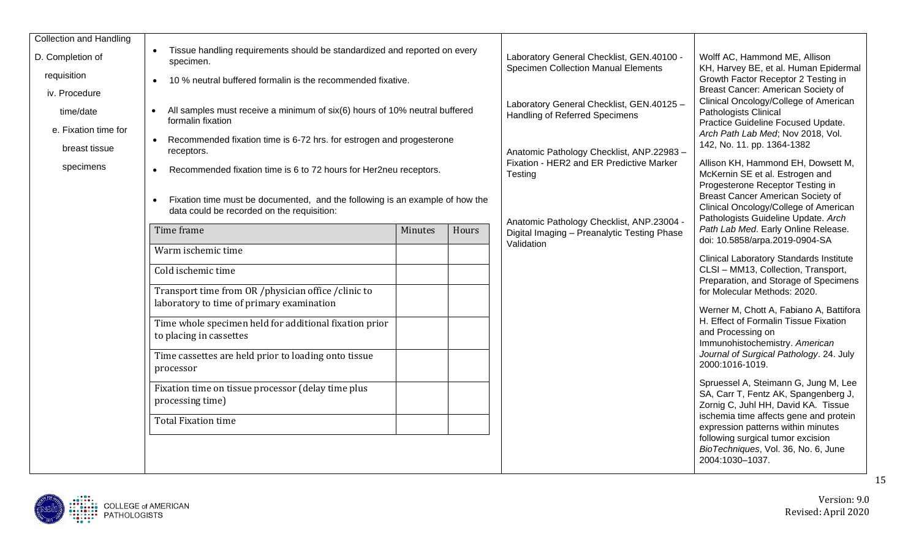| <b>Collection and Handling</b> |                                                                                                                                         |         |       |                                                                                         |                                                                                                                                                       |
|--------------------------------|-----------------------------------------------------------------------------------------------------------------------------------------|---------|-------|-----------------------------------------------------------------------------------------|-------------------------------------------------------------------------------------------------------------------------------------------------------|
| D. Completion of               | Tissue handling requirements should be standardized and reported on every<br>specimen.                                                  |         |       | Laboratory General Checklist, GEN.40100 -<br><b>Specimen Collection Manual Elements</b> | Wolff AC, Hammond ME, Allison<br>KH, Harvey BE, et al. Human Epidermal                                                                                |
| requisition                    | 10 % neutral buffered formalin is the recommended fixative.<br>$\bullet$                                                                |         |       |                                                                                         | Growth Factor Receptor 2 Testing in                                                                                                                   |
| iv. Procedure                  |                                                                                                                                         |         |       |                                                                                         | Breast Cancer: American Society of<br>Clinical Oncology/College of American                                                                           |
| time/date                      | All samples must receive a minimum of six(6) hours of 10% neutral buffered<br>$\bullet$<br>formalin fixation                            |         |       | Laboratory General Checklist, GEN.40125 -<br>Handling of Referred Specimens             | Pathologists Clinical                                                                                                                                 |
| e. Fixation time for           |                                                                                                                                         |         |       |                                                                                         | Practice Guideline Focused Update.<br>Arch Path Lab Med; Nov 2018, Vol.                                                                               |
| breast tissue                  | Recommended fixation time is 6-72 hrs. for estrogen and progesterone<br>$\bullet$<br>receptors.                                         |         |       | Anatomic Pathology Checklist, ANP.22983-                                                | 142, No. 11. pp. 1364-1382                                                                                                                            |
| specimens                      | Recommended fixation time is 6 to 72 hours for Her2neu receptors.<br>$\bullet$                                                          |         |       | Fixation - HER2 and ER Predictive Marker<br>Testing                                     | Allison KH, Hammond EH, Dowsett M,<br>McKernin SE et al. Estrogen and                                                                                 |
|                                | Fixation time must be documented, and the following is an example of how the<br>$\bullet$<br>data could be recorded on the requisition: |         |       | Anatomic Pathology Checklist, ANP.23004 -                                               | Progesterone Receptor Testing in<br>Breast Cancer American Society of<br>Clinical Oncology/College of American<br>Pathologists Guideline Update. Arch |
|                                | Time frame                                                                                                                              | Minutes | Hours | Digital Imaging - Preanalytic Testing Phase<br>Validation                               | Path Lab Med. Early Online Release.<br>doi: 10.5858/arpa.2019-0904-SA                                                                                 |
|                                | Warm ischemic time                                                                                                                      |         |       |                                                                                         | <b>Clinical Laboratory Standards Institute</b>                                                                                                        |
|                                | Cold ischemic time                                                                                                                      |         |       |                                                                                         | CLSI - MM13, Collection, Transport,<br>Preparation, and Storage of Specimens                                                                          |
|                                | Transport time from OR /physician office /clinic to<br>laboratory to time of primary examination                                        |         |       |                                                                                         | for Molecular Methods: 2020.<br>Werner M, Chott A, Fabiano A, Battifora                                                                               |
|                                | Time whole specimen held for additional fixation prior<br>to placing in cassettes                                                       |         |       |                                                                                         | H. Effect of Formalin Tissue Fixation<br>and Processing on<br>Immunohistochemistry. American                                                          |
|                                | Time cassettes are held prior to loading onto tissue<br>processor                                                                       |         |       |                                                                                         | Journal of Surgical Pathology. 24. July<br>2000:1016-1019.                                                                                            |
|                                | Fixation time on tissue processor (delay time plus<br>processing time)                                                                  |         |       |                                                                                         | Spruessel A, Steimann G, Jung M, Lee<br>SA, Carr T, Fentz AK, Spangenberg J,<br>Zornig C, Juhl HH, David KA. Tissue                                   |
|                                | <b>Total Fixation time</b>                                                                                                              |         |       |                                                                                         | ischemia time affects gene and protein<br>expression patterns within minutes                                                                          |
|                                |                                                                                                                                         |         |       |                                                                                         | following surgical tumor excision<br>BioTechniques, Vol. 36, No. 6, June<br>2004:1030-1037.                                                           |

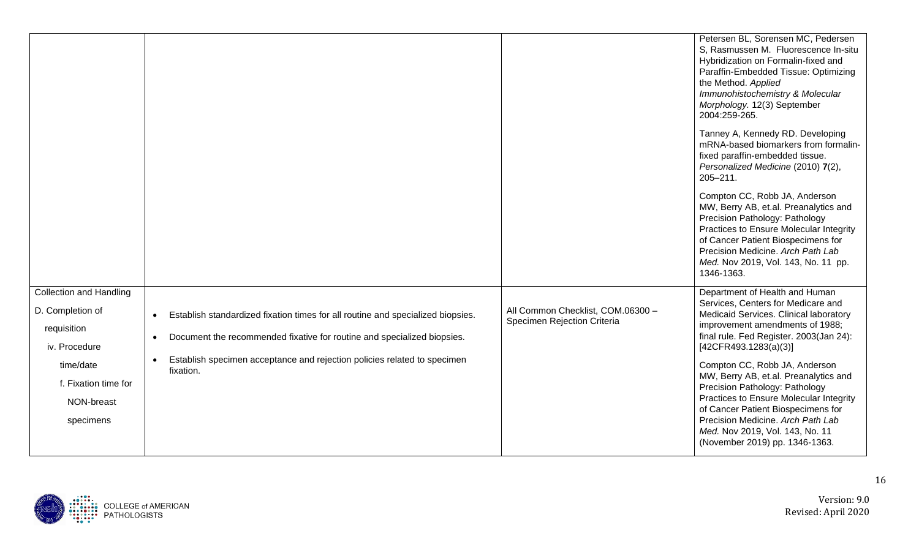|                                 |                                                                                                    |                                                                  | Petersen BL, Sorensen MC, Pedersen<br>S, Rasmussen M. Fluorescence In-situ<br>Hybridization on Formalin-fixed and<br>Paraffin-Embedded Tissue: Optimizing<br>the Method. Applied<br>Immunohistochemistry & Molecular<br>Morphology. 12(3) September<br>2004:259-265.                |
|---------------------------------|----------------------------------------------------------------------------------------------------|------------------------------------------------------------------|-------------------------------------------------------------------------------------------------------------------------------------------------------------------------------------------------------------------------------------------------------------------------------------|
|                                 |                                                                                                    |                                                                  | Tanney A, Kennedy RD. Developing<br>mRNA-based biomarkers from formalin-<br>fixed paraffin-embedded tissue.<br>Personalized Medicine (2010) 7(2),<br>$205 - 211.$                                                                                                                   |
|                                 |                                                                                                    |                                                                  | Compton CC, Robb JA, Anderson<br>MW, Berry AB, et.al. Preanalytics and<br>Precision Pathology: Pathology<br>Practices to Ensure Molecular Integrity<br>of Cancer Patient Biospecimens for<br>Precision Medicine. Arch Path Lab<br>Med. Nov 2019, Vol. 143, No. 11 pp.<br>1346-1363. |
| <b>Collection and Handling</b>  |                                                                                                    |                                                                  | Department of Health and Human<br>Services, Centers for Medicare and                                                                                                                                                                                                                |
| D. Completion of<br>requisition | Establish standardized fixation times for all routine and specialized biopsies.<br>$\bullet$       | All Common Checklist, COM.06300 -<br>Specimen Rejection Criteria | Medicaid Services. Clinical laboratory<br>improvement amendments of 1988;                                                                                                                                                                                                           |
| iv. Procedure                   | Document the recommended fixative for routine and specialized biopsies.<br>$\bullet$               |                                                                  | final rule. Fed Register. 2003(Jan 24):<br>[42CFR493.1283(a)(3)]                                                                                                                                                                                                                    |
| time/date                       | Establish specimen acceptance and rejection policies related to specimen<br>$\bullet$<br>fixation. |                                                                  | Compton CC, Robb JA, Anderson                                                                                                                                                                                                                                                       |
| f. Fixation time for            |                                                                                                    |                                                                  | MW, Berry AB, et.al. Preanalytics and<br>Precision Pathology: Pathology                                                                                                                                                                                                             |
| NON-breast                      |                                                                                                    |                                                                  | Practices to Ensure Molecular Integrity<br>of Cancer Patient Biospecimens for                                                                                                                                                                                                       |
| specimens                       |                                                                                                    |                                                                  | Precision Medicine. Arch Path Lab<br>Med. Nov 2019, Vol. 143, No. 11<br>(November 2019) pp. 1346-1363.                                                                                                                                                                              |

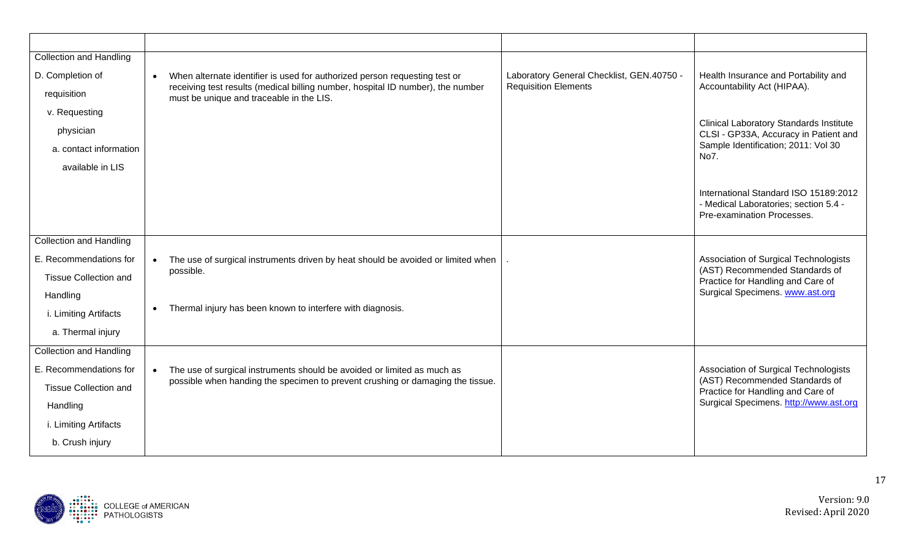| <b>Collection and Handling</b> |                                                                                                                             |                                           |                                                                                         |
|--------------------------------|-----------------------------------------------------------------------------------------------------------------------------|-------------------------------------------|-----------------------------------------------------------------------------------------|
| D. Completion of               | When alternate identifier is used for authorized person requesting test or<br>$\bullet$                                     | Laboratory General Checklist, GEN.40750 - | Health Insurance and Portability and                                                    |
| requisition                    | receiving test results (medical billing number, hospital ID number), the number<br>must be unique and traceable in the LIS. | <b>Requisition Elements</b>               | Accountability Act (HIPAA).                                                             |
| v. Requesting                  |                                                                                                                             |                                           |                                                                                         |
| physician                      |                                                                                                                             |                                           | <b>Clinical Laboratory Standards Institute</b><br>CLSI - GP33A, Accuracy in Patient and |
| a. contact information         |                                                                                                                             |                                           | Sample Identification; 2011: Vol 30<br>No7.                                             |
| available in LIS               |                                                                                                                             |                                           |                                                                                         |
|                                |                                                                                                                             |                                           | International Standard ISO 15189:2012                                                   |
|                                |                                                                                                                             |                                           | - Medical Laboratories; section 5.4 -                                                   |
|                                |                                                                                                                             |                                           | Pre-examination Processes.                                                              |
| <b>Collection and Handling</b> |                                                                                                                             |                                           |                                                                                         |
| E. Recommendations for         | The use of surgical instruments driven by heat should be avoided or limited when<br>$\bullet$                               |                                           | Association of Surgical Technologists                                                   |
| <b>Tissue Collection and</b>   | possible.                                                                                                                   |                                           | (AST) Recommended Standards of<br>Practice for Handling and Care of                     |
| Handling                       |                                                                                                                             |                                           | Surgical Specimens. www.ast.org                                                         |
| i. Limiting Artifacts          | Thermal injury has been known to interfere with diagnosis.<br>$\bullet$                                                     |                                           |                                                                                         |
| a. Thermal injury              |                                                                                                                             |                                           |                                                                                         |
| <b>Collection and Handling</b> |                                                                                                                             |                                           |                                                                                         |
| E. Recommendations for         | The use of surgical instruments should be avoided or limited as much as<br>$\bullet$                                        |                                           | Association of Surgical Technologists                                                   |
| <b>Tissue Collection and</b>   |                                                                                                                             |                                           | Practice for Handling and Care of                                                       |
| Handling                       |                                                                                                                             |                                           | Surgical Specimens. http://www.ast.org                                                  |
| i. Limiting Artifacts          |                                                                                                                             |                                           |                                                                                         |
| b. Crush injury                |                                                                                                                             |                                           |                                                                                         |
|                                | possible when handing the specimen to prevent crushing or damaging the tissue.                                              |                                           | (AST) Recommended Standards of                                                          |

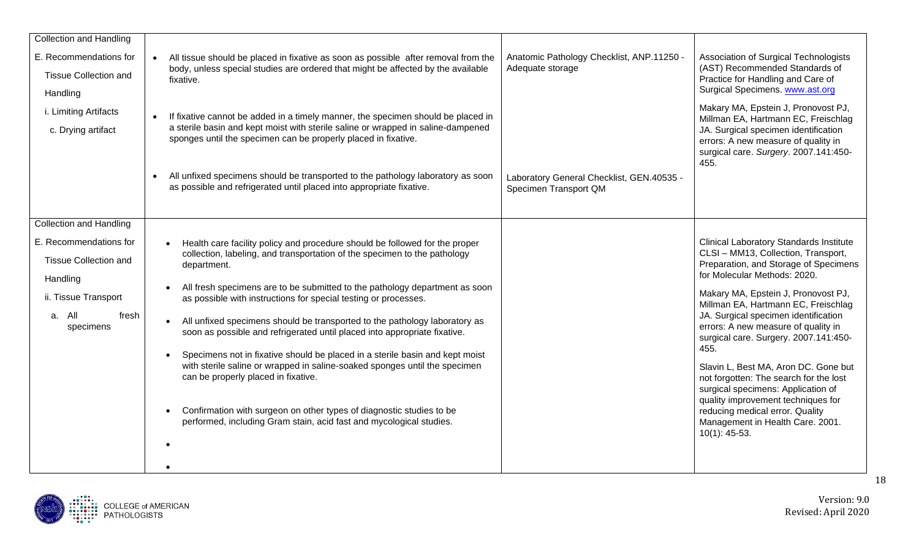| <b>Collection and Handling</b>                                                                                             |                                                                                                                                                                                                                                                                                                                                                                                                                                                                                                                                                                                                                                                                                                                                                                                                                                                                                                           |                                                                    |                                                                                                                                                                                                                                                                                                                                                                                                                                                                                                                                                                                                                                       |
|----------------------------------------------------------------------------------------------------------------------------|-----------------------------------------------------------------------------------------------------------------------------------------------------------------------------------------------------------------------------------------------------------------------------------------------------------------------------------------------------------------------------------------------------------------------------------------------------------------------------------------------------------------------------------------------------------------------------------------------------------------------------------------------------------------------------------------------------------------------------------------------------------------------------------------------------------------------------------------------------------------------------------------------------------|--------------------------------------------------------------------|---------------------------------------------------------------------------------------------------------------------------------------------------------------------------------------------------------------------------------------------------------------------------------------------------------------------------------------------------------------------------------------------------------------------------------------------------------------------------------------------------------------------------------------------------------------------------------------------------------------------------------------|
| E. Recommendations for<br><b>Tissue Collection and</b><br>Handling                                                         | All tissue should be placed in fixative as soon as possible after removal from the<br>$\bullet$<br>body, unless special studies are ordered that might be affected by the available<br>fixative.                                                                                                                                                                                                                                                                                                                                                                                                                                                                                                                                                                                                                                                                                                          | Anatomic Pathology Checklist, ANP.11250 -<br>Adequate storage      | Association of Surgical Technologists<br>(AST) Recommended Standards of<br>Practice for Handling and Care of<br>Surgical Specimens. www.ast.org                                                                                                                                                                                                                                                                                                                                                                                                                                                                                       |
| i. Limiting Artifacts<br>c. Drying artifact                                                                                | If fixative cannot be added in a timely manner, the specimen should be placed in<br>a sterile basin and kept moist with sterile saline or wrapped in saline-dampened<br>sponges until the specimen can be properly placed in fixative.                                                                                                                                                                                                                                                                                                                                                                                                                                                                                                                                                                                                                                                                    |                                                                    | Makary MA, Epstein J, Pronovost PJ,<br>Millman EA, Hartmann EC, Freischlag<br>JA. Surgical specimen identification<br>errors: A new measure of quality in<br>surgical care. Surgery. 2007.141:450-<br>455.                                                                                                                                                                                                                                                                                                                                                                                                                            |
|                                                                                                                            | All unfixed specimens should be transported to the pathology laboratory as soon<br>$\bullet$<br>as possible and refrigerated until placed into appropriate fixative.                                                                                                                                                                                                                                                                                                                                                                                                                                                                                                                                                                                                                                                                                                                                      | Laboratory General Checklist, GEN.40535 -<br>Specimen Transport QM |                                                                                                                                                                                                                                                                                                                                                                                                                                                                                                                                                                                                                                       |
| <b>Collection and Handling</b>                                                                                             |                                                                                                                                                                                                                                                                                                                                                                                                                                                                                                                                                                                                                                                                                                                                                                                                                                                                                                           |                                                                    |                                                                                                                                                                                                                                                                                                                                                                                                                                                                                                                                                                                                                                       |
| E. Recommendations for<br><b>Tissue Collection and</b><br>Handling<br>ii. Tissue Transport<br>a. All<br>fresh<br>specimens | Health care facility policy and procedure should be followed for the proper<br>$\bullet$<br>collection, labeling, and transportation of the specimen to the pathology<br>department.<br>All fresh specimens are to be submitted to the pathology department as soon<br>$\bullet$<br>as possible with instructions for special testing or processes.<br>All unfixed specimens should be transported to the pathology laboratory as<br>$\bullet$<br>soon as possible and refrigerated until placed into appropriate fixative.<br>Specimens not in fixative should be placed in a sterile basin and kept moist<br>$\bullet$<br>with sterile saline or wrapped in saline-soaked sponges until the specimen<br>can be properly placed in fixative.<br>Confirmation with surgeon on other types of diagnostic studies to be<br>$\bullet$<br>performed, including Gram stain, acid fast and mycological studies. |                                                                    | <b>Clinical Laboratory Standards Institute</b><br>CLSI - MM13, Collection, Transport,<br>Preparation, and Storage of Specimens<br>for Molecular Methods: 2020.<br>Makary MA, Epstein J, Pronovost PJ,<br>Millman EA, Hartmann EC, Freischlag<br>JA. Surgical specimen identification<br>errors: A new measure of quality in<br>surgical care. Surgery. 2007.141:450-<br>455.<br>Slavin L, Best MA, Aron DC. Gone but<br>not forgotten: The search for the lost<br>surgical specimens: Application of<br>quality improvement techniques for<br>reducing medical error. Quality<br>Management in Health Care. 2001.<br>$10(1)$ : 45-53. |
|                                                                                                                            |                                                                                                                                                                                                                                                                                                                                                                                                                                                                                                                                                                                                                                                                                                                                                                                                                                                                                                           |                                                                    |                                                                                                                                                                                                                                                                                                                                                                                                                                                                                                                                                                                                                                       |

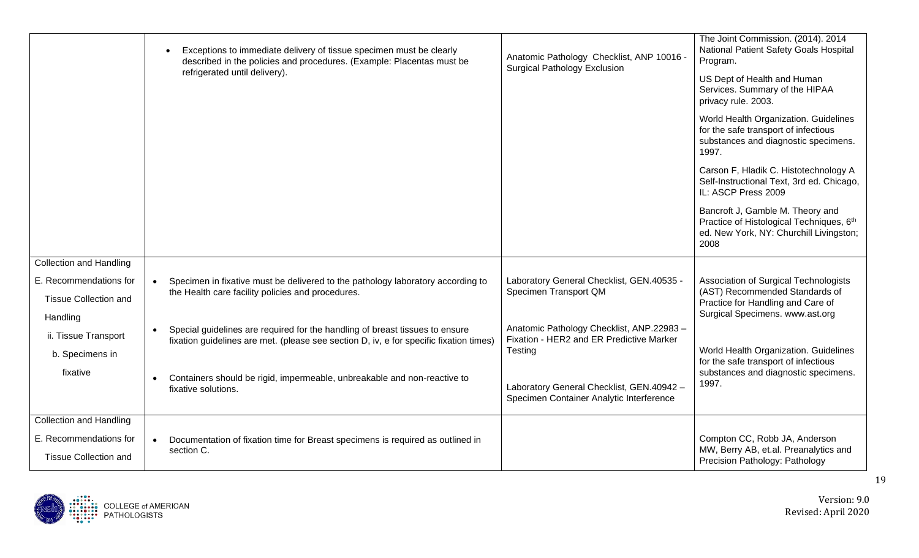|                                | Exceptions to immediate delivery of tissue specimen must be clearly<br>described in the policies and procedures. (Example: Placentas must be<br>refrigerated until delivery).       | Anatomic Pathology Checklist, ANP 10016 -<br><b>Surgical Pathology Exclusion</b>      | The Joint Commission. (2014). 2014<br>National Patient Safety Goals Hospital<br>Program.<br>US Dept of Health and Human<br>Services. Summary of the HIPAA |
|--------------------------------|-------------------------------------------------------------------------------------------------------------------------------------------------------------------------------------|---------------------------------------------------------------------------------------|-----------------------------------------------------------------------------------------------------------------------------------------------------------|
|                                |                                                                                                                                                                                     |                                                                                       | privacy rule. 2003.<br>World Health Organization. Guidelines<br>for the safe transport of infectious<br>substances and diagnostic specimens.<br>1997.     |
|                                |                                                                                                                                                                                     |                                                                                       | Carson F, Hladik C. Histotechnology A<br>Self-Instructional Text, 3rd ed. Chicago,<br>IL: ASCP Press 2009                                                 |
|                                |                                                                                                                                                                                     |                                                                                       | Bancroft J, Gamble M. Theory and<br>Practice of Histological Techniques, 6th<br>ed. New York, NY: Churchill Livingston;<br>2008                           |
| <b>Collection and Handling</b> |                                                                                                                                                                                     |                                                                                       |                                                                                                                                                           |
| E. Recommendations for         | Specimen in fixative must be delivered to the pathology laboratory according to<br>$\bullet$                                                                                        | Laboratory General Checklist, GEN.40535 -                                             | Association of Surgical Technologists                                                                                                                     |
| <b>Tissue Collection and</b>   | the Health care facility policies and procedures.                                                                                                                                   | Specimen Transport QM                                                                 | (AST) Recommended Standards of<br>Practice for Handling and Care of                                                                                       |
| Handling                       |                                                                                                                                                                                     |                                                                                       | Surgical Specimens. www.ast.org                                                                                                                           |
| ii. Tissue Transport           | Special guidelines are required for the handling of breast tissues to ensure<br>$\bullet$<br>fixation guidelines are met. (please see section D, iv, e for specific fixation times) | Anatomic Pathology Checklist, ANP.22983 -<br>Fixation - HER2 and ER Predictive Marker |                                                                                                                                                           |
| b. Specimens in                |                                                                                                                                                                                     | Testing                                                                               | World Health Organization. Guidelines<br>for the safe transport of infectious                                                                             |
| fixative                       | Containers should be rigid, impermeable, unbreakable and non-reactive to<br>$\bullet$<br>fixative solutions.                                                                        | Laboratory General Checklist, GEN.40942 -<br>Specimen Container Analytic Interference | substances and diagnostic specimens.<br>1997.                                                                                                             |
| <b>Collection and Handling</b> |                                                                                                                                                                                     |                                                                                       |                                                                                                                                                           |
| E. Recommendations for         | Documentation of fixation time for Breast specimens is required as outlined in<br>section C.                                                                                        |                                                                                       | Compton CC, Robb JA, Anderson<br>MW, Berry AB, et.al. Preanalytics and                                                                                    |
| <b>Tissue Collection and</b>   |                                                                                                                                                                                     |                                                                                       | Precision Pathology: Pathology                                                                                                                            |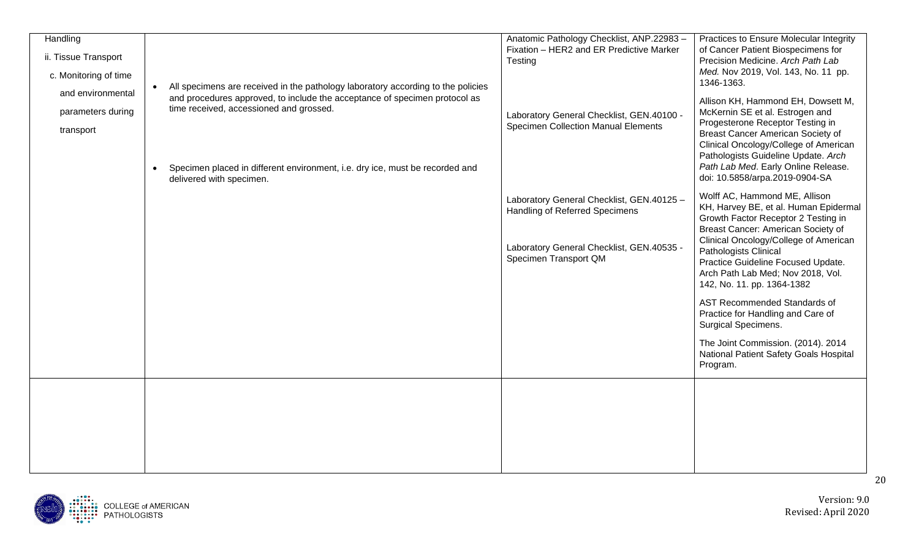| Handling              |           |                                                                                  | Anatomic Pathology Checklist, ANP.22983 -           | Practices to Ensure Molecular Integrity                                      |
|-----------------------|-----------|----------------------------------------------------------------------------------|-----------------------------------------------------|------------------------------------------------------------------------------|
| ii. Tissue Transport  |           |                                                                                  | Fixation - HER2 and ER Predictive Marker<br>Testing | of Cancer Patient Biospecimens for<br>Precision Medicine. Arch Path Lab      |
| c. Monitoring of time |           |                                                                                  |                                                     | Med. Nov 2019, Vol. 143, No. 11 pp.                                          |
|                       | $\bullet$ | All specimens are received in the pathology laboratory according to the policies |                                                     | 1346-1363.                                                                   |
| and environmental     |           | and procedures approved, to include the acceptance of specimen protocol as       |                                                     | Allison KH, Hammond EH, Dowsett M,                                           |
| parameters during     |           | time received, accessioned and grossed.                                          | Laboratory General Checklist, GEN.40100 -           | McKernin SE et al. Estrogen and                                              |
| transport             |           |                                                                                  | <b>Specimen Collection Manual Elements</b>          | Progesterone Receptor Testing in                                             |
|                       |           |                                                                                  |                                                     | Breast Cancer American Society of<br>Clinical Oncology/College of American   |
|                       |           |                                                                                  |                                                     | Pathologists Guideline Update. Arch                                          |
|                       | $\bullet$ | Specimen placed in different environment, i.e. dry ice, must be recorded and     |                                                     | Path Lab Med. Early Online Release.                                          |
|                       |           | delivered with specimen.                                                         |                                                     | doi: 10.5858/arpa.2019-0904-SA                                               |
|                       |           |                                                                                  | Laboratory General Checklist, GEN.40125 -           | Wolff AC, Hammond ME, Allison                                                |
|                       |           |                                                                                  | Handling of Referred Specimens                      | KH, Harvey BE, et al. Human Epidermal<br>Growth Factor Receptor 2 Testing in |
|                       |           |                                                                                  |                                                     | Breast Cancer: American Society of                                           |
|                       |           |                                                                                  | Laboratory General Checklist, GEN.40535 -           | Clinical Oncology/College of American                                        |
|                       |           |                                                                                  | Specimen Transport QM                               | Pathologists Clinical<br>Practice Guideline Focused Update.                  |
|                       |           |                                                                                  |                                                     | Arch Path Lab Med; Nov 2018, Vol.                                            |
|                       |           |                                                                                  |                                                     | 142, No. 11. pp. 1364-1382                                                   |
|                       |           |                                                                                  |                                                     | AST Recommended Standards of                                                 |
|                       |           |                                                                                  |                                                     | Practice for Handling and Care of                                            |
|                       |           |                                                                                  |                                                     | <b>Surgical Specimens.</b>                                                   |
|                       |           |                                                                                  |                                                     | The Joint Commission. (2014). 2014                                           |
|                       |           |                                                                                  |                                                     | National Patient Safety Goals Hospital<br>Program.                           |
|                       |           |                                                                                  |                                                     |                                                                              |
|                       |           |                                                                                  |                                                     |                                                                              |
|                       |           |                                                                                  |                                                     |                                                                              |
|                       |           |                                                                                  |                                                     |                                                                              |
|                       |           |                                                                                  |                                                     |                                                                              |
|                       |           |                                                                                  |                                                     |                                                                              |
|                       |           |                                                                                  |                                                     |                                                                              |

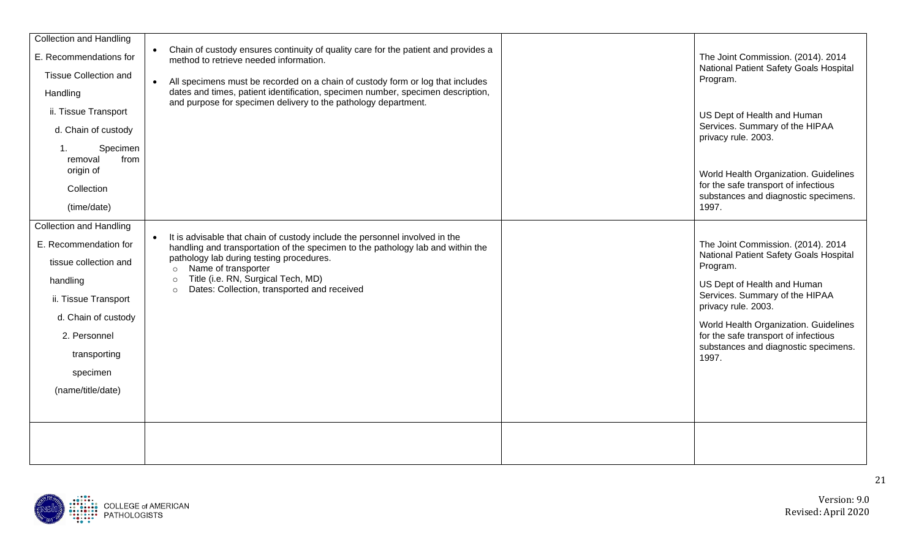| <b>Collection and Handling</b>    |                                                                                                                                                                             |                                                                              |
|-----------------------------------|-----------------------------------------------------------------------------------------------------------------------------------------------------------------------------|------------------------------------------------------------------------------|
| E. Recommendations for            | Chain of custody ensures continuity of quality care for the patient and provides a<br>$\bullet$<br>method to retrieve needed information.                                   | The Joint Commission. (2014). 2014<br>National Patient Safety Goals Hospital |
| <b>Tissue Collection and</b>      | All specimens must be recorded on a chain of custody form or log that includes<br>$\bullet$                                                                                 | Program.                                                                     |
| Handling                          | dates and times, patient identification, specimen number, specimen description,<br>and purpose for specimen delivery to the pathology department.                           |                                                                              |
| ii. Tissue Transport              |                                                                                                                                                                             | US Dept of Health and Human                                                  |
| d. Chain of custody               |                                                                                                                                                                             | Services. Summary of the HIPAA<br>privacy rule. 2003.                        |
| Specimen<br>.1<br>from<br>removal |                                                                                                                                                                             |                                                                              |
| origin of                         |                                                                                                                                                                             | World Health Organization. Guidelines                                        |
| Collection                        |                                                                                                                                                                             | for the safe transport of infectious<br>substances and diagnostic specimens. |
| (time/date)                       |                                                                                                                                                                             | 1997.                                                                        |
| <b>Collection and Handling</b>    |                                                                                                                                                                             |                                                                              |
| E. Recommendation for             | It is advisable that chain of custody include the personnel involved in the<br>$\bullet$<br>handling and transportation of the specimen to the pathology lab and within the | The Joint Commission. (2014). 2014                                           |
| tissue collection and             | pathology lab during testing procedures.<br>Name of transporter<br>$\circ$                                                                                                  | National Patient Safety Goals Hospital<br>Program.                           |
| handling                          | Title (i.e. RN, Surgical Tech, MD)<br>$\circ$                                                                                                                               | US Dept of Health and Human                                                  |
| ii. Tissue Transport              | Dates: Collection, transported and received<br>$\circ$                                                                                                                      | Services. Summary of the HIPAA<br>privacy rule. 2003.                        |
| d. Chain of custody               |                                                                                                                                                                             | World Health Organization. Guidelines                                        |
| 2. Personnel                      |                                                                                                                                                                             | for the safe transport of infectious<br>substances and diagnostic specimens. |
| transporting                      |                                                                                                                                                                             | 1997.                                                                        |
| specimen                          |                                                                                                                                                                             |                                                                              |
| (name/title/date)                 |                                                                                                                                                                             |                                                                              |
|                                   |                                                                                                                                                                             |                                                                              |
|                                   |                                                                                                                                                                             |                                                                              |
|                                   |                                                                                                                                                                             |                                                                              |
|                                   |                                                                                                                                                                             |                                                                              |

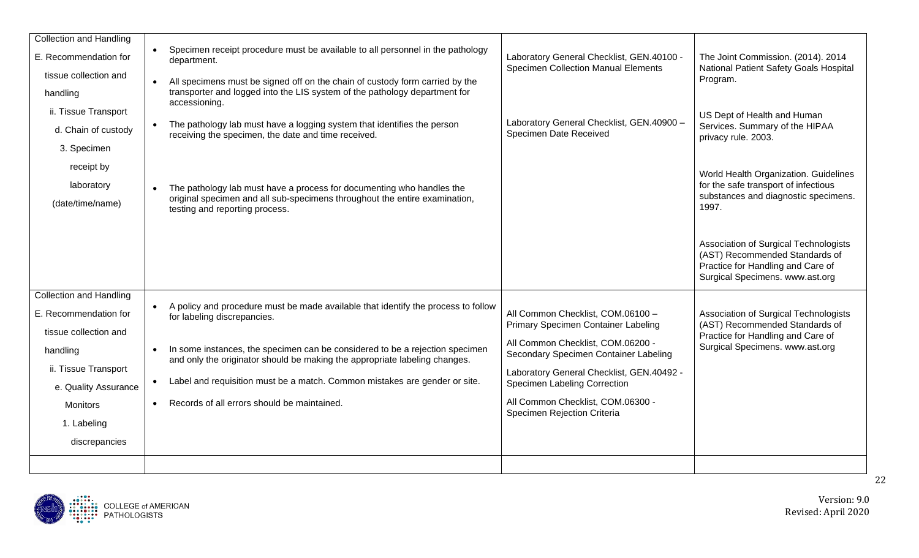| <b>Collection and Handling</b> |           |                                                                                                                                                            |                                                                                         |                                                                              |
|--------------------------------|-----------|------------------------------------------------------------------------------------------------------------------------------------------------------------|-----------------------------------------------------------------------------------------|------------------------------------------------------------------------------|
| E. Recommendation for          | $\bullet$ | Specimen receipt procedure must be available to all personnel in the pathology<br>department.                                                              | Laboratory General Checklist, GEN.40100 -<br><b>Specimen Collection Manual Elements</b> | The Joint Commission. (2014). 2014<br>National Patient Safety Goals Hospital |
| tissue collection and          |           | All specimens must be signed off on the chain of custody form carried by the                                                                               |                                                                                         | Program.                                                                     |
| handling                       |           | transporter and logged into the LIS system of the pathology department for<br>accessioning.                                                                |                                                                                         |                                                                              |
| ii. Tissue Transport           |           |                                                                                                                                                            |                                                                                         | US Dept of Health and Human                                                  |
| d. Chain of custody            |           | The pathology lab must have a logging system that identifies the person<br>receiving the specimen, the date and time received.                             | Laboratory General Checklist, GEN.40900 -<br>Specimen Date Received                     | Services. Summary of the HIPAA<br>privacy rule. 2003.                        |
| 3. Specimen                    |           |                                                                                                                                                            |                                                                                         |                                                                              |
| receipt by                     |           |                                                                                                                                                            |                                                                                         | World Health Organization. Guidelines                                        |
| laboratory                     |           | The pathology lab must have a process for documenting who handles the                                                                                      |                                                                                         | for the safe transport of infectious                                         |
| (date/time/name)               |           | original specimen and all sub-specimens throughout the entire examination,<br>testing and reporting process.                                               |                                                                                         | substances and diagnostic specimens.<br>1997.                                |
|                                |           |                                                                                                                                                            |                                                                                         |                                                                              |
|                                |           |                                                                                                                                                            |                                                                                         | Association of Surgical Technologists<br>(AST) Recommended Standards of      |
|                                |           |                                                                                                                                                            |                                                                                         | Practice for Handling and Care of                                            |
|                                |           |                                                                                                                                                            |                                                                                         | Surgical Specimens. www.ast.org                                              |
| <b>Collection and Handling</b> |           |                                                                                                                                                            |                                                                                         |                                                                              |
| E. Recommendation for          |           | A policy and procedure must be made available that identify the process to follow<br>for labeling discrepancies.                                           | All Common Checklist, COM.06100 -<br>Primary Specimen Container Labeling                | Association of Surgical Technologists<br>(AST) Recommended Standards of      |
| tissue collection and          |           |                                                                                                                                                            |                                                                                         | Practice for Handling and Care of                                            |
| handling                       |           | In some instances, the specimen can be considered to be a rejection specimen<br>and only the originator should be making the appropriate labeling changes. | All Common Checklist, COM.06200 -<br>Secondary Specimen Container Labeling              | Surgical Specimens. www.ast.org                                              |
| ii. Tissue Transport           |           |                                                                                                                                                            | Laboratory General Checklist, GEN.40492 -                                               |                                                                              |
| e. Quality Assurance           |           | Label and requisition must be a match. Common mistakes are gender or site.                                                                                 | Specimen Labeling Correction                                                            |                                                                              |
| Monitors                       |           | Records of all errors should be maintained.                                                                                                                | All Common Checklist, COM.06300 -<br>Specimen Rejection Criteria                        |                                                                              |
| 1. Labeling                    |           |                                                                                                                                                            |                                                                                         |                                                                              |
| discrepancies                  |           |                                                                                                                                                            |                                                                                         |                                                                              |
|                                |           |                                                                                                                                                            |                                                                                         |                                                                              |

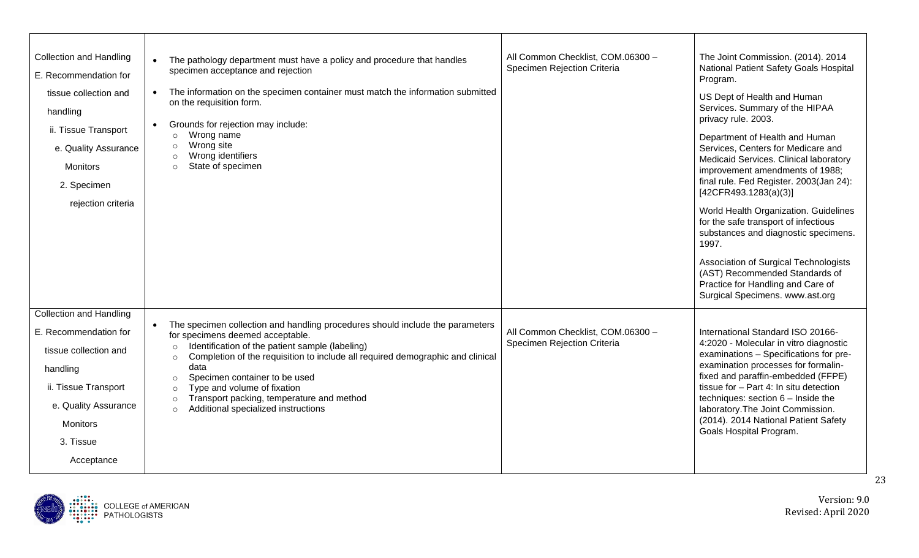| <b>Collection and Handling</b><br>E. Recommendation for<br>tissue collection and<br>handling<br>ii. Tissue Transport<br>e. Quality Assurance<br><b>Monitors</b><br>2. Specimen<br>rejection criteria | The pathology department must have a policy and procedure that handles<br>$\bullet$<br>specimen acceptance and rejection<br>The information on the specimen container must match the information submitted<br>$\bullet$<br>on the requisition form.<br>Grounds for rejection may include:<br>$\bullet$<br>Wrong name<br>$\circ$<br>Wrong site<br>$\circ$<br>Wrong identifiers<br>$\circ$<br>State of specimen<br>$\circ$                                                                          | All Common Checklist, COM.06300 -<br>Specimen Rejection Criteria | The Joint Commission. (2014). 2014<br>National Patient Safety Goals Hospital<br>Program.<br>US Dept of Health and Human<br>Services. Summary of the HIPAA<br>privacy rule. 2003.<br>Department of Health and Human<br>Services, Centers for Medicare and<br>Medicaid Services. Clinical laboratory<br>improvement amendments of 1988;<br>final rule. Fed Register. 2003(Jan 24):<br>[42CFR493.1283(a)(3)]<br>World Health Organization. Guidelines<br>for the safe transport of infectious<br>substances and diagnostic specimens.<br>1997.<br>Association of Surgical Technologists<br>(AST) Recommended Standards of<br>Practice for Handling and Care of<br>Surgical Specimens. www.ast.org |
|------------------------------------------------------------------------------------------------------------------------------------------------------------------------------------------------------|---------------------------------------------------------------------------------------------------------------------------------------------------------------------------------------------------------------------------------------------------------------------------------------------------------------------------------------------------------------------------------------------------------------------------------------------------------------------------------------------------|------------------------------------------------------------------|------------------------------------------------------------------------------------------------------------------------------------------------------------------------------------------------------------------------------------------------------------------------------------------------------------------------------------------------------------------------------------------------------------------------------------------------------------------------------------------------------------------------------------------------------------------------------------------------------------------------------------------------------------------------------------------------|
| <b>Collection and Handling</b><br>E. Recommendation for<br>tissue collection and<br>handling<br>ii. Tissue Transport<br>e. Quality Assurance<br><b>Monitors</b><br>3. Tissue<br>Acceptance           | The specimen collection and handling procedures should include the parameters<br>$\bullet$<br>for specimens deemed acceptable.<br>Identification of the patient sample (labeling)<br>$\circ$<br>Completion of the requisition to include all required demographic and clinical<br>$\circ$<br>data<br>Specimen container to be used<br>$\circ$<br>Type and volume of fixation<br>$\circ$<br>Transport packing, temperature and method<br>$\circ$<br>Additional specialized instructions<br>$\circ$ | All Common Checklist, COM.06300 -<br>Specimen Rejection Criteria | International Standard ISO 20166-<br>4:2020 - Molecular in vitro diagnostic<br>examinations - Specifications for pre-<br>examination processes for formalin-<br>fixed and paraffin-embedded (FFPE)<br>tissue for - Part 4: In situ detection<br>techniques: section 6 - Inside the<br>laboratory. The Joint Commission.<br>(2014). 2014 National Patient Safety<br>Goals Hospital Program.                                                                                                                                                                                                                                                                                                     |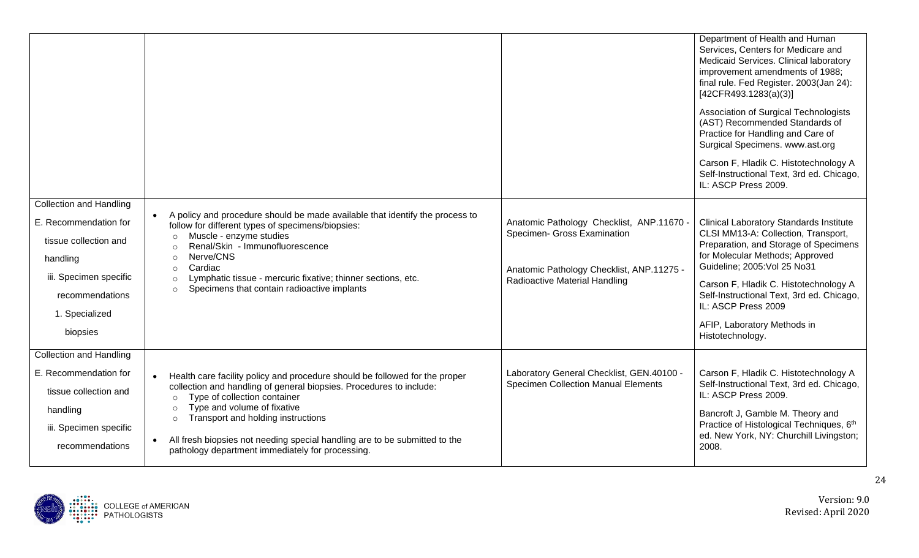|                                                                                                                                                                         |                                                                                                                                                                                                                                                                                                                                                                                                                            |                                                                                                                                                        | Department of Health and Human<br>Services, Centers for Medicare and<br>Medicaid Services. Clinical laboratory<br>improvement amendments of 1988;<br>final rule. Fed Register. 2003(Jan 24):<br>[42CFR493.1283(a)(3)]<br>Association of Surgical Technologists<br>(AST) Recommended Standards of<br>Practice for Handling and Care of<br>Surgical Specimens. www.ast.org<br>Carson F, Hladik C. Histotechnology A<br>Self-Instructional Text, 3rd ed. Chicago,<br>IL: ASCP Press 2009. |
|-------------------------------------------------------------------------------------------------------------------------------------------------------------------------|----------------------------------------------------------------------------------------------------------------------------------------------------------------------------------------------------------------------------------------------------------------------------------------------------------------------------------------------------------------------------------------------------------------------------|--------------------------------------------------------------------------------------------------------------------------------------------------------|----------------------------------------------------------------------------------------------------------------------------------------------------------------------------------------------------------------------------------------------------------------------------------------------------------------------------------------------------------------------------------------------------------------------------------------------------------------------------------------|
| <b>Collection and Handling</b><br>E. Recommendation for<br>tissue collection and<br>handling<br>iii. Specimen specific<br>recommendations<br>1. Specialized<br>biopsies | A policy and procedure should be made available that identify the process to<br>follow for different types of specimens/biopsies:<br>Muscle - enzyme studies<br>$\circ$<br>Renal/Skin - Immunofluorescence<br>$\Omega$<br>Nerve/CNS<br>$\circ$<br>Cardiac<br>$\circ$<br>Lymphatic tissue - mercuric fixative; thinner sections, etc.<br>$\circ$<br>Specimens that contain radioactive implants<br>$\circ$                  | Anatomic Pathology Checklist, ANP.11670 -<br>Specimen- Gross Examination<br>Anatomic Pathology Checklist, ANP.11275 -<br>Radioactive Material Handling | <b>Clinical Laboratory Standards Institute</b><br>CLSI MM13-A: Collection, Transport,<br>Preparation, and Storage of Specimens<br>for Molecular Methods; Approved<br>Guideline; 2005: Vol 25 No31<br>Carson F, Hladik C. Histotechnology A<br>Self-Instructional Text, 3rd ed. Chicago,<br>IL: ASCP Press 2009<br>AFIP, Laboratory Methods in<br>Histotechnology.                                                                                                                      |
| <b>Collection and Handling</b><br>E. Recommendation for<br>tissue collection and<br>handling<br>iii. Specimen specific<br>recommendations                               | Health care facility policy and procedure should be followed for the proper<br>collection and handling of general biopsies. Procedures to include:<br>Type of collection container<br>$\circ$<br>Type and volume of fixative<br>$\circ$<br>Transport and holding instructions<br>$\circ$<br>All fresh biopsies not needing special handling are to be submitted to the<br>pathology department immediately for processing. | Laboratory General Checklist, GEN.40100 -<br><b>Specimen Collection Manual Elements</b>                                                                | Carson F, Hladik C. Histotechnology A<br>Self-Instructional Text, 3rd ed. Chicago,<br>IL: ASCP Press 2009.<br>Bancroft J, Gamble M. Theory and<br>Practice of Histological Techniques, 6th<br>ed. New York, NY: Churchill Livingston;<br>2008.                                                                                                                                                                                                                                         |

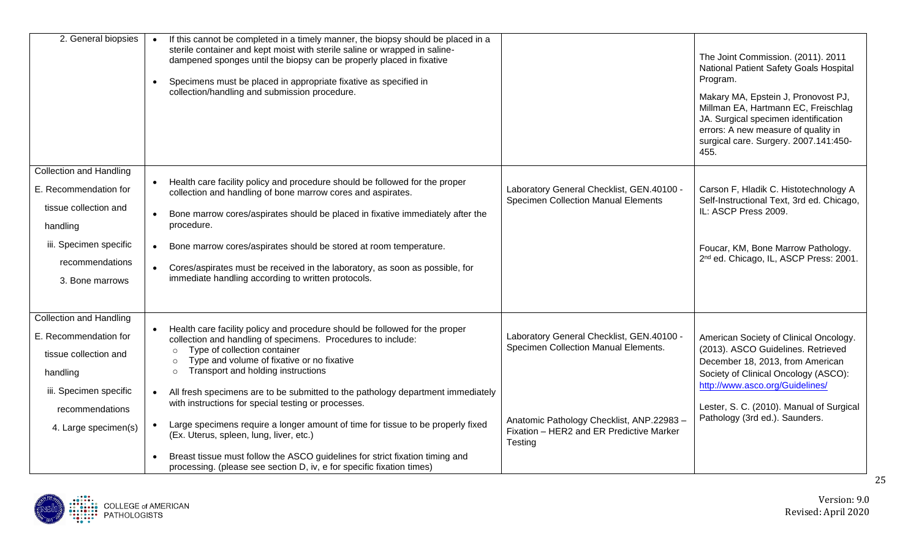| 2. General biopsies                                                                                                                                               | If this cannot be completed in a timely manner, the biopsy should be placed in a<br>$\bullet$<br>sterile container and kept moist with sterile saline or wrapped in saline-<br>dampened sponges until the biopsy can be properly placed in fixative<br>Specimens must be placed in appropriate fixative as specified in<br>collection/handling and submission procedure.                                                                                                                                                                                                                                                                                                                                                                                    |                                                                                                                                                                                       | The Joint Commission. (2011). 2011<br>National Patient Safety Goals Hospital<br>Program.<br>Makary MA, Epstein J, Pronovost PJ,<br>Millman EA, Hartmann EC, Freischlag<br>JA. Surgical specimen identification<br>errors: A new measure of quality in<br>surgical care. Surgery. 2007.141:450-<br>455. |
|-------------------------------------------------------------------------------------------------------------------------------------------------------------------|-------------------------------------------------------------------------------------------------------------------------------------------------------------------------------------------------------------------------------------------------------------------------------------------------------------------------------------------------------------------------------------------------------------------------------------------------------------------------------------------------------------------------------------------------------------------------------------------------------------------------------------------------------------------------------------------------------------------------------------------------------------|---------------------------------------------------------------------------------------------------------------------------------------------------------------------------------------|--------------------------------------------------------------------------------------------------------------------------------------------------------------------------------------------------------------------------------------------------------------------------------------------------------|
| <b>Collection and Handling</b><br>E. Recommendation for<br>tissue collection and<br>handling<br>iii. Specimen specific<br>recommendations<br>3. Bone marrows      | Health care facility policy and procedure should be followed for the proper<br>$\bullet$<br>collection and handling of bone marrow cores and aspirates.<br>Bone marrow cores/aspirates should be placed in fixative immediately after the<br>procedure.<br>Bone marrow cores/aspirates should be stored at room temperature.<br>$\bullet$<br>Cores/aspirates must be received in the laboratory, as soon as possible, for<br>immediate handling according to written protocols.                                                                                                                                                                                                                                                                             | Laboratory General Checklist, GEN.40100 -<br><b>Specimen Collection Manual Elements</b>                                                                                               | Carson F, Hladik C. Histotechnology A<br>Self-Instructional Text, 3rd ed. Chicago,<br>IL: ASCP Press 2009.<br>Foucar, KM, Bone Marrow Pathology.<br>2 <sup>nd</sup> ed. Chicago, IL, ASCP Press: 2001.                                                                                                 |
| <b>Collection and Handling</b><br>E. Recommendation for<br>tissue collection and<br>handling<br>iii. Specimen specific<br>recommendations<br>4. Large specimen(s) | Health care facility policy and procedure should be followed for the proper<br>collection and handling of specimens. Procedures to include:<br>Type of collection container<br>$\circ$<br>Type and volume of fixative or no fixative<br>$\circ$<br>Transport and holding instructions<br>$\circ$<br>All fresh specimens are to be submitted to the pathology department immediately<br>$\bullet$<br>with instructions for special testing or processes.<br>Large specimens require a longer amount of time for tissue to be properly fixed<br>$\bullet$<br>(Ex. Uterus, spleen, lung, liver, etc.)<br>Breast tissue must follow the ASCO guidelines for strict fixation timing and<br>processing. (please see section D, iv, e for specific fixation times) | Laboratory General Checklist, GEN.40100 -<br>Specimen Collection Manual Elements.<br>Anatomic Pathology Checklist, ANP.22983 -<br>Fixation - HER2 and ER Predictive Marker<br>Testing | American Society of Clinical Oncology.<br>(2013). ASCO Guidelines. Retrieved<br>December 18, 2013, from American<br>Society of Clinical Oncology (ASCO):<br>http://www.asco.org/Guidelines/<br>Lester, S. C. (2010). Manual of Surgical<br>Pathology (3rd ed.). Saunders.                              |

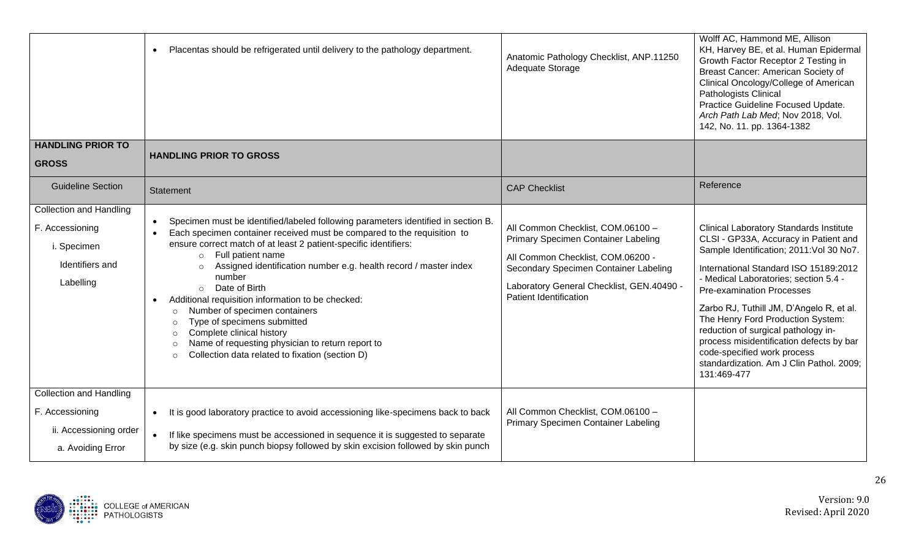| <b>HANDLING PRIOR TO</b>                                                                         | Placentas should be refrigerated until delivery to the pathology department.<br>$\bullet$                                                                                                                                                                                                                                                                                                                                                                                                                                                                                                                                                                                                                 | Anatomic Pathology Checklist, ANP.11250<br>Adequate Storage                                                                                                                                                                          | Wolff AC, Hammond ME, Allison<br>KH, Harvey BE, et al. Human Epidermal<br>Growth Factor Receptor 2 Testing in<br>Breast Cancer: American Society of<br>Clinical Oncology/College of American<br>Pathologists Clinical<br>Practice Guideline Focused Update.<br>Arch Path Lab Med; Nov 2018, Vol.<br>142, No. 11. pp. 1364-1382                                                                                                                                                                                          |
|--------------------------------------------------------------------------------------------------|-----------------------------------------------------------------------------------------------------------------------------------------------------------------------------------------------------------------------------------------------------------------------------------------------------------------------------------------------------------------------------------------------------------------------------------------------------------------------------------------------------------------------------------------------------------------------------------------------------------------------------------------------------------------------------------------------------------|--------------------------------------------------------------------------------------------------------------------------------------------------------------------------------------------------------------------------------------|-------------------------------------------------------------------------------------------------------------------------------------------------------------------------------------------------------------------------------------------------------------------------------------------------------------------------------------------------------------------------------------------------------------------------------------------------------------------------------------------------------------------------|
| <b>GROSS</b>                                                                                     | <b>HANDLING PRIOR TO GROSS</b>                                                                                                                                                                                                                                                                                                                                                                                                                                                                                                                                                                                                                                                                            |                                                                                                                                                                                                                                      |                                                                                                                                                                                                                                                                                                                                                                                                                                                                                                                         |
| <b>Guideline Section</b>                                                                         | Statement                                                                                                                                                                                                                                                                                                                                                                                                                                                                                                                                                                                                                                                                                                 | <b>CAP Checklist</b>                                                                                                                                                                                                                 | Reference                                                                                                                                                                                                                                                                                                                                                                                                                                                                                                               |
| <b>Collection and Handling</b><br>F. Accessioning<br>i. Specimen<br>Identifiers and<br>Labelling | Specimen must be identified/labeled following parameters identified in section B.<br>$\bullet$<br>Each specimen container received must be compared to the requisition to<br>ensure correct match of at least 2 patient-specific identifiers:<br>Full patient name<br>$\circ$<br>Assigned identification number e.g. health record / master index<br>$\circ$<br>number<br>o Date of Birth<br>Additional requisition information to be checked:<br>Number of specimen containers<br>$\circ$<br>Type of specimens submitted<br>$\circ$<br>Complete clinical history<br>$\circ$<br>Name of requesting physician to return report to<br>$\circ$<br>Collection data related to fixation (section D)<br>$\circ$ | All Common Checklist, COM.06100 -<br>Primary Specimen Container Labeling<br>All Common Checklist, COM.06200 -<br>Secondary Specimen Container Labeling<br>Laboratory General Checklist, GEN.40490 -<br><b>Patient Identification</b> | <b>Clinical Laboratory Standards Institute</b><br>CLSI - GP33A, Accuracy in Patient and<br>Sample Identification; 2011: Vol 30 No7.<br>International Standard ISO 15189:2012<br>- Medical Laboratories; section 5.4 -<br><b>Pre-examination Processes</b><br>Zarbo RJ, Tuthill JM, D'Angelo R, et al.<br>The Henry Ford Production System:<br>reduction of surgical pathology in-<br>process misidentification defects by bar<br>code-specified work process<br>standardization. Am J Clin Pathol. 2009;<br>131:469-477 |
| <b>Collection and Handling</b><br>F. Accessioning<br>ii. Accessioning order<br>a. Avoiding Error | It is good laboratory practice to avoid accessioning like-specimens back to back<br>$\bullet$<br>If like specimens must be accessioned in sequence it is suggested to separate<br>$\bullet$<br>by size (e.g. skin punch biopsy followed by skin excision followed by skin punch                                                                                                                                                                                                                                                                                                                                                                                                                           | All Common Checklist, COM.06100 -<br>Primary Specimen Container Labeling                                                                                                                                                             |                                                                                                                                                                                                                                                                                                                                                                                                                                                                                                                         |

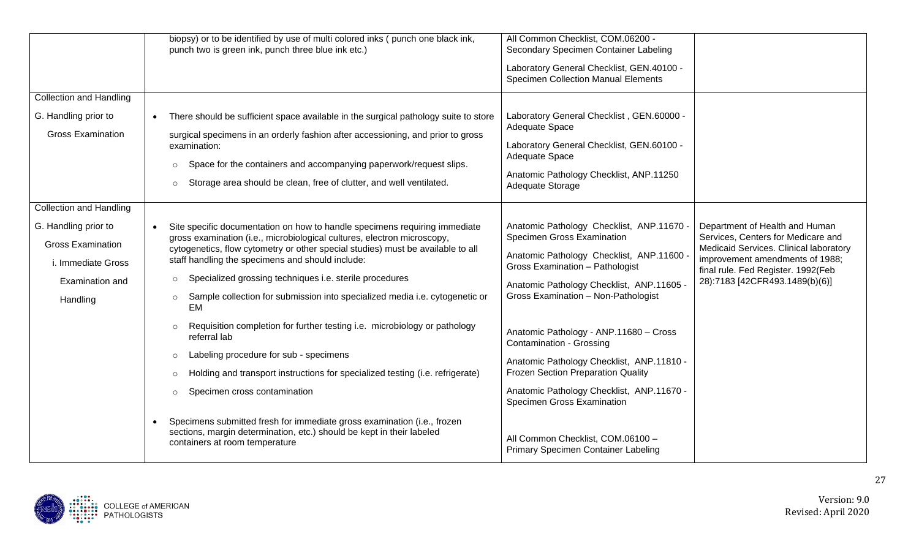|                                                        | biopsy) or to be identified by use of multi colored inks (punch one black ink,<br>punch two is green ink, punch three blue ink etc.)                                                            | All Common Checklist, COM.06200 -<br>Secondary Specimen Container Labeling<br>Laboratory General Checklist, GEN.40100 -<br><b>Specimen Collection Manual Elements</b> |                                                                                                                 |
|--------------------------------------------------------|-------------------------------------------------------------------------------------------------------------------------------------------------------------------------------------------------|-----------------------------------------------------------------------------------------------------------------------------------------------------------------------|-----------------------------------------------------------------------------------------------------------------|
| <b>Collection and Handling</b><br>G. Handling prior to | There should be sufficient space available in the surgical pathology suite to store<br>$\bullet$                                                                                                | Laboratory General Checklist, GEN.60000 -                                                                                                                             |                                                                                                                 |
| <b>Gross Examination</b>                               | surgical specimens in an orderly fashion after accessioning, and prior to gross<br>examination:<br>Space for the containers and accompanying paperwork/request slips.<br>$\circ$                | Adequate Space<br>Laboratory General Checklist, GEN.60100 -<br>Adequate Space                                                                                         |                                                                                                                 |
|                                                        | Storage area should be clean, free of clutter, and well ventilated.<br>$\circ$                                                                                                                  | Anatomic Pathology Checklist, ANP.11250<br>Adequate Storage                                                                                                           |                                                                                                                 |
| <b>Collection and Handling</b>                         |                                                                                                                                                                                                 |                                                                                                                                                                       |                                                                                                                 |
| G. Handling prior to<br><b>Gross Examination</b>       | Site specific documentation on how to handle specimens requiring immediate<br>gross examination (i.e., microbiological cultures, electron microscopy,                                           | Anatomic Pathology Checklist, ANP.11670 -<br>Specimen Gross Examination                                                                                               | Department of Health and Human<br>Services, Centers for Medicare and                                            |
| i. Immediate Gross                                     | cytogenetics, flow cytometry or other special studies) must be available to all<br>staff handling the specimens and should include:                                                             | Anatomic Pathology Checklist, ANP.11600 -<br>Gross Examination - Pathologist                                                                                          | Medicaid Services. Clinical laboratory<br>improvement amendments of 1988;<br>final rule. Fed Register. 1992(Feb |
| Examination and                                        | Specialized grossing techniques i.e. sterile procedures<br>$\circ$                                                                                                                              | Anatomic Pathology Checklist, ANP.11605 -                                                                                                                             | 28):7183 [42CFR493.1489(b)(6)]                                                                                  |
| Handling                                               | Sample collection for submission into specialized media i.e. cytogenetic or<br>$\circ$<br>EM                                                                                                    | Gross Examination - Non-Pathologist                                                                                                                                   |                                                                                                                 |
|                                                        | Requisition completion for further testing i.e. microbiology or pathology<br>$\circ$<br>referral lab                                                                                            | Anatomic Pathology - ANP.11680 - Cross<br>Contamination - Grossing                                                                                                    |                                                                                                                 |
|                                                        | Labeling procedure for sub - specimens<br>$\circ$                                                                                                                                               | Anatomic Pathology Checklist, ANP.11810 -                                                                                                                             |                                                                                                                 |
|                                                        | Holding and transport instructions for specialized testing (i.e. refrigerate)<br>$\circ$                                                                                                        | Frozen Section Preparation Quality                                                                                                                                    |                                                                                                                 |
|                                                        | Specimen cross contamination<br>$\circ$                                                                                                                                                         | Anatomic Pathology Checklist, ANP.11670 -<br>Specimen Gross Examination                                                                                               |                                                                                                                 |
|                                                        | Specimens submitted fresh for immediate gross examination (i.e., frozen<br>$\bullet$<br>sections, margin determination, etc.) should be kept in their labeled<br>containers at room temperature | All Common Checklist, COM.06100 -<br>Primary Specimen Container Labeling                                                                                              |                                                                                                                 |

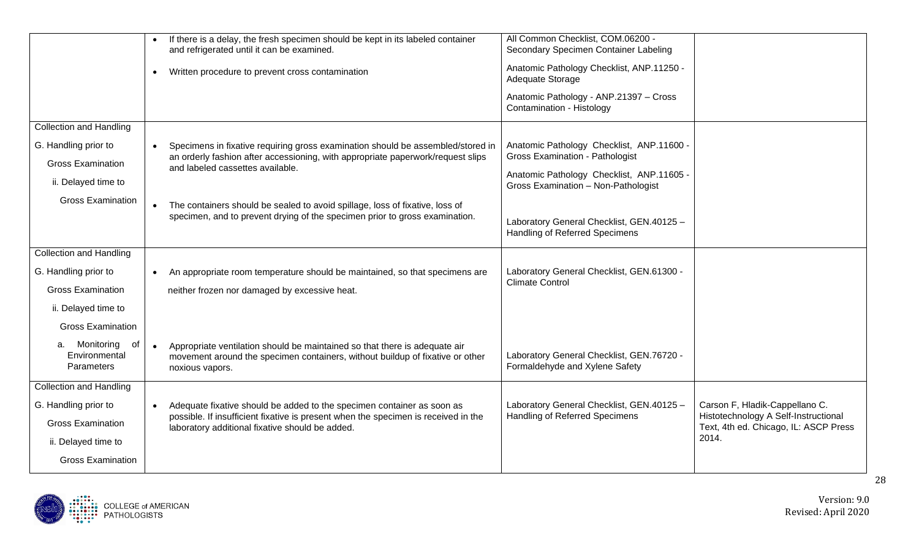|                                                    | If there is a delay, the fresh specimen should be kept in its labeled container<br>and refrigerated until it can be examined.<br>Written procedure to prevent cross contamination<br>$\bullet$ | All Common Checklist, COM.06200 -<br>Secondary Specimen Container Labeling<br>Anatomic Pathology Checklist, ANP.11250 -<br>Adequate Storage |                                                                        |
|----------------------------------------------------|------------------------------------------------------------------------------------------------------------------------------------------------------------------------------------------------|---------------------------------------------------------------------------------------------------------------------------------------------|------------------------------------------------------------------------|
|                                                    |                                                                                                                                                                                                | Anatomic Pathology - ANP.21397 - Cross<br>Contamination - Histology                                                                         |                                                                        |
| <b>Collection and Handling</b>                     |                                                                                                                                                                                                |                                                                                                                                             |                                                                        |
| G. Handling prior to<br><b>Gross Examination</b>   | Specimens in fixative requiring gross examination should be assembled/stored in<br>$\bullet$<br>an orderly fashion after accessioning, with appropriate paperwork/request slips                | Anatomic Pathology Checklist, ANP.11600 -<br><b>Gross Examination - Pathologist</b>                                                         |                                                                        |
| ii. Delayed time to                                | and labeled cassettes available.                                                                                                                                                               | Anatomic Pathology Checklist, ANP.11605 -<br>Gross Examination - Non-Pathologist                                                            |                                                                        |
| <b>Gross Examination</b>                           | The containers should be sealed to avoid spillage, loss of fixative, loss of<br>specimen, and to prevent drying of the specimen prior to gross examination.                                    | Laboratory General Checklist, GEN.40125 -<br>Handling of Referred Specimens                                                                 |                                                                        |
| <b>Collection and Handling</b>                     |                                                                                                                                                                                                |                                                                                                                                             |                                                                        |
| G. Handling prior to                               | An appropriate room temperature should be maintained, so that specimens are                                                                                                                    | Laboratory General Checklist, GEN.61300 -<br><b>Climate Control</b>                                                                         |                                                                        |
| <b>Gross Examination</b><br>ii. Delayed time to    | neither frozen nor damaged by excessive heat.                                                                                                                                                  |                                                                                                                                             |                                                                        |
| <b>Gross Examination</b>                           |                                                                                                                                                                                                |                                                                                                                                             |                                                                        |
| a. Monitoring<br>of<br>Environmental<br>Parameters | Appropriate ventilation should be maintained so that there is adequate air<br>movement around the specimen containers, without buildup of fixative or other<br>noxious vapors.                 | Laboratory General Checklist, GEN.76720 -<br>Formaldehyde and Xylene Safety                                                                 |                                                                        |
| <b>Collection and Handling</b>                     |                                                                                                                                                                                                |                                                                                                                                             |                                                                        |
| G. Handling prior to                               | Adequate fixative should be added to the specimen container as soon as<br>$\bullet$<br>possible. If insufficient fixative is present when the specimen is received in the                      | Laboratory General Checklist, GEN.40125 -<br>Handling of Referred Specimens                                                                 | Carson F, Hladik-Cappellano C.<br>Histotechnology A Self-Instructional |
| <b>Gross Examination</b>                           | laboratory additional fixative should be added.                                                                                                                                                |                                                                                                                                             | Text, 4th ed. Chicago, IL: ASCP Press                                  |
| ii. Delayed time to                                |                                                                                                                                                                                                |                                                                                                                                             | 2014.                                                                  |
| <b>Gross Examination</b>                           |                                                                                                                                                                                                |                                                                                                                                             |                                                                        |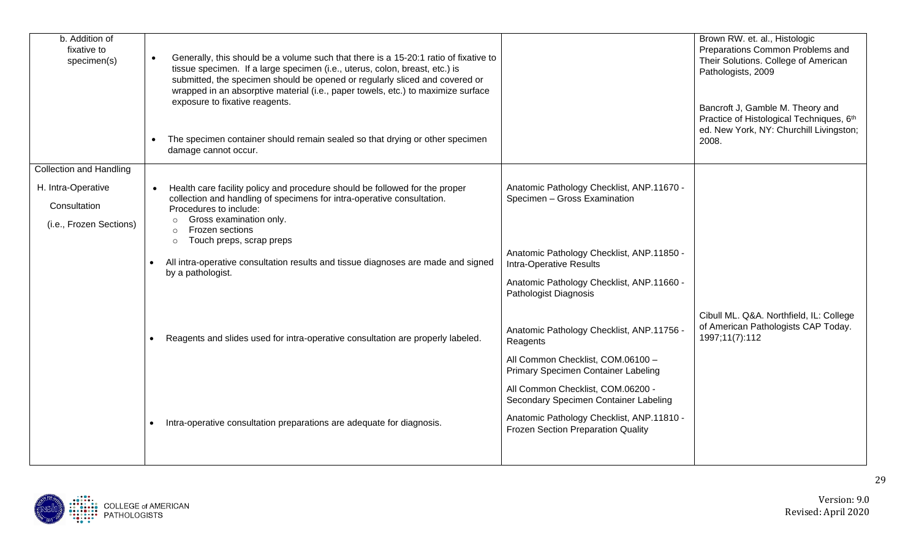| b. Addition of<br>fixative to<br>specimen(s) | Generally, this should be a volume such that there is a 15-20:1 ratio of fixative to<br>tissue specimen. If a large specimen (i.e., uterus, colon, breast, etc.) is<br>submitted, the specimen should be opened or regularly sliced and covered or<br>wrapped in an absorptive material (i.e., paper towels, etc.) to maximize surface<br>exposure to fixative reagents.<br>The specimen container should remain sealed so that drying or other specimen<br>damage cannot occur. |                                                                                 | Brown RW. et. al., Histologic<br>Preparations Common Problems and<br>Their Solutions. College of American<br>Pathologists, 2009<br>Bancroft J, Gamble M. Theory and<br>Practice of Histological Techniques, 6th<br>ed. New York, NY: Churchill Livingston;<br>2008. |
|----------------------------------------------|----------------------------------------------------------------------------------------------------------------------------------------------------------------------------------------------------------------------------------------------------------------------------------------------------------------------------------------------------------------------------------------------------------------------------------------------------------------------------------|---------------------------------------------------------------------------------|---------------------------------------------------------------------------------------------------------------------------------------------------------------------------------------------------------------------------------------------------------------------|
| <b>Collection and Handling</b>               |                                                                                                                                                                                                                                                                                                                                                                                                                                                                                  |                                                                                 |                                                                                                                                                                                                                                                                     |
| H. Intra-Operative                           | Health care facility policy and procedure should be followed for the proper                                                                                                                                                                                                                                                                                                                                                                                                      | Anatomic Pathology Checklist, ANP.11670 -                                       |                                                                                                                                                                                                                                                                     |
| Consultation                                 | collection and handling of specimens for intra-operative consultation.<br>Procedures to include:                                                                                                                                                                                                                                                                                                                                                                                 | Specimen - Gross Examination                                                    |                                                                                                                                                                                                                                                                     |
| (i.e., Frozen Sections)                      | Gross examination only.<br>$\Omega$<br><b>Frozen sections</b>                                                                                                                                                                                                                                                                                                                                                                                                                    |                                                                                 |                                                                                                                                                                                                                                                                     |
|                                              | Touch preps, scrap preps<br>$\circ$                                                                                                                                                                                                                                                                                                                                                                                                                                              |                                                                                 |                                                                                                                                                                                                                                                                     |
|                                              | All intra-operative consultation results and tissue diagnoses are made and signed<br>by a pathologist.                                                                                                                                                                                                                                                                                                                                                                           | Anatomic Pathology Checklist, ANP.11850 -<br><b>Intra-Operative Results</b>     |                                                                                                                                                                                                                                                                     |
|                                              |                                                                                                                                                                                                                                                                                                                                                                                                                                                                                  | Anatomic Pathology Checklist, ANP.11660 -<br>Pathologist Diagnosis              |                                                                                                                                                                                                                                                                     |
|                                              |                                                                                                                                                                                                                                                                                                                                                                                                                                                                                  |                                                                                 | Cibull ML. Q&A. Northfield, IL: College                                                                                                                                                                                                                             |
|                                              | Reagents and slides used for intra-operative consultation are properly labeled.                                                                                                                                                                                                                                                                                                                                                                                                  | Anatomic Pathology Checklist, ANP.11756 -<br>Reagents                           | of American Pathologists CAP Today.<br>1997;11(7):112                                                                                                                                                                                                               |
|                                              |                                                                                                                                                                                                                                                                                                                                                                                                                                                                                  | All Common Checklist, COM.06100 -<br>Primary Specimen Container Labeling        |                                                                                                                                                                                                                                                                     |
|                                              |                                                                                                                                                                                                                                                                                                                                                                                                                                                                                  | All Common Checklist, COM.06200 -<br>Secondary Specimen Container Labeling      |                                                                                                                                                                                                                                                                     |
|                                              | Intra-operative consultation preparations are adequate for diagnosis.                                                                                                                                                                                                                                                                                                                                                                                                            | Anatomic Pathology Checklist, ANP.11810 -<br>Frozen Section Preparation Quality |                                                                                                                                                                                                                                                                     |
|                                              |                                                                                                                                                                                                                                                                                                                                                                                                                                                                                  |                                                                                 |                                                                                                                                                                                                                                                                     |

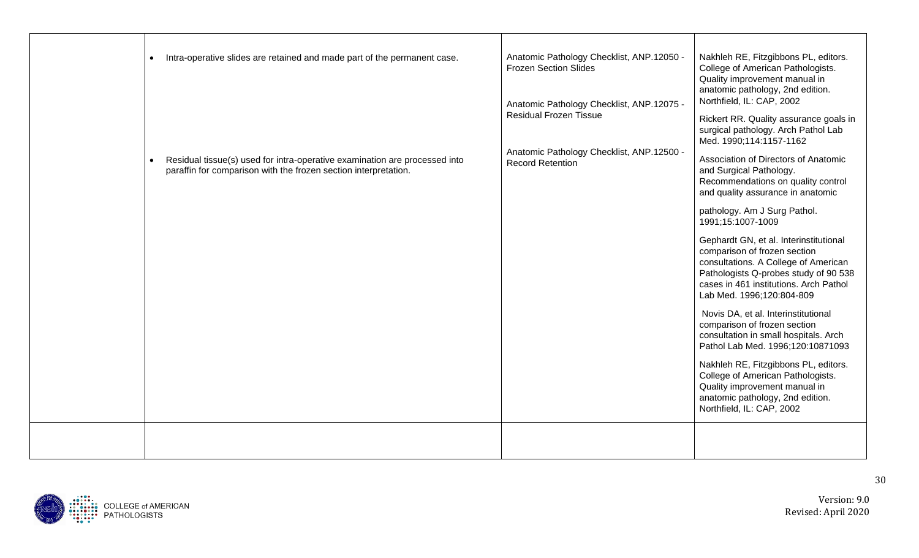| Intra-operative slides are retained and made part of the permanent case.<br>$\bullet$                                                         | Anatomic Pathology Checklist, ANP.12050 -<br><b>Frozen Section Slides</b> | Nakhleh RE, Fitzgibbons PL, editors.<br>College of American Pathologists.                                                                                                                                                      |
|-----------------------------------------------------------------------------------------------------------------------------------------------|---------------------------------------------------------------------------|--------------------------------------------------------------------------------------------------------------------------------------------------------------------------------------------------------------------------------|
|                                                                                                                                               | Anatomic Pathology Checklist, ANP.12075 -                                 | Quality improvement manual in<br>anatomic pathology, 2nd edition.<br>Northfield, IL: CAP, 2002                                                                                                                                 |
|                                                                                                                                               | <b>Residual Frozen Tissue</b>                                             | Rickert RR. Quality assurance goals in<br>surgical pathology. Arch Pathol Lab<br>Med. 1990;114:1157-1162                                                                                                                       |
| Residual tissue(s) used for intra-operative examination are processed into<br>paraffin for comparison with the frozen section interpretation. | Anatomic Pathology Checklist, ANP.12500 -<br><b>Record Retention</b>      | Association of Directors of Anatomic<br>and Surgical Pathology.<br>Recommendations on quality control<br>and quality assurance in anatomic                                                                                     |
|                                                                                                                                               |                                                                           | pathology. Am J Surg Pathol.<br>1991;15:1007-1009                                                                                                                                                                              |
|                                                                                                                                               |                                                                           | Gephardt GN, et al. Interinstitutional<br>comparison of frozen section<br>consultations. A College of American<br>Pathologists Q-probes study of 90 538<br>cases in 461 institutions. Arch Pathol<br>Lab Med. 1996;120:804-809 |
|                                                                                                                                               |                                                                           | Novis DA, et al. Interinstitutional<br>comparison of frozen section<br>consultation in small hospitals. Arch<br>Pathol Lab Med. 1996;120:10871093                                                                              |
|                                                                                                                                               |                                                                           | Nakhleh RE, Fitzgibbons PL, editors.<br>College of American Pathologists.<br>Quality improvement manual in<br>anatomic pathology, 2nd edition.<br>Northfield, IL: CAP, 2002                                                    |
|                                                                                                                                               |                                                                           |                                                                                                                                                                                                                                |

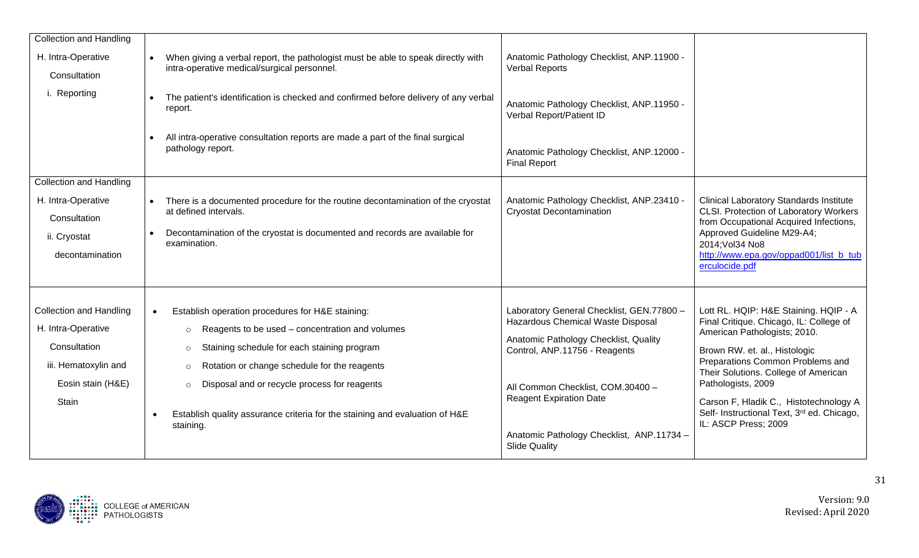| <b>Collection and Handling</b><br>H. Intra-Operative<br>Consultation<br>i. Reporting                                              | When giving a verbal report, the pathologist must be able to speak directly with<br>intra-operative medical/surgical personnel.<br>The patient's identification is checked and confirmed before delivery of any verbal<br>report.<br>All intra-operative consultation reports are made a part of the final surgical<br>pathology report.                                                                | Anatomic Pathology Checklist, ANP.11900 -<br><b>Verbal Reports</b><br>Anatomic Pathology Checklist, ANP.11950 -<br>Verbal Report/Patient ID<br>Anatomic Pathology Checklist, ANP.12000 -<br><b>Final Report</b>                                                                                      |                                                                                                                                                                                                                                                                                                                                                                     |
|-----------------------------------------------------------------------------------------------------------------------------------|---------------------------------------------------------------------------------------------------------------------------------------------------------------------------------------------------------------------------------------------------------------------------------------------------------------------------------------------------------------------------------------------------------|------------------------------------------------------------------------------------------------------------------------------------------------------------------------------------------------------------------------------------------------------------------------------------------------------|---------------------------------------------------------------------------------------------------------------------------------------------------------------------------------------------------------------------------------------------------------------------------------------------------------------------------------------------------------------------|
| <b>Collection and Handling</b><br>H. Intra-Operative<br>Consultation<br>ii. Cryostat<br>decontamination                           | There is a documented procedure for the routine decontamination of the cryostat<br>at defined intervals.<br>Decontamination of the cryostat is documented and records are available for<br>examination.                                                                                                                                                                                                 | Anatomic Pathology Checklist, ANP.23410 -<br><b>Cryostat Decontamination</b>                                                                                                                                                                                                                         | <b>Clinical Laboratory Standards Institute</b><br>CLSI. Protection of Laboratory Workers<br>from Occupational Acquired Infections,<br>Approved Guideline M29-A4;<br>2014; Vol34 No8<br>http://www.epa.gov/oppad001/list b tub<br>erculocide.pdf                                                                                                                     |
| <b>Collection and Handling</b><br>H. Intra-Operative<br>Consultation<br>iii. Hematoxylin and<br>Eosin stain (H&E)<br><b>Stain</b> | Establish operation procedures for H&E staining:<br>$\bullet$<br>Reagents to be used - concentration and volumes<br>$\circ$<br>Staining schedule for each staining program<br>$\circ$<br>Rotation or change schedule for the reagents<br>$\circ$<br>Disposal and or recycle process for reagents<br>$\circ$<br>Establish quality assurance criteria for the staining and evaluation of H&E<br>staining. | Laboratory General Checklist, GEN.77800 -<br>Hazardous Chemical Waste Disposal<br>Anatomic Pathology Checklist, Quality<br>Control, ANP.11756 - Reagents<br>All Common Checklist, COM.30400 -<br><b>Reagent Expiration Date</b><br>Anatomic Pathology Checklist, ANP.11734 -<br><b>Slide Quality</b> | Lott RL. HQIP: H&E Staining. HQIP - A<br>Final Critique. Chicago, IL: College of<br>American Pathologists; 2010.<br>Brown RW. et. al., Histologic<br>Preparations Common Problems and<br>Their Solutions. College of American<br>Pathologists, 2009<br>Carson F, Hladik C., Histotechnology A<br>Self- Instructional Text, 3rd ed. Chicago,<br>IL: ASCP Press; 2009 |

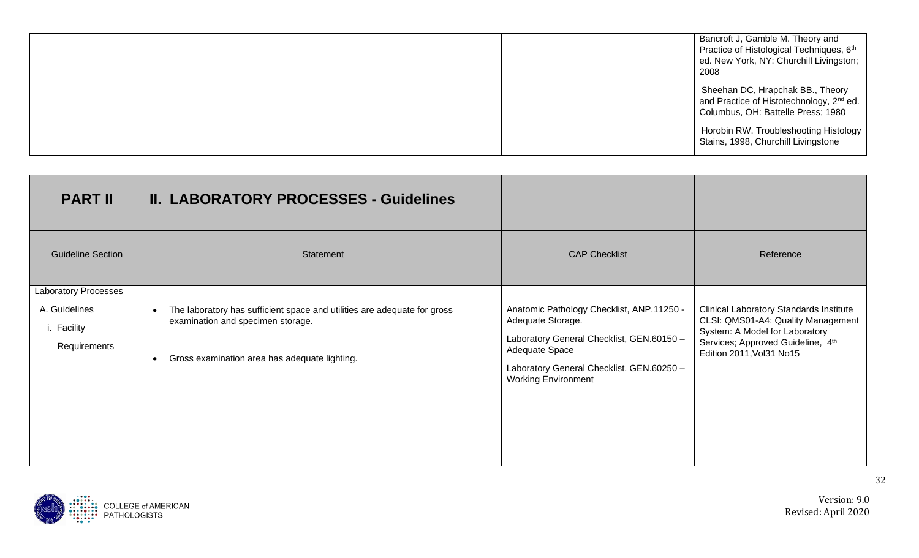|  | Bancroft J, Gamble M. Theory and<br>Practice of Histological Techniques, 6th<br>ed. New York, NY: Churchill Livingston;<br>2008 |
|--|---------------------------------------------------------------------------------------------------------------------------------|
|  | Sheehan DC, Hrapchak BB., Theory<br>and Practice of Histotechnology, 2 <sup>nd</sup> ed.<br>Columbus, OH: Battelle Press; 1980  |
|  | Horobin RW. Troubleshooting Histology  <br>Stains, 1998, Churchill Livingstone                                                  |

| <b>PART II</b>                                                              | <b>II. LABORATORY PROCESSES - Guidelines</b>                                                                                                                                             |                                                                                                                                                                                                          |                                                                                                                                                                                         |
|-----------------------------------------------------------------------------|------------------------------------------------------------------------------------------------------------------------------------------------------------------------------------------|----------------------------------------------------------------------------------------------------------------------------------------------------------------------------------------------------------|-----------------------------------------------------------------------------------------------------------------------------------------------------------------------------------------|
| <b>Guideline Section</b>                                                    | Statement                                                                                                                                                                                | <b>CAP Checklist</b>                                                                                                                                                                                     | Reference                                                                                                                                                                               |
| <b>Laboratory Processes</b><br>A. Guidelines<br>i. Facility<br>Requirements | The laboratory has sufficient space and utilities are adequate for gross<br>$\bullet$<br>examination and specimen storage.<br>Gross examination area has adequate lighting.<br>$\bullet$ | Anatomic Pathology Checklist, ANP.11250 -<br>Adequate Storage.<br>Laboratory General Checklist, GEN.60150 -<br>Adequate Space<br>Laboratory General Checklist, GEN.60250 -<br><b>Working Environment</b> | <b>Clinical Laboratory Standards Institute</b><br>CLSI: QMS01-A4: Quality Management<br>System: A Model for Laboratory<br>Services; Approved Guideline, 4th<br>Edition 2011, Vol31 No15 |

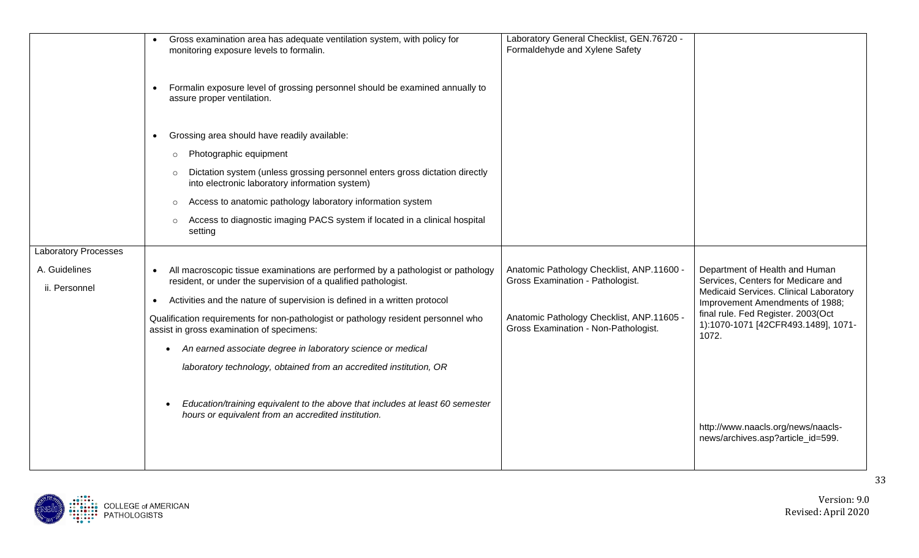| Gross examination area has adequate ventilation system, with policy for<br>monitoring exposure levels to formalin.                                             | Formaldehyde and Xylene Safety                                                    |                                                                                                                |
|----------------------------------------------------------------------------------------------------------------------------------------------------------------|-----------------------------------------------------------------------------------|----------------------------------------------------------------------------------------------------------------|
| Formalin exposure level of grossing personnel should be examined annually to<br>$\bullet$<br>assure proper ventilation.                                        |                                                                                   |                                                                                                                |
| Grossing area should have readily available:<br>$\bullet$                                                                                                      |                                                                                   |                                                                                                                |
| Photographic equipment<br>$\circ$                                                                                                                              |                                                                                   |                                                                                                                |
| Dictation system (unless grossing personnel enters gross dictation directly<br>$\circ$<br>into electronic laboratory information system)                       |                                                                                   |                                                                                                                |
| Access to anatomic pathology laboratory information system<br>$\circ$                                                                                          |                                                                                   |                                                                                                                |
| Access to diagnostic imaging PACS system if located in a clinical hospital<br>$\circ$<br>setting                                                               |                                                                                   |                                                                                                                |
|                                                                                                                                                                |                                                                                   |                                                                                                                |
| All macroscopic tissue examinations are performed by a pathologist or pathology<br>$\bullet$<br>resident, or under the supervision of a qualified pathologist. | Anatomic Pathology Checklist, ANP.11600 -<br>Gross Examination - Pathologist.     | Department of Health and Human<br>Services, Centers for Medicare and<br>Medicaid Services. Clinical Laboratory |
| Activities and the nature of supervision is defined in a written protocol<br>$\bullet$                                                                         |                                                                                   | Improvement Amendments of 1988;                                                                                |
| Qualification requirements for non-pathologist or pathology resident personnel who<br>assist in gross examination of specimens:                                | Anatomic Pathology Checklist, ANP.11605 -<br>Gross Examination - Non-Pathologist. | final rule. Fed Register. 2003(Oct<br>1):1070-1071 [42CFR493.1489], 1071-<br>1072.                             |
| • An earned associate degree in laboratory science or medical                                                                                                  |                                                                                   |                                                                                                                |
| laboratory technology, obtained from an accredited institution, OR                                                                                             |                                                                                   |                                                                                                                |
| Education/training equivalent to the above that includes at least 60 semester<br>hours or equivalent from an accredited institution.                           |                                                                                   | http://www.naacls.org/news/naacls-<br>news/archives.asp?article_id=599.                                        |
|                                                                                                                                                                |                                                                                   |                                                                                                                |

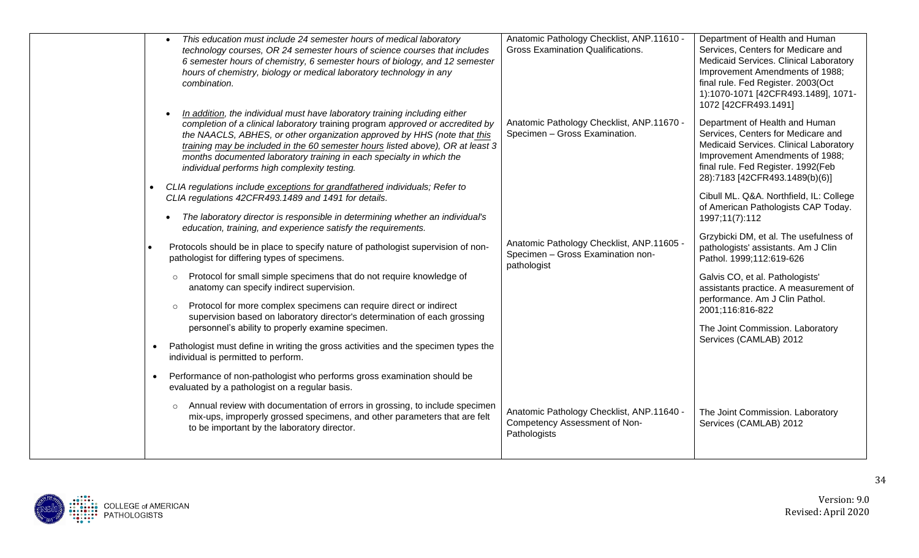| This education must include 24 semester hours of medical laboratory                                                                                                                                                                                                                                                                                                                                                                                | Anatomic Pathology Checklist, ANP.11610 -                                                     | Department of Health and Human                                                                                                                                                                                            |
|----------------------------------------------------------------------------------------------------------------------------------------------------------------------------------------------------------------------------------------------------------------------------------------------------------------------------------------------------------------------------------------------------------------------------------------------------|-----------------------------------------------------------------------------------------------|---------------------------------------------------------------------------------------------------------------------------------------------------------------------------------------------------------------------------|
| technology courses, OR 24 semester hours of science courses that includes<br>6 semester hours of chemistry, 6 semester hours of biology, and 12 semester<br>hours of chemistry, biology or medical laboratory technology in any<br>combination.                                                                                                                                                                                                    | <b>Gross Examination Qualifications.</b>                                                      | Services, Centers for Medicare and<br>Medicaid Services. Clinical Laboratory<br>Improvement Amendments of 1988;<br>final rule. Fed Register. 2003(Oct<br>1):1070-1071 [42CFR493.1489], 1071-<br>1072 [42CFR493.1491]      |
| In addition, the individual must have laboratory training including either<br>completion of a clinical laboratory training program approved or accredited by<br>the NAACLS, ABHES, or other organization approved by HHS (note that this<br>training may be included in the 60 semester hours listed above), OR at least 3<br>months documented laboratory training in each specialty in which the<br>individual performs high complexity testing. | Anatomic Pathology Checklist, ANP.11670 -<br>Specimen - Gross Examination.                    | Department of Health and Human<br>Services, Centers for Medicare and<br>Medicaid Services. Clinical Laboratory<br>Improvement Amendments of 1988;<br>final rule. Fed Register. 1992(Feb<br>28):7183 [42CFR493.1489(b)(6)] |
| CLIA regulations include exceptions for grandfathered individuals; Refer to<br>CLIA regulations 42CFR493.1489 and 1491 for details.<br>The laboratory director is responsible in determining whether an individual's<br>education, training, and experience satisfy the requirements.                                                                                                                                                              |                                                                                               | Cibull ML. Q&A. Northfield, IL: College<br>of American Pathologists CAP Today.<br>1997;11(7):112                                                                                                                          |
| Protocols should be in place to specify nature of pathologist supervision of non-<br>pathologist for differing types of specimens.                                                                                                                                                                                                                                                                                                                 | Anatomic Pathology Checklist, ANP.11605 -<br>Specimen - Gross Examination non-<br>pathologist | Grzybicki DM, et al. The usefulness of<br>pathologists' assistants. Am J Clin<br>Pathol. 1999;112:619-626                                                                                                                 |
| Protocol for small simple specimens that do not require knowledge of<br>$\circ$<br>anatomy can specify indirect supervision.<br>Protocol for more complex specimens can require direct or indirect<br>$\circ$<br>supervision based on laboratory director's determination of each grossing<br>personnel's ability to properly examine specimen.                                                                                                    |                                                                                               | Galvis CO, et al. Pathologists'<br>assistants practice. A measurement of<br>performance. Am J Clin Pathol.<br>2001;116:816-822<br>The Joint Commission. Laboratory                                                        |
| Pathologist must define in writing the gross activities and the specimen types the<br>$\bullet$<br>individual is permitted to perform.                                                                                                                                                                                                                                                                                                             |                                                                                               | Services (CAMLAB) 2012                                                                                                                                                                                                    |
| Performance of non-pathologist who performs gross examination should be<br>$\bullet$<br>evaluated by a pathologist on a regular basis.                                                                                                                                                                                                                                                                                                             |                                                                                               |                                                                                                                                                                                                                           |
| Annual review with documentation of errors in grossing, to include specimen<br>$\circ$<br>mix-ups, improperly grossed specimens, and other parameters that are felt<br>to be important by the laboratory director.                                                                                                                                                                                                                                 | Anatomic Pathology Checklist, ANP.11640 -<br>Competency Assessment of Non-<br>Pathologists    | The Joint Commission. Laboratory<br>Services (CAMLAB) 2012                                                                                                                                                                |
|                                                                                                                                                                                                                                                                                                                                                                                                                                                    |                                                                                               |                                                                                                                                                                                                                           |

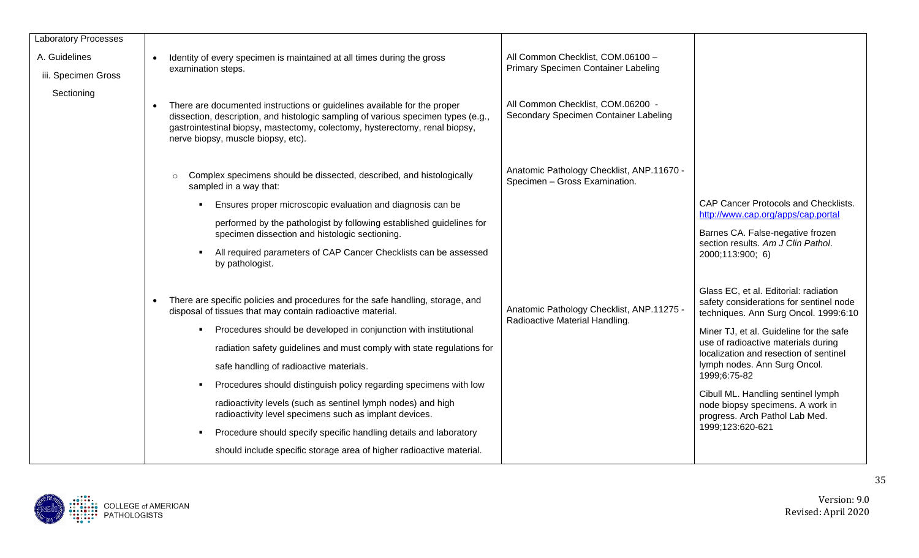| <b>Laboratory Processes</b> |                                                                                                                                                                                                                                                                                                                                                                                                                                                                                                                                                                                                                                                                                                |                                                                             |                                                                                                                                                                                                                                                                                                                                                                                                                                       |
|-----------------------------|------------------------------------------------------------------------------------------------------------------------------------------------------------------------------------------------------------------------------------------------------------------------------------------------------------------------------------------------------------------------------------------------------------------------------------------------------------------------------------------------------------------------------------------------------------------------------------------------------------------------------------------------------------------------------------------------|-----------------------------------------------------------------------------|---------------------------------------------------------------------------------------------------------------------------------------------------------------------------------------------------------------------------------------------------------------------------------------------------------------------------------------------------------------------------------------------------------------------------------------|
| A. Guidelines               | Identity of every specimen is maintained at all times during the gross                                                                                                                                                                                                                                                                                                                                                                                                                                                                                                                                                                                                                         | All Common Checklist, COM.06100 -                                           |                                                                                                                                                                                                                                                                                                                                                                                                                                       |
| iii. Specimen Gross         | examination steps.                                                                                                                                                                                                                                                                                                                                                                                                                                                                                                                                                                                                                                                                             | Primary Specimen Container Labeling                                         |                                                                                                                                                                                                                                                                                                                                                                                                                                       |
| Sectioning                  | There are documented instructions or guidelines available for the proper<br>dissection, description, and histologic sampling of various specimen types (e.g.,<br>gastrointestinal biopsy, mastectomy, colectomy, hysterectomy, renal biopsy,<br>nerve biopsy, muscle biopsy, etc).                                                                                                                                                                                                                                                                                                                                                                                                             | All Common Checklist, COM.06200 -<br>Secondary Specimen Container Labeling  |                                                                                                                                                                                                                                                                                                                                                                                                                                       |
|                             | Complex specimens should be dissected, described, and histologically<br>sampled in a way that:<br>Ensures proper microscopic evaluation and diagnosis can be                                                                                                                                                                                                                                                                                                                                                                                                                                                                                                                                   | Anatomic Pathology Checklist, ANP.11670 -<br>Specimen - Gross Examination.  | CAP Cancer Protocols and Checklists.                                                                                                                                                                                                                                                                                                                                                                                                  |
|                             | performed by the pathologist by following established guidelines for<br>specimen dissection and histologic sectioning.<br>All required parameters of CAP Cancer Checklists can be assessed<br>by pathologist.                                                                                                                                                                                                                                                                                                                                                                                                                                                                                  |                                                                             | http://www.cap.org/apps/cap.portal<br>Barnes CA. False-negative frozen<br>section results. Am J Clin Pathol.<br>2000;113:900; 6)                                                                                                                                                                                                                                                                                                      |
|                             | There are specific policies and procedures for the safe handling, storage, and<br>$\bullet$<br>disposal of tissues that may contain radioactive material.<br>Procedures should be developed in conjunction with institutional<br>radiation safety guidelines and must comply with state regulations for<br>safe handling of radioactive materials.<br>Procedures should distinguish policy regarding specimens with low<br>radioactivity levels (such as sentinel lymph nodes) and high<br>radioactivity level specimens such as implant devices.<br>Procedure should specify specific handling details and laboratory<br>should include specific storage area of higher radioactive material. | Anatomic Pathology Checklist, ANP.11275 -<br>Radioactive Material Handling. | Glass EC, et al. Editorial: radiation<br>safety considerations for sentinel node<br>techniques. Ann Surg Oncol. 1999:6:10<br>Miner TJ, et al. Guideline for the safe<br>use of radioactive materials during<br>localization and resection of sentinel<br>lymph nodes. Ann Surg Oncol.<br>1999;6:75-82<br>Cibull ML. Handling sentinel lymph<br>node biopsy specimens. A work in<br>progress. Arch Pathol Lab Med.<br>1999;123:620-621 |

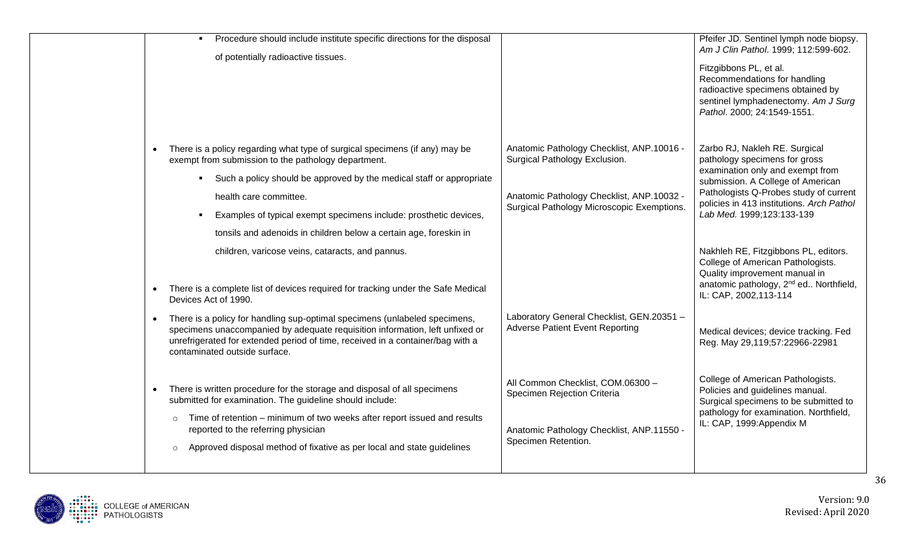| Procedure should include institute specific directions for the disposal<br>$\blacksquare$<br>of potentially radioactive tissues.                                                                                                                                                                                                                                                 |                                                                                                                                                                       | Pfeifer JD. Sentinel lymph node biopsy.<br>Am J Clin Pathol. 1999; 112:599-602.<br>Fitzgibbons PL, et al.<br>Recommendations for handling<br>radioactive specimens obtained by<br>sentinel lymphadenectomy. Am J Surg<br>Pathol. 2000; 24:1549-1551.        |
|----------------------------------------------------------------------------------------------------------------------------------------------------------------------------------------------------------------------------------------------------------------------------------------------------------------------------------------------------------------------------------|-----------------------------------------------------------------------------------------------------------------------------------------------------------------------|-------------------------------------------------------------------------------------------------------------------------------------------------------------------------------------------------------------------------------------------------------------|
| There is a policy regarding what type of surgical specimens (if any) may be<br>exempt from submission to the pathology department.<br>• Such a policy should be approved by the medical staff or appropriate<br>health care committee.<br>Examples of typical exempt specimens include: prosthetic devices,<br>tonsils and adenoids in children below a certain age, foreskin in | Anatomic Pathology Checklist, ANP.10016 -<br>Surgical Pathology Exclusion.<br>Anatomic Pathology Checklist, ANP.10032 -<br>Surgical Pathology Microscopic Exemptions. | Zarbo RJ, Nakleh RE. Surgical<br>pathology specimens for gross<br>examination only and exempt from<br>submission. A College of American<br>Pathologists Q-Probes study of current<br>policies in 413 institutions. Arch Pathol<br>Lab Med. 1999;123:133-139 |
| children, varicose veins, cataracts, and pannus.<br>There is a complete list of devices required for tracking under the Safe Medical<br>Devices Act of 1990.<br>There is a policy for handling sup-optimal specimens (unlabeled specimens,                                                                                                                                       | Laboratory General Checklist, GEN.20351 -                                                                                                                             | Nakhleh RE, Fitzgibbons PL, editors.<br>College of American Pathologists.<br>Quality improvement manual in<br>anatomic pathology, 2 <sup>nd</sup> ed Northfield,<br>IL: CAP, 2002, 113-114                                                                  |
| specimens unaccompanied by adequate requisition information, left unfixed or<br>unrefrigerated for extended period of time, received in a container/bag with a<br>contaminated outside surface.                                                                                                                                                                                  | <b>Adverse Patient Event Reporting</b>                                                                                                                                | Medical devices; device tracking. Fed<br>Reg. May 29,119;57:22966-22981                                                                                                                                                                                     |
| There is written procedure for the storage and disposal of all specimens<br>submitted for examination. The guideline should include:<br>Time of retention - minimum of two weeks after report issued and results<br>$\circ$<br>reported to the referring physician<br>Approved disposal method of fixative as per local and state guidelines<br>$\circ$                          | All Common Checklist, COM.06300 -<br>Specimen Rejection Criteria<br>Anatomic Pathology Checklist, ANP.11550 -<br>Specimen Retention.                                  | College of American Pathologists.<br>Policies and guidelines manual.<br>Surgical specimens to be submitted to<br>pathology for examination. Northfield,<br>IL: CAP, 1999: Appendix M                                                                        |

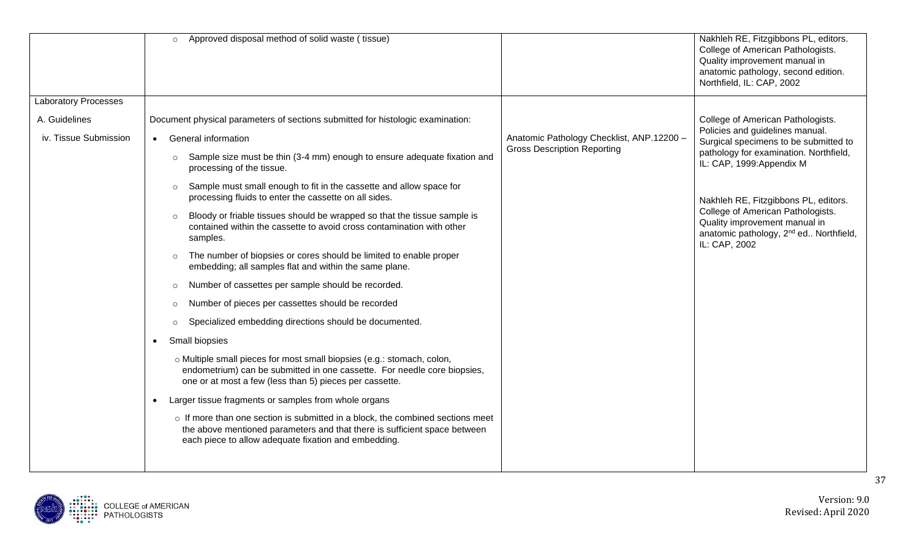|                             | Approved disposal method of solid waste (tissue)<br>$\circ$                                                                                                                                                               |                                           | Nakhleh RE, Fitzgibbons PL, editors.<br>College of American Pathologists.<br>Quality improvement manual in<br>anatomic pathology, second edition.<br>Northfield, IL: CAP, 2002 |
|-----------------------------|---------------------------------------------------------------------------------------------------------------------------------------------------------------------------------------------------------------------------|-------------------------------------------|--------------------------------------------------------------------------------------------------------------------------------------------------------------------------------|
| <b>Laboratory Processes</b> |                                                                                                                                                                                                                           |                                           |                                                                                                                                                                                |
| A. Guidelines               | Document physical parameters of sections submitted for histologic examination:                                                                                                                                            |                                           | College of American Pathologists.                                                                                                                                              |
| iv. Tissue Submission       | • General information                                                                                                                                                                                                     | Anatomic Pathology Checklist, ANP.12200 - | Policies and guidelines manual.<br>Surgical specimens to be submitted to                                                                                                       |
|                             | Sample size must be thin (3-4 mm) enough to ensure adequate fixation and<br>$\circ$<br>processing of the tissue.                                                                                                          | <b>Gross Description Reporting</b>        | pathology for examination. Northfield,<br>IL: CAP, 1999: Appendix M                                                                                                            |
|                             | Sample must small enough to fit in the cassette and allow space for<br>$\circ$<br>processing fluids to enter the cassette on all sides.                                                                                   |                                           | Nakhleh RE, Fitzgibbons PL, editors.                                                                                                                                           |
|                             | Bloody or friable tissues should be wrapped so that the tissue sample is<br>$\circ$<br>contained within the cassette to avoid cross contamination with other<br>samples.                                                  |                                           | College of American Pathologists.<br>Quality improvement manual in<br>anatomic pathology, 2 <sup>nd</sup> ed Northfield,<br>IL: CAP, 2002                                      |
|                             | The number of biopsies or cores should be limited to enable proper<br>$\circ$<br>embedding; all samples flat and within the same plane.                                                                                   |                                           |                                                                                                                                                                                |
|                             | Number of cassettes per sample should be recorded.<br>$\circ$                                                                                                                                                             |                                           |                                                                                                                                                                                |
|                             | Number of pieces per cassettes should be recorded<br>$\circ$                                                                                                                                                              |                                           |                                                                                                                                                                                |
|                             | Specialized embedding directions should be documented.<br>$\circ$                                                                                                                                                         |                                           |                                                                                                                                                                                |
|                             | Small biopsies<br>$\bullet$                                                                                                                                                                                               |                                           |                                                                                                                                                                                |
|                             | o Multiple small pieces for most small biopsies (e.g.: stomach, colon,<br>endometrium) can be submitted in one cassette. For needle core biopsies,<br>one or at most a few (less than 5) pieces per cassette.             |                                           |                                                                                                                                                                                |
|                             | Larger tissue fragments or samples from whole organs<br>$\bullet$                                                                                                                                                         |                                           |                                                                                                                                                                                |
|                             | $\circ$ If more than one section is submitted in a block, the combined sections meet<br>the above mentioned parameters and that there is sufficient space between<br>each piece to allow adequate fixation and embedding. |                                           |                                                                                                                                                                                |
|                             |                                                                                                                                                                                                                           |                                           |                                                                                                                                                                                |

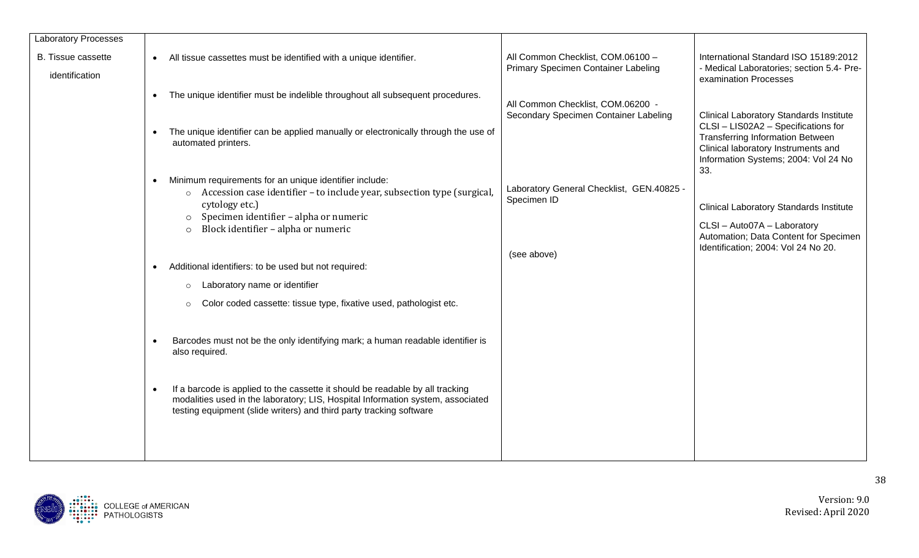| <b>Laboratory Processes</b>                 |                                                                                                                                                                                                                                         |                                                                          |                                                                                                                                                                                                                        |
|---------------------------------------------|-----------------------------------------------------------------------------------------------------------------------------------------------------------------------------------------------------------------------------------------|--------------------------------------------------------------------------|------------------------------------------------------------------------------------------------------------------------------------------------------------------------------------------------------------------------|
| <b>B.</b> Tissue cassette<br>identification | All tissue cassettes must be identified with a unique identifier.<br>$\bullet$                                                                                                                                                          | All Common Checklist, COM.06100 -<br>Primary Specimen Container Labeling | International Standard ISO 15189:2012<br>- Medical Laboratories; section 5.4- Pre-<br>examination Processes                                                                                                            |
|                                             | The unique identifier must be indelible throughout all subsequent procedures.<br>$\bullet$                                                                                                                                              | All Common Checklist, COM.06200 -                                        |                                                                                                                                                                                                                        |
|                                             | The unique identifier can be applied manually or electronically through the use of<br>automated printers.                                                                                                                               | Secondary Specimen Container Labeling                                    | <b>Clinical Laboratory Standards Institute</b><br>CLSI - LIS02A2 - Specifications for<br><b>Transferring Information Between</b><br>Clinical laboratory Instruments and<br>Information Systems; 2004: Vol 24 No<br>33. |
|                                             | Minimum requirements for an unique identifier include:                                                                                                                                                                                  | Laboratory General Checklist, GEN.40825 -                                |                                                                                                                                                                                                                        |
|                                             | Accession case identifier – to include year, subsection type (surgical,<br>$\circ$<br>cytology etc.)                                                                                                                                    | Specimen ID                                                              | <b>Clinical Laboratory Standards Institute</b>                                                                                                                                                                         |
|                                             | Specimen identifier - alpha or numeric<br>$\circ$<br>Block identifier - alpha or numeric<br>$\circ$                                                                                                                                     |                                                                          | CLSI - Auto07A - Laboratory                                                                                                                                                                                            |
|                                             |                                                                                                                                                                                                                                         |                                                                          | Automation; Data Content for Specimen<br>Identification; 2004: Vol 24 No 20.                                                                                                                                           |
|                                             |                                                                                                                                                                                                                                         | (see above)                                                              |                                                                                                                                                                                                                        |
|                                             | Additional identifiers: to be used but not required:                                                                                                                                                                                    |                                                                          |                                                                                                                                                                                                                        |
|                                             | Laboratory name or identifier<br>$\circ$                                                                                                                                                                                                |                                                                          |                                                                                                                                                                                                                        |
|                                             | Color coded cassette: tissue type, fixative used, pathologist etc.<br>$\circ$                                                                                                                                                           |                                                                          |                                                                                                                                                                                                                        |
|                                             |                                                                                                                                                                                                                                         |                                                                          |                                                                                                                                                                                                                        |
|                                             | Barcodes must not be the only identifying mark; a human readable identifier is<br>also required.                                                                                                                                        |                                                                          |                                                                                                                                                                                                                        |
|                                             |                                                                                                                                                                                                                                         |                                                                          |                                                                                                                                                                                                                        |
|                                             | If a barcode is applied to the cassette it should be readable by all tracking<br>modalities used in the laboratory; LIS, Hospital Information system, associated<br>testing equipment (slide writers) and third party tracking software |                                                                          |                                                                                                                                                                                                                        |
|                                             |                                                                                                                                                                                                                                         |                                                                          |                                                                                                                                                                                                                        |

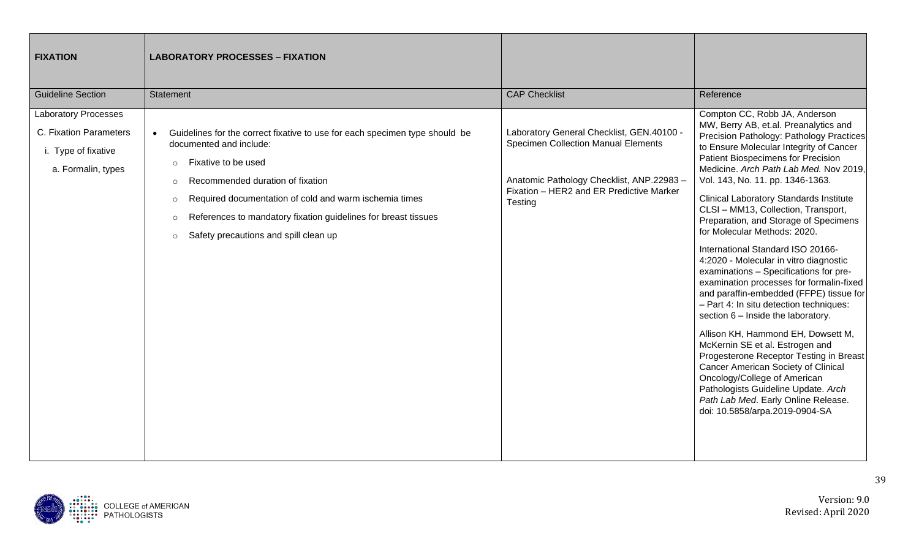| <b>FIXATION</b>                                                                                    | <b>LABORATORY PROCESSES - FIXATION</b>                                                                                                                                                                                                                                                                                                                                                                     |                                                                                                                                                                                            |                                                                                                                                                                                                                                                                                                                                                                                                                                                                                                                                                                                                                                                                                                                                                                                                                                                                                                                                                                                                                                                                 |
|----------------------------------------------------------------------------------------------------|------------------------------------------------------------------------------------------------------------------------------------------------------------------------------------------------------------------------------------------------------------------------------------------------------------------------------------------------------------------------------------------------------------|--------------------------------------------------------------------------------------------------------------------------------------------------------------------------------------------|-----------------------------------------------------------------------------------------------------------------------------------------------------------------------------------------------------------------------------------------------------------------------------------------------------------------------------------------------------------------------------------------------------------------------------------------------------------------------------------------------------------------------------------------------------------------------------------------------------------------------------------------------------------------------------------------------------------------------------------------------------------------------------------------------------------------------------------------------------------------------------------------------------------------------------------------------------------------------------------------------------------------------------------------------------------------|
| <b>Guideline Section</b>                                                                           | Statement                                                                                                                                                                                                                                                                                                                                                                                                  | <b>CAP Checklist</b>                                                                                                                                                                       | Reference                                                                                                                                                                                                                                                                                                                                                                                                                                                                                                                                                                                                                                                                                                                                                                                                                                                                                                                                                                                                                                                       |
| <b>Laboratory Processes</b><br>C. Fixation Parameters<br>i. Type of fixative<br>a. Formalin, types | Guidelines for the correct fixative to use for each specimen type should be<br>$\bullet$<br>documented and include:<br>Fixative to be used<br>$\circ$<br>Recommended duration of fixation<br>$\circ$<br>Required documentation of cold and warm ischemia times<br>$\circ$<br>References to mandatory fixation guidelines for breast tissues<br>$\circ$<br>Safety precautions and spill clean up<br>$\circ$ | Laboratory General Checklist, GEN.40100 -<br><b>Specimen Collection Manual Elements</b><br>Anatomic Pathology Checklist, ANP.22983-<br>Fixation - HER2 and ER Predictive Marker<br>Testing | Compton CC, Robb JA, Anderson<br>MW, Berry AB, et.al. Preanalytics and<br>Precision Pathology: Pathology Practices<br>to Ensure Molecular Integrity of Cancer<br>Patient Biospecimens for Precision<br>Medicine. Arch Path Lab Med. Nov 2019,<br>Vol. 143, No. 11. pp. 1346-1363.<br><b>Clinical Laboratory Standards Institute</b><br>CLSI - MM13, Collection, Transport,<br>Preparation, and Storage of Specimens<br>for Molecular Methods: 2020.<br>International Standard ISO 20166-<br>4:2020 - Molecular in vitro diagnostic<br>examinations - Specifications for pre-<br>examination processes for formalin-fixed<br>and paraffin-embedded (FFPE) tissue for<br>- Part 4: In situ detection techniques:<br>section 6 - Inside the laboratory.<br>Allison KH, Hammond EH, Dowsett M,<br>McKernin SE et al. Estrogen and<br>Progesterone Receptor Testing in Breast<br>Cancer American Society of Clinical<br>Oncology/College of American<br>Pathologists Guideline Update. Arch<br>Path Lab Med. Early Online Release.<br>doi: 10.5858/arpa.2019-0904-SA |

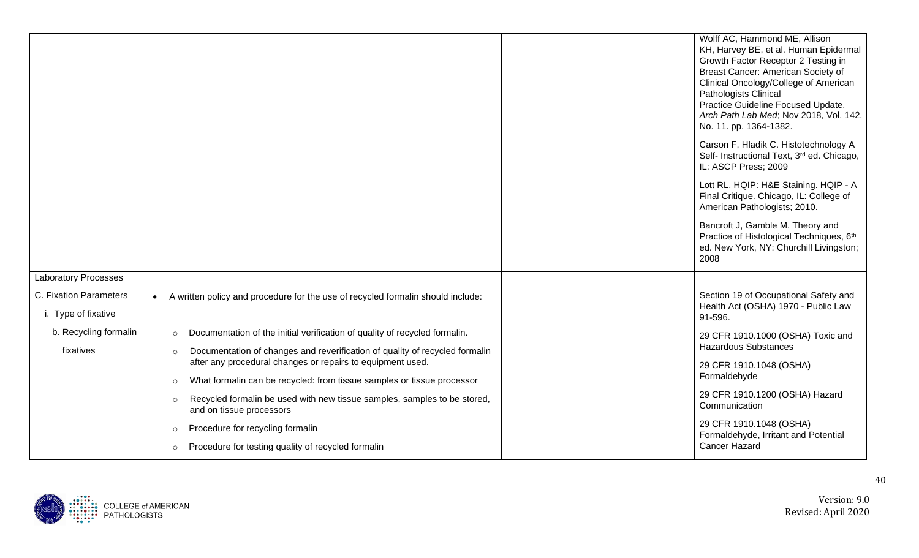|                                               |                                                                                                                 | Wolff AC, Hammond ME, Allison<br>KH, Harvey BE, et al. Human Epidermal<br>Growth Factor Receptor 2 Testing in<br>Breast Cancer: American Society of<br>Clinical Oncology/College of American<br>Pathologists Clinical<br>Practice Guideline Focused Update.<br>Arch Path Lab Med; Nov 2018, Vol. 142,<br>No. 11. pp. 1364-1382. |
|-----------------------------------------------|-----------------------------------------------------------------------------------------------------------------|---------------------------------------------------------------------------------------------------------------------------------------------------------------------------------------------------------------------------------------------------------------------------------------------------------------------------------|
|                                               |                                                                                                                 | Carson F, Hladik C. Histotechnology A<br>Self- Instructional Text, 3rd ed. Chicago,<br>IL: ASCP Press; 2009                                                                                                                                                                                                                     |
|                                               |                                                                                                                 | Lott RL. HQIP: H&E Staining. HQIP - A<br>Final Critique. Chicago, IL: College of<br>American Pathologists; 2010.                                                                                                                                                                                                                |
|                                               |                                                                                                                 | Bancroft J, Gamble M. Theory and<br>Practice of Histological Techniques, 6th<br>ed. New York, NY: Churchill Livingston;<br>2008                                                                                                                                                                                                 |
| <b>Laboratory Processes</b>                   |                                                                                                                 |                                                                                                                                                                                                                                                                                                                                 |
| C. Fixation Parameters<br>i. Type of fixative | A written policy and procedure for the use of recycled formalin should include:<br>$\bullet$                    | Section 19 of Occupational Safety and<br>Health Act (OSHA) 1970 - Public Law<br>91-596.                                                                                                                                                                                                                                         |
| b. Recycling formalin                         | Documentation of the initial verification of quality of recycled formalin.<br>$\circ$                           | 29 CFR 1910.1000 (OSHA) Toxic and                                                                                                                                                                                                                                                                                               |
| fixatives                                     | Documentation of changes and reverification of quality of recycled formalin<br>$\circ$                          | <b>Hazardous Substances</b>                                                                                                                                                                                                                                                                                                     |
|                                               | after any procedural changes or repairs to equipment used.                                                      | 29 CFR 1910.1048 (OSHA)<br>Formaldehyde                                                                                                                                                                                                                                                                                         |
|                                               | What formalin can be recycled: from tissue samples or tissue processor<br>$\circ$                               |                                                                                                                                                                                                                                                                                                                                 |
|                                               | Recycled formalin be used with new tissue samples, samples to be stored,<br>$\circ$<br>and on tissue processors | 29 CFR 1910.1200 (OSHA) Hazard<br>Communication                                                                                                                                                                                                                                                                                 |
|                                               | Procedure for recycling formalin<br>$\circ$                                                                     | 29 CFR 1910.1048 (OSHA)<br>Formaldehyde, Irritant and Potential                                                                                                                                                                                                                                                                 |
|                                               | Procedure for testing quality of recycled formalin<br>$\circ$                                                   | <b>Cancer Hazard</b>                                                                                                                                                                                                                                                                                                            |

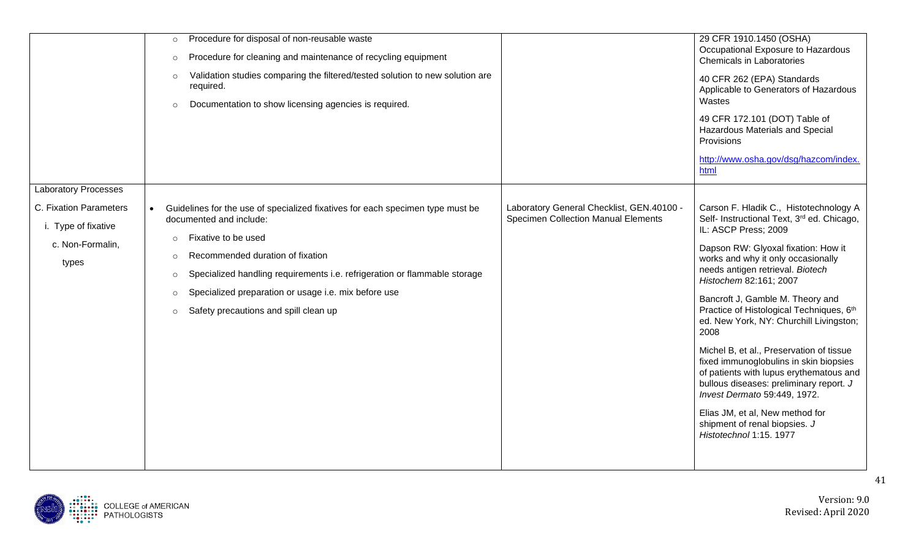|                                                                            | Procedure for disposal of non-reusable waste<br>$\circ$<br>Procedure for cleaning and maintenance of recycling equipment<br>$\circ$<br>Validation studies comparing the filtered/tested solution to new solution are<br>$\circ$<br>required.<br>Documentation to show licensing agencies is required.<br>$\circ$                                                                                                                                                                                                  | 29 CFR 1910.1450 (OSHA)<br>Occupational Exposure to Hazardous<br>Chemicals in Laboratories<br>40 CFR 262 (EPA) Standards<br>Applicable to Generators of Hazardous<br>Wastes<br>49 CFR 172.101 (DOT) Table of<br>Hazardous Materials and Special<br>Provisions<br>http://www.osha.gov/dsg/hazcom/index.<br>html                                                                                                                                                                                                                                                                                                                                                                                        |
|----------------------------------------------------------------------------|-------------------------------------------------------------------------------------------------------------------------------------------------------------------------------------------------------------------------------------------------------------------------------------------------------------------------------------------------------------------------------------------------------------------------------------------------------------------------------------------------------------------|-------------------------------------------------------------------------------------------------------------------------------------------------------------------------------------------------------------------------------------------------------------------------------------------------------------------------------------------------------------------------------------------------------------------------------------------------------------------------------------------------------------------------------------------------------------------------------------------------------------------------------------------------------------------------------------------------------|
| <b>Laboratory Processes</b>                                                |                                                                                                                                                                                                                                                                                                                                                                                                                                                                                                                   |                                                                                                                                                                                                                                                                                                                                                                                                                                                                                                                                                                                                                                                                                                       |
| C. Fixation Parameters<br>i. Type of fixative<br>c. Non-Formalin,<br>types | Laboratory General Checklist, GEN.40100 -<br>Guidelines for the use of specialized fixatives for each specimen type must be<br>$\bullet$<br><b>Specimen Collection Manual Elements</b><br>documented and include:<br>Fixative to be used<br>$\circ$<br>Recommended duration of fixation<br>$\circ$<br>Specialized handling requirements i.e. refrigeration or flammable storage<br>$\circ$<br>Specialized preparation or usage i.e. mix before use<br>$\circ$<br>Safety precautions and spill clean up<br>$\circ$ | Carson F. Hladik C., Histotechnology A<br>Self- Instructional Text, 3rd ed. Chicago,<br>IL: ASCP Press; 2009<br>Dapson RW: Glyoxal fixation: How it<br>works and why it only occasionally<br>needs antigen retrieval. Biotech<br>Histochem 82:161; 2007<br>Bancroft J, Gamble M. Theory and<br>Practice of Histological Techniques, 6th<br>ed. New York, NY: Churchill Livingston;<br>2008<br>Michel B, et al., Preservation of tissue<br>fixed immunoglobulins in skin biopsies<br>of patients with lupus erythematous and<br>bullous diseases: preliminary report. J<br>Invest Dermato 59:449, 1972.<br>Elias JM, et al, New method for<br>shipment of renal biopsies. J<br>Histotechnol 1:15. 1977 |

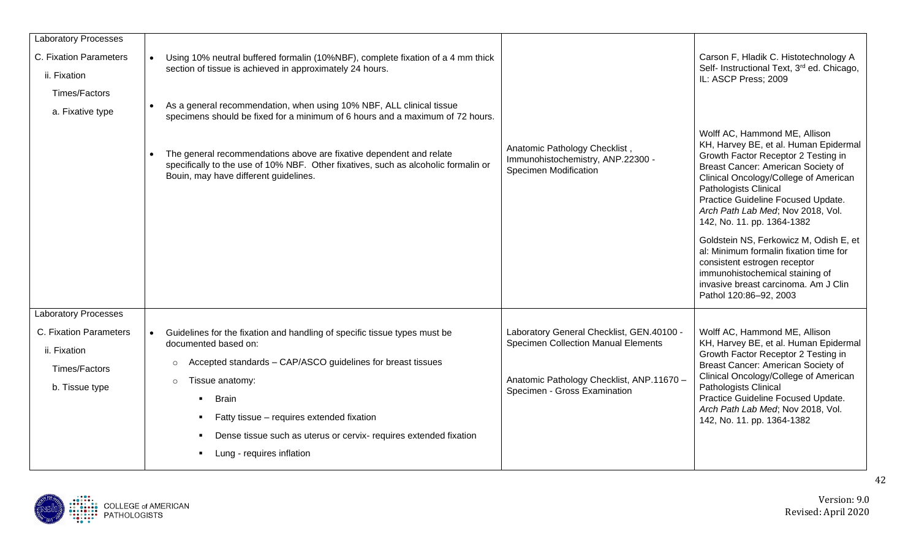| <b>Laboratory Processes</b><br>C. Fixation Parameters<br>ii. Fixation<br>Times/Factors                   | Using 10% neutral buffered formalin (10%NBF), complete fixation of a 4 mm thick<br>section of tissue is achieved in approximately 24 hours.                                                                                                                                                                                                                                                |                                                                                                                                                                      | Carson F, Hladik C. Histotechnology A<br>Self- Instructional Text, 3rd ed. Chicago,<br>IL: ASCP Press; 2009                                                                                                                                                                                                                                                                                                                                                                                                                                             |
|----------------------------------------------------------------------------------------------------------|--------------------------------------------------------------------------------------------------------------------------------------------------------------------------------------------------------------------------------------------------------------------------------------------------------------------------------------------------------------------------------------------|----------------------------------------------------------------------------------------------------------------------------------------------------------------------|---------------------------------------------------------------------------------------------------------------------------------------------------------------------------------------------------------------------------------------------------------------------------------------------------------------------------------------------------------------------------------------------------------------------------------------------------------------------------------------------------------------------------------------------------------|
| a. Fixative type                                                                                         | As a general recommendation, when using 10% NBF, ALL clinical tissue<br>$\bullet$<br>specimens should be fixed for a minimum of 6 hours and a maximum of 72 hours.<br>The general recommendations above are fixative dependent and relate<br>specifically to the use of 10% NBF. Other fixatives, such as alcoholic formalin or<br>Bouin, may have different guidelines.                   | Anatomic Pathology Checklist,<br>Immunohistochemistry, ANP.22300 -<br><b>Specimen Modification</b>                                                                   | Wolff AC, Hammond ME, Allison<br>KH, Harvey BE, et al. Human Epidermal<br>Growth Factor Receptor 2 Testing in<br>Breast Cancer: American Society of<br>Clinical Oncology/College of American<br>Pathologists Clinical<br>Practice Guideline Focused Update.<br>Arch Path Lab Med; Nov 2018, Vol.<br>142, No. 11. pp. 1364-1382<br>Goldstein NS, Ferkowicz M, Odish E, et<br>al: Minimum formalin fixation time for<br>consistent estrogen receptor<br>immunohistochemical staining of<br>invasive breast carcinoma. Am J Clin<br>Pathol 120:86-92, 2003 |
| <b>Laboratory Processes</b><br>C. Fixation Parameters<br>ii. Fixation<br>Times/Factors<br>b. Tissue type | Guidelines for the fixation and handling of specific tissue types must be<br>documented based on:<br>Accepted standards - CAP/ASCO guidelines for breast tissues<br>$\circ$<br>Tissue anatomy:<br>$\circ$<br><b>Brain</b><br>Fatty tissue - requires extended fixation<br>Dense tissue such as uterus or cervix- requires extended fixation<br>Lung - requires inflation<br>$\blacksquare$ | Laboratory General Checklist, GEN.40100 -<br><b>Specimen Collection Manual Elements</b><br>Anatomic Pathology Checklist, ANP.11670 -<br>Specimen - Gross Examination | Wolff AC, Hammond ME, Allison<br>KH, Harvey BE, et al. Human Epidermal<br>Growth Factor Receptor 2 Testing in<br>Breast Cancer: American Society of<br>Clinical Oncology/College of American<br>Pathologists Clinical<br>Practice Guideline Focused Update.<br>Arch Path Lab Med; Nov 2018, Vol.<br>142, No. 11. pp. 1364-1382                                                                                                                                                                                                                          |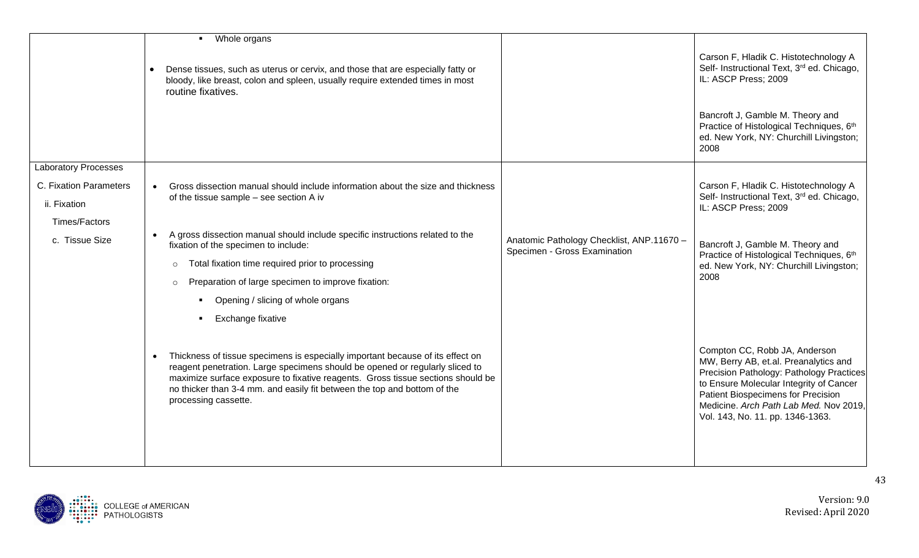| • Whole organs                                                                                                                                                                                                                                                                                                                                        |                                                                               |                                                                                                                                                                                                                                                                                          |
|-------------------------------------------------------------------------------------------------------------------------------------------------------------------------------------------------------------------------------------------------------------------------------------------------------------------------------------------------------|-------------------------------------------------------------------------------|------------------------------------------------------------------------------------------------------------------------------------------------------------------------------------------------------------------------------------------------------------------------------------------|
| Dense tissues, such as uterus or cervix, and those that are especially fatty or<br>bloody, like breast, colon and spleen, usually require extended times in most<br>routine fixatives.                                                                                                                                                                |                                                                               | Carson F, Hladik C. Histotechnology A<br>Self- Instructional Text, 3rd ed. Chicago,<br>IL: ASCP Press; 2009                                                                                                                                                                              |
|                                                                                                                                                                                                                                                                                                                                                       |                                                                               | Bancroft J, Gamble M. Theory and<br>Practice of Histological Techniques, 6th<br>ed. New York, NY: Churchill Livingston;<br>2008                                                                                                                                                          |
|                                                                                                                                                                                                                                                                                                                                                       |                                                                               |                                                                                                                                                                                                                                                                                          |
| Gross dissection manual should include information about the size and thickness<br>$\bullet$<br>of the tissue sample - see section A iv                                                                                                                                                                                                               |                                                                               | Carson F, Hladik C. Histotechnology A<br>Self- Instructional Text, 3rd ed. Chicago,<br>IL: ASCP Press; 2009                                                                                                                                                                              |
|                                                                                                                                                                                                                                                                                                                                                       |                                                                               |                                                                                                                                                                                                                                                                                          |
| $\bullet$<br>fixation of the specimen to include:                                                                                                                                                                                                                                                                                                     | Anatomic Pathology Checklist, ANP.11670 -                                     | Bancroft J, Gamble M. Theory and<br>Practice of Histological Techniques, 6th                                                                                                                                                                                                             |
| Total fixation time required prior to processing<br>$\circ$                                                                                                                                                                                                                                                                                           |                                                                               | ed. New York, NY: Churchill Livingston;                                                                                                                                                                                                                                                  |
| Preparation of large specimen to improve fixation:<br>$\circ$                                                                                                                                                                                                                                                                                         |                                                                               | 2008                                                                                                                                                                                                                                                                                     |
| Opening / slicing of whole organs<br>$\blacksquare$                                                                                                                                                                                                                                                                                                   |                                                                               |                                                                                                                                                                                                                                                                                          |
| Exchange fixative                                                                                                                                                                                                                                                                                                                                     |                                                                               |                                                                                                                                                                                                                                                                                          |
| Thickness of tissue specimens is especially important because of its effect on<br>reagent penetration. Large specimens should be opened or regularly sliced to<br>maximize surface exposure to fixative reagents. Gross tissue sections should be<br>no thicker than 3-4 mm. and easily fit between the top and bottom of the<br>processing cassette. |                                                                               | Compton CC, Robb JA, Anderson<br>MW, Berry AB, et.al. Preanalytics and<br>Precision Pathology: Pathology Practices<br>to Ensure Molecular Integrity of Cancer<br><b>Patient Biospecimens for Precision</b><br>Medicine. Arch Path Lab Med. Nov 2019,<br>Vol. 143, No. 11. pp. 1346-1363. |
|                                                                                                                                                                                                                                                                                                                                                       | A gross dissection manual should include specific instructions related to the | Specimen - Gross Examination                                                                                                                                                                                                                                                             |

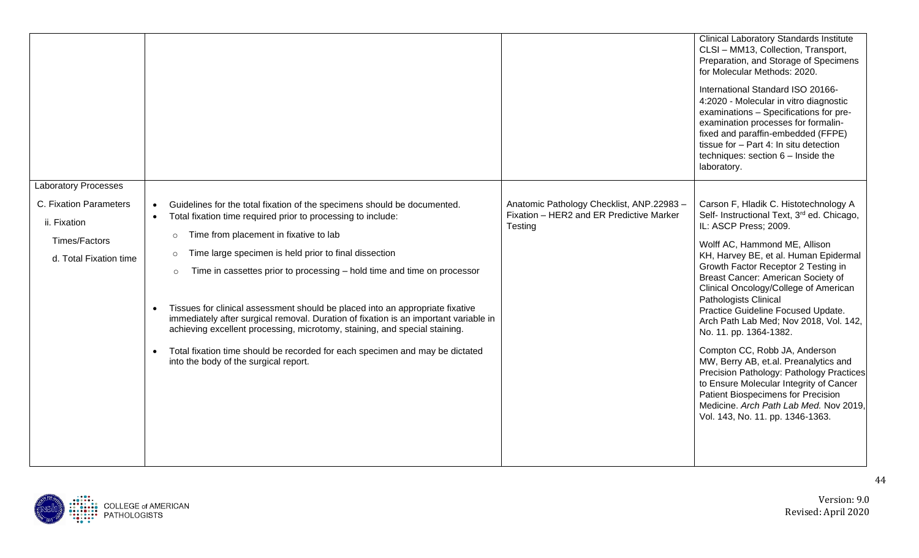|                                                                                   |                                                                                                                                                                                                                                                                                                                                                                                                                                                                                                                                                                                                                                                                                                                                                                                |                                                                                                 | <b>Clinical Laboratory Standards Institute</b><br>CLSI - MM13, Collection, Transport,<br>Preparation, and Storage of Specimens<br>for Molecular Methods: 2020.<br>International Standard ISO 20166-<br>4:2020 - Molecular in vitro diagnostic<br>examinations - Specifications for pre-<br>examination processes for formalin-<br>fixed and paraffin-embedded (FFPE)<br>tissue for - Part 4: In situ detection<br>techniques: section $6 -$ Inside the<br>laboratory.                                                                                                                                                                                                                                                                            |
|-----------------------------------------------------------------------------------|--------------------------------------------------------------------------------------------------------------------------------------------------------------------------------------------------------------------------------------------------------------------------------------------------------------------------------------------------------------------------------------------------------------------------------------------------------------------------------------------------------------------------------------------------------------------------------------------------------------------------------------------------------------------------------------------------------------------------------------------------------------------------------|-------------------------------------------------------------------------------------------------|--------------------------------------------------------------------------------------------------------------------------------------------------------------------------------------------------------------------------------------------------------------------------------------------------------------------------------------------------------------------------------------------------------------------------------------------------------------------------------------------------------------------------------------------------------------------------------------------------------------------------------------------------------------------------------------------------------------------------------------------------|
| <b>Laboratory Processes</b>                                                       |                                                                                                                                                                                                                                                                                                                                                                                                                                                                                                                                                                                                                                                                                                                                                                                |                                                                                                 |                                                                                                                                                                                                                                                                                                                                                                                                                                                                                                                                                                                                                                                                                                                                                  |
| C. Fixation Parameters<br>ii. Fixation<br>Times/Factors<br>d. Total Fixation time | Guidelines for the total fixation of the specimens should be documented.<br>$\bullet$<br>Total fixation time required prior to processing to include:<br>Time from placement in fixative to lab<br>$\circ$<br>Time large specimen is held prior to final dissection<br>$\circ$<br>Time in cassettes prior to processing - hold time and time on processor<br>$\circ$<br>Tissues for clinical assessment should be placed into an appropriate fixative<br>$\bullet$<br>immediately after surgical removal. Duration of fixation is an important variable in<br>achieving excellent processing, microtomy, staining, and special staining.<br>Total fixation time should be recorded for each specimen and may be dictated<br>$\bullet$<br>into the body of the surgical report. | Anatomic Pathology Checklist, ANP.22983-<br>Fixation - HER2 and ER Predictive Marker<br>Testing | Carson F, Hladik C. Histotechnology A<br>Self- Instructional Text, 3 <sup>rd</sup> ed. Chicago,<br>IL: ASCP Press; 2009.<br>Wolff AC, Hammond ME, Allison<br>KH, Harvey BE, et al. Human Epidermal<br>Growth Factor Receptor 2 Testing in<br>Breast Cancer: American Society of<br>Clinical Oncology/College of American<br>Pathologists Clinical<br>Practice Guideline Focused Update.<br>Arch Path Lab Med; Nov 2018, Vol. 142,<br>No. 11. pp. 1364-1382.<br>Compton CC, Robb JA, Anderson<br>MW, Berry AB, et.al. Preanalytics and<br>Precision Pathology: Pathology Practices<br>to Ensure Molecular Integrity of Cancer<br>Patient Biospecimens for Precision<br>Medicine. Arch Path Lab Med. Nov 2019,<br>Vol. 143, No. 11. pp. 1346-1363. |

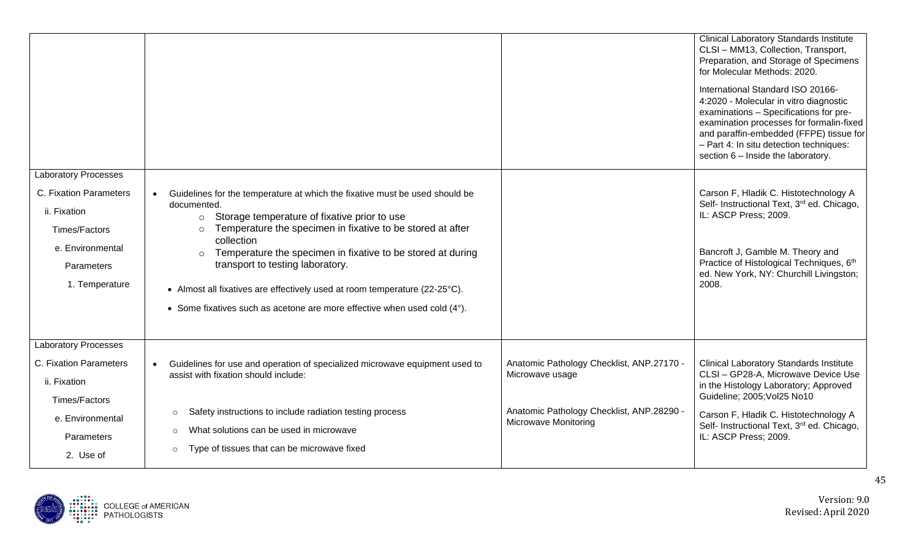|                                                                                                                                            |                                                                                                                                                                                                                                                                                                                                                                                                                                                                                                                                    | <b>Clinical Laboratory Standards Institute</b><br>CLSI - MM13, Collection, Transport,<br>Preparation, and Storage of Specimens<br>for Molecular Methods: 2020.<br>International Standard ISO 20166-<br>4:2020 - Molecular in vitro diagnostic<br>examinations - Specifications for pre-<br>examination processes for formalin-fixed<br>and paraffin-embedded (FFPE) tissue for<br>- Part 4: In situ detection techniques:<br>section 6 - Inside the laboratory. |
|--------------------------------------------------------------------------------------------------------------------------------------------|------------------------------------------------------------------------------------------------------------------------------------------------------------------------------------------------------------------------------------------------------------------------------------------------------------------------------------------------------------------------------------------------------------------------------------------------------------------------------------------------------------------------------------|-----------------------------------------------------------------------------------------------------------------------------------------------------------------------------------------------------------------------------------------------------------------------------------------------------------------------------------------------------------------------------------------------------------------------------------------------------------------|
| <b>Laboratory Processes</b><br>C. Fixation Parameters<br>ii. Fixation<br>Times/Factors<br>e. Environmental<br>Parameters<br>1. Temperature | Guidelines for the temperature at which the fixative must be used should be<br>$\bullet$<br>documented.<br>o Storage temperature of fixative prior to use<br>Temperature the specimen in fixative to be stored at after<br>$\circ$<br>collection<br>Temperature the specimen in fixative to be stored at during<br>$\circ$<br>transport to testing laboratory.<br>• Almost all fixatives are effectively used at room temperature (22-25°C).<br>• Some fixatives such as acetone are more effective when used cold $(4^{\circ})$ . | Carson F, Hladik C. Histotechnology A<br>Self- Instructional Text, 3 <sup>rd</sup> ed. Chicago,<br>IL: ASCP Press; 2009.<br>Bancroft J, Gamble M. Theory and<br>Practice of Histological Techniques, 6th<br>ed. New York, NY: Churchill Livingston;<br>2008.                                                                                                                                                                                                    |
| <b>Laboratory Processes</b><br>C. Fixation Parameters<br>ii. Fixation<br>Times/Factors<br>e. Environmental<br>Parameters<br>2. Use of      | Guidelines for use and operation of specialized microwave equipment used to<br>$\bullet$<br>Microwave usage<br>assist with fixation should include:<br>Safety instructions to include radiation testing process<br>$\circ$<br><b>Microwave Monitoring</b><br>What solutions can be used in microwave<br>$\circ$<br>Type of tissues that can be microwave fixed<br>$\circ$                                                                                                                                                          | Anatomic Pathology Checklist, ANP.27170 -<br><b>Clinical Laboratory Standards Institute</b><br>CLSI - GP28-A, Microwave Device Use<br>in the Histology Laboratory; Approved<br>Guideline; 2005; Vol25 No10<br>Anatomic Pathology Checklist, ANP.28290 -<br>Carson F, Hladik C. Histotechnology A<br>Self- Instructional Text, 3rd ed. Chicago,<br>IL: ASCP Press; 2009.                                                                                         |

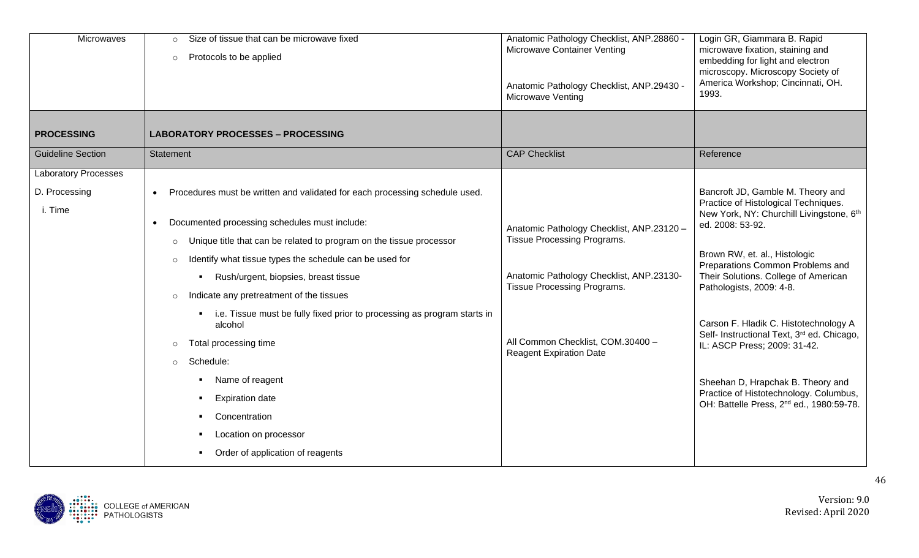| Microwaves                  | Size of tissue that can be microwave fixed<br>$\circ$<br>Protocols to be applied<br>$\circ$                                                                                                                                                                                                                                                                                                                                                                                                                                                                                                                                        | Anatomic Pathology Checklist, ANP.28860 -<br>Microwave Container Venting<br>Anatomic Pathology Checklist, ANP.29430 -<br><b>Microwave Venting</b>                                                                          | Login GR, Giammara B. Rapid<br>microwave fixation, staining and<br>embedding for light and electron<br>microscopy. Microscopy Society of<br>America Workshop; Cincinnati, OH.<br>1993.                                                                                                                                                                                                                                                                                                                                                                       |
|-----------------------------|------------------------------------------------------------------------------------------------------------------------------------------------------------------------------------------------------------------------------------------------------------------------------------------------------------------------------------------------------------------------------------------------------------------------------------------------------------------------------------------------------------------------------------------------------------------------------------------------------------------------------------|----------------------------------------------------------------------------------------------------------------------------------------------------------------------------------------------------------------------------|--------------------------------------------------------------------------------------------------------------------------------------------------------------------------------------------------------------------------------------------------------------------------------------------------------------------------------------------------------------------------------------------------------------------------------------------------------------------------------------------------------------------------------------------------------------|
| <b>PROCESSING</b>           | <b>LABORATORY PROCESSES - PROCESSING</b>                                                                                                                                                                                                                                                                                                                                                                                                                                                                                                                                                                                           |                                                                                                                                                                                                                            |                                                                                                                                                                                                                                                                                                                                                                                                                                                                                                                                                              |
| <b>Guideline Section</b>    | Statement                                                                                                                                                                                                                                                                                                                                                                                                                                                                                                                                                                                                                          | <b>CAP Checklist</b>                                                                                                                                                                                                       | Reference                                                                                                                                                                                                                                                                                                                                                                                                                                                                                                                                                    |
| <b>Laboratory Processes</b> |                                                                                                                                                                                                                                                                                                                                                                                                                                                                                                                                                                                                                                    |                                                                                                                                                                                                                            |                                                                                                                                                                                                                                                                                                                                                                                                                                                                                                                                                              |
| D. Processing<br>i. Time    | Procedures must be written and validated for each processing schedule used.<br>Documented processing schedules must include:<br>Unique title that can be related to program on the tissue processor<br>$\circ$<br>Identify what tissue types the schedule can be used for<br>$\circ$<br>Rush/urgent, biopsies, breast tissue<br>Indicate any pretreatment of the tissues<br>i.e. Tissue must be fully fixed prior to processing as program starts in<br>alcohol<br>Total processing time<br>o Schedule:<br>Name of reagent<br><b>Expiration date</b><br>Concentration<br>Location on processor<br>Order of application of reagents | Anatomic Pathology Checklist, ANP.23120 -<br>Tissue Processing Programs.<br>Anatomic Pathology Checklist, ANP.23130-<br>Tissue Processing Programs.<br>All Common Checklist, COM.30400 -<br><b>Reagent Expiration Date</b> | Bancroft JD, Gamble M. Theory and<br>Practice of Histological Techniques.<br>New York, NY: Churchill Livingstone, 6th<br>ed. 2008: 53-92.<br>Brown RW, et. al., Histologic<br>Preparations Common Problems and<br>Their Solutions. College of American<br>Pathologists, 2009: 4-8.<br>Carson F. Hladik C. Histotechnology A<br>Self- Instructional Text, 3 <sup>rd</sup> ed. Chicago,<br>IL: ASCP Press; 2009: 31-42.<br>Sheehan D, Hrapchak B. Theory and<br>Practice of Histotechnology. Columbus,<br>OH: Battelle Press, 2 <sup>nd</sup> ed., 1980:59-78. |

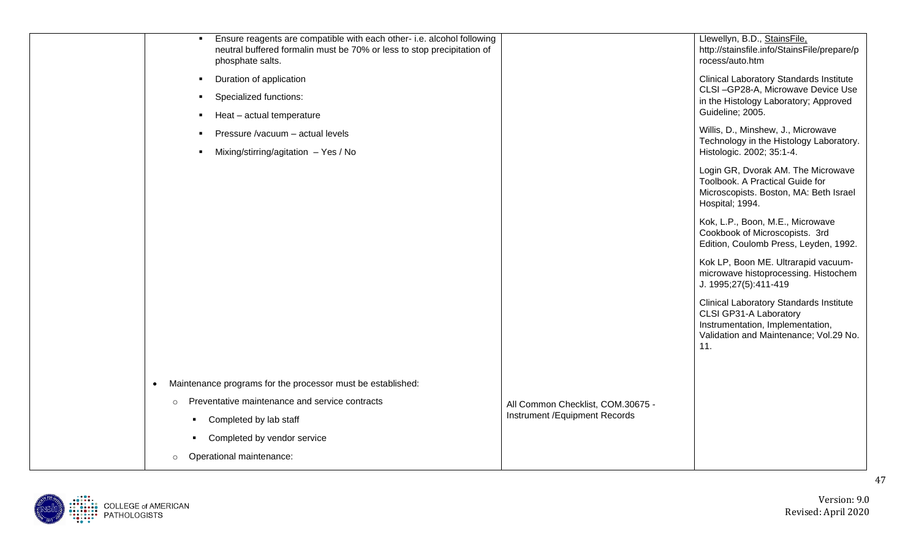| Ensure reagents are compatible with each other- i.e. alcohol following<br>neutral buffered formalin must be 70% or less to stop precipitation of<br>phosphate salts. | Llewellyn, B.D., StainsFile,<br>http://stainsfile.info/StainsFile/prepare/p<br>rocess/auto.htm                                                                |
|----------------------------------------------------------------------------------------------------------------------------------------------------------------------|---------------------------------------------------------------------------------------------------------------------------------------------------------------|
| Duration of application<br>л.                                                                                                                                        | <b>Clinical Laboratory Standards Institute</b><br>CLSI-GP28-A, Microwave Device Use                                                                           |
| Specialized functions:<br>$\mathbf{r}$                                                                                                                               | in the Histology Laboratory; Approved                                                                                                                         |
| Heat - actual temperature                                                                                                                                            | Guideline; 2005.                                                                                                                                              |
| Pressure /vacuum - actual levels                                                                                                                                     | Willis, D., Minshew, J., Microwave<br>Technology in the Histology Laboratory.                                                                                 |
| Mixing/stirring/agitation - Yes / No<br>$\blacksquare$                                                                                                               | Histologic. 2002; 35:1-4.                                                                                                                                     |
|                                                                                                                                                                      | Login GR, Dvorak AM. The Microwave<br>Toolbook. A Practical Guide for<br>Microscopists. Boston, MA: Beth Israel<br>Hospital; 1994.                            |
|                                                                                                                                                                      | Kok, L.P., Boon, M.E., Microwave<br>Cookbook of Microscopists. 3rd<br>Edition, Coulomb Press, Leyden, 1992.                                                   |
|                                                                                                                                                                      | Kok LP, Boon ME. Ultrarapid vacuum-<br>microwave histoprocessing. Histochem<br>J. 1995;27(5):411-419                                                          |
|                                                                                                                                                                      | <b>Clinical Laboratory Standards Institute</b><br>CLSI GP31-A Laboratory<br>Instrumentation, Implementation,<br>Validation and Maintenance; Vol.29 No.<br>11. |
| Maintenance programs for the processor must be established:<br>$\bullet$                                                                                             |                                                                                                                                                               |
| Preventative maintenance and service contracts<br>$\circ$                                                                                                            |                                                                                                                                                               |
|                                                                                                                                                                      | All Common Checklist, COM.30675 -<br>Instrument / Equipment Records                                                                                           |
| Completed by lab staff<br>٠                                                                                                                                          |                                                                                                                                                               |
| Completed by vendor service<br>٠                                                                                                                                     |                                                                                                                                                               |
| Operational maintenance:<br>$\circ$                                                                                                                                  |                                                                                                                                                               |

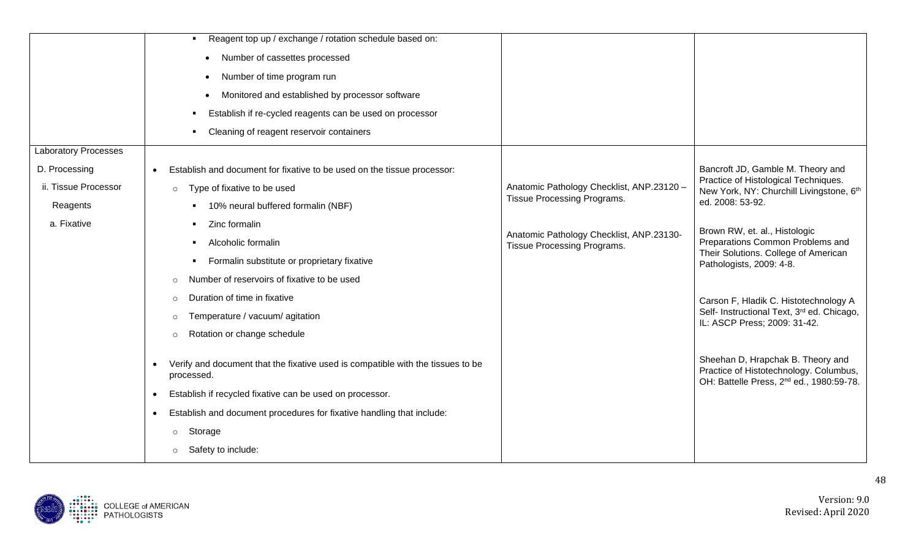|                             | Reagent top up / exchange / rotation schedule based on:                                                    |                                                                         |                                                                                                                                     |
|-----------------------------|------------------------------------------------------------------------------------------------------------|-------------------------------------------------------------------------|-------------------------------------------------------------------------------------------------------------------------------------|
|                             | Number of cassettes processed                                                                              |                                                                         |                                                                                                                                     |
|                             | Number of time program run                                                                                 |                                                                         |                                                                                                                                     |
|                             | Monitored and established by processor software                                                            |                                                                         |                                                                                                                                     |
|                             | Establish if re-cycled reagents can be used on processor                                                   |                                                                         |                                                                                                                                     |
|                             | Cleaning of reagent reservoir containers                                                                   |                                                                         |                                                                                                                                     |
| <b>Laboratory Processes</b> |                                                                                                            |                                                                         |                                                                                                                                     |
| D. Processing               | Establish and document for fixative to be used on the tissue processor:                                    |                                                                         | Bancroft JD, Gamble M. Theory and                                                                                                   |
| ii. Tissue Processor        | Type of fixative to be used<br>$\circ$                                                                     | Anatomic Pathology Checklist, ANP.23120 -                               | Practice of Histological Techniques.<br>New York, NY: Churchill Livingstone, 6th                                                    |
| Reagents                    | 10% neural buffered formalin (NBF)                                                                         | Tissue Processing Programs.                                             | ed. 2008: 53-92.                                                                                                                    |
| a. Fixative                 | Zinc formalin                                                                                              |                                                                         | Brown RW, et. al., Histologic                                                                                                       |
|                             | Alcoholic formalin                                                                                         | Anatomic Pathology Checklist, ANP.23130-<br>Tissue Processing Programs. | Preparations Common Problems and                                                                                                    |
|                             | Formalin substitute or proprietary fixative                                                                |                                                                         | Their Solutions. College of American<br>Pathologists, 2009: 4-8.                                                                    |
|                             | Number of reservoirs of fixative to be used<br>$\circ$                                                     |                                                                         |                                                                                                                                     |
|                             | Duration of time in fixative<br>$\circ$                                                                    |                                                                         | Carson F, Hladik C. Histotechnology A                                                                                               |
|                             | Temperature / vacuum/ agitation<br>$\circ$                                                                 |                                                                         | Self- Instructional Text, 3rd ed. Chicago,<br>IL: ASCP Press; 2009: 31-42.                                                          |
|                             | Rotation or change schedule<br>$\circ$                                                                     |                                                                         |                                                                                                                                     |
|                             | Verify and document that the fixative used is compatible with the tissues to be<br>$\bullet$<br>processed. |                                                                         | Sheehan D, Hrapchak B. Theory and<br>Practice of Histotechnology. Columbus,<br>OH: Battelle Press, 2 <sup>nd</sup> ed., 1980:59-78. |
|                             | Establish if recycled fixative can be used on processor.<br>$\bullet$                                      |                                                                         |                                                                                                                                     |
|                             | Establish and document procedures for fixative handling that include:<br>$\bullet$                         |                                                                         |                                                                                                                                     |
|                             | Storage<br>$\circ$                                                                                         |                                                                         |                                                                                                                                     |
|                             | Safety to include:<br>$\circ$                                                                              |                                                                         |                                                                                                                                     |

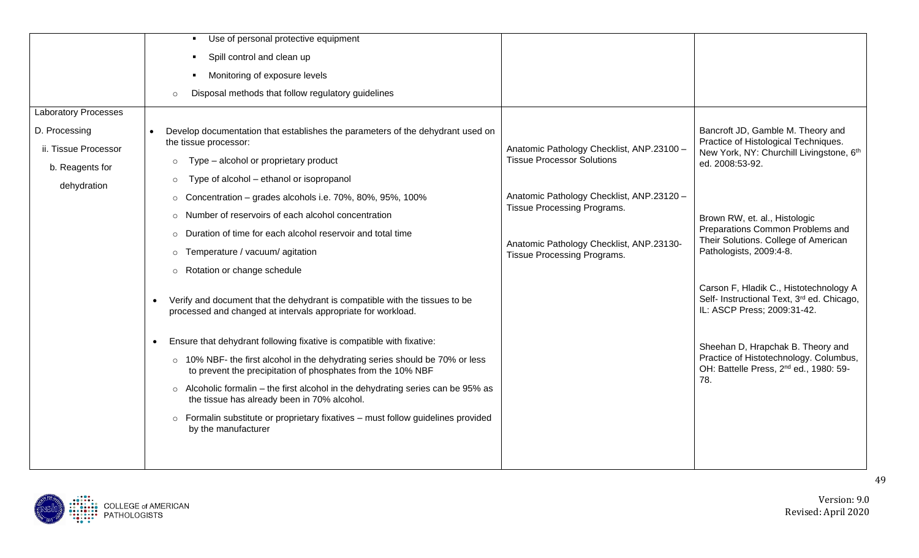|                                         | Use of personal protective equipment                                                                                                                     |                                                                                |                                                                                                                     |
|-----------------------------------------|----------------------------------------------------------------------------------------------------------------------------------------------------------|--------------------------------------------------------------------------------|---------------------------------------------------------------------------------------------------------------------|
|                                         | Spill control and clean up                                                                                                                               |                                                                                |                                                                                                                     |
|                                         | Monitoring of exposure levels                                                                                                                            |                                                                                |                                                                                                                     |
|                                         | Disposal methods that follow regulatory guidelines<br>$\circ$                                                                                            |                                                                                |                                                                                                                     |
| <b>Laboratory Processes</b>             |                                                                                                                                                          |                                                                                |                                                                                                                     |
| D. Processing                           | Develop documentation that establishes the parameters of the dehydrant used on<br>the tissue processor:                                                  |                                                                                | Bancroft JD, Gamble M. Theory and<br>Practice of Histological Techniques.                                           |
| ii. Tissue Processor<br>b. Reagents for | Type – alcohol or proprietary product<br>$\circ$                                                                                                         | Anatomic Pathology Checklist, ANP.23100 -<br><b>Tissue Processor Solutions</b> | New York, NY: Churchill Livingstone, 6th<br>ed. 2008:53-92.                                                         |
| dehydration                             | Type of alcohol – ethanol or isopropanol<br>$\circ$                                                                                                      |                                                                                |                                                                                                                     |
|                                         | Concentration - grades alcohols i.e. 70%, 80%, 95%, 100%<br>$\circ$                                                                                      | Anatomic Pathology Checklist, ANP.23120 -                                      |                                                                                                                     |
|                                         | o Number of reservoirs of each alcohol concentration                                                                                                     | Tissue Processing Programs.                                                    | Brown RW, et. al., Histologic                                                                                       |
|                                         | o Duration of time for each alcohol reservoir and total time                                                                                             |                                                                                | Preparations Common Problems and<br>Their Solutions. College of American                                            |
|                                         | Temperature / vacuum/ agitation<br>$\circ$                                                                                                               | Anatomic Pathology Checklist, ANP.23130-<br>Tissue Processing Programs.        | Pathologists, 2009:4-8.                                                                                             |
|                                         | o Rotation or change schedule                                                                                                                            |                                                                                |                                                                                                                     |
|                                         | Verify and document that the dehydrant is compatible with the tissues to be<br>$\bullet$<br>processed and changed at intervals appropriate for workload. |                                                                                | Carson F, Hladik C., Histotechnology A<br>Self- Instructional Text, 3rd ed. Chicago,<br>IL: ASCP Press; 2009:31-42. |
|                                         | Ensure that dehydrant following fixative is compatible with fixative:<br>$\bullet$                                                                       |                                                                                | Sheehan D, Hrapchak B. Theory and                                                                                   |
|                                         | o 10% NBF- the first alcohol in the dehydrating series should be 70% or less<br>to prevent the precipitation of phosphates from the 10% NBF              |                                                                                | Practice of Histotechnology. Columbus,<br>OH: Battelle Press, 2 <sup>nd</sup> ed., 1980: 59-                        |
|                                         | o Alcoholic formalin – the first alcohol in the dehydrating series can be 95% as<br>the tissue has already been in 70% alcohol.                          |                                                                                | 78.                                                                                                                 |
|                                         | $\circ$ Formalin substitute or proprietary fixatives – must follow guidelines provided<br>by the manufacturer                                            |                                                                                |                                                                                                                     |
|                                         |                                                                                                                                                          |                                                                                |                                                                                                                     |

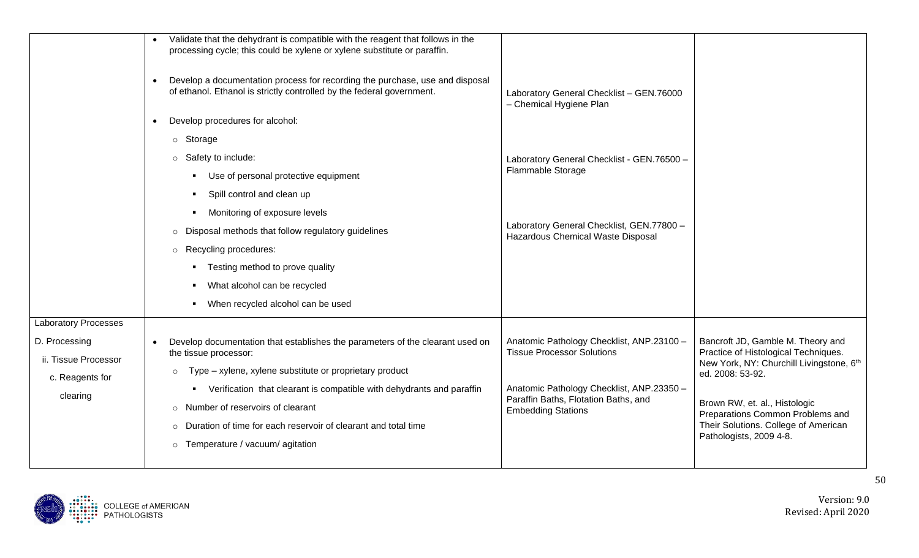|                             | Validate that the dehydrant is compatible with the reagent that follows in the<br>processing cycle; this could be xylene or xylene substitute or paraffin.<br>Develop a documentation process for recording the purchase, use and disposal<br>$\bullet$<br>of ethanol. Ethanol is strictly controlled by the federal government. | Laboratory General Checklist - GEN.76000<br>- Chemical Hygiene Plan            |                                                                           |
|-----------------------------|----------------------------------------------------------------------------------------------------------------------------------------------------------------------------------------------------------------------------------------------------------------------------------------------------------------------------------|--------------------------------------------------------------------------------|---------------------------------------------------------------------------|
|                             | Develop procedures for alcohol:<br>$\bullet$                                                                                                                                                                                                                                                                                     |                                                                                |                                                                           |
|                             | o Storage                                                                                                                                                                                                                                                                                                                        |                                                                                |                                                                           |
|                             | o Safety to include:                                                                                                                                                                                                                                                                                                             | Laboratory General Checklist - GEN.76500 -                                     |                                                                           |
|                             | • Use of personal protective equipment                                                                                                                                                                                                                                                                                           | Flammable Storage                                                              |                                                                           |
|                             | • Spill control and clean up                                                                                                                                                                                                                                                                                                     |                                                                                |                                                                           |
|                             | Monitoring of exposure levels                                                                                                                                                                                                                                                                                                    |                                                                                |                                                                           |
|                             | o Disposal methods that follow regulatory guidelines                                                                                                                                                                                                                                                                             | Laboratory General Checklist, GEN.77800 -<br>Hazardous Chemical Waste Disposal |                                                                           |
|                             | o Recycling procedures:                                                                                                                                                                                                                                                                                                          |                                                                                |                                                                           |
|                             | • Testing method to prove quality                                                                                                                                                                                                                                                                                                |                                                                                |                                                                           |
|                             | What alcohol can be recycled                                                                                                                                                                                                                                                                                                     |                                                                                |                                                                           |
|                             | • When recycled alcohol can be used                                                                                                                                                                                                                                                                                              |                                                                                |                                                                           |
| <b>Laboratory Processes</b> |                                                                                                                                                                                                                                                                                                                                  |                                                                                |                                                                           |
| D. Processing               | Develop documentation that establishes the parameters of the clearant used on<br>$\bullet$                                                                                                                                                                                                                                       | Anatomic Pathology Checklist, ANP.23100 -<br><b>Tissue Processor Solutions</b> | Bancroft JD, Gamble M. Theory and<br>Practice of Histological Techniques. |
| ii. Tissue Processor        | the tissue processor:<br>Type - xylene, xylene substitute or proprietary product                                                                                                                                                                                                                                                 |                                                                                | New York, NY: Churchill Livingstone, 6th                                  |
| c. Reagents for             | $\circ$                                                                                                                                                                                                                                                                                                                          | Anatomic Pathology Checklist, ANP.23350 -                                      | ed. 2008: 53-92.                                                          |
| clearing                    | • Verification that clearant is compatible with dehydrants and paraffin<br>o Number of reservoirs of clearant                                                                                                                                                                                                                    | Paraffin Baths, Flotation Baths, and                                           | Brown RW, et. al., Histologic                                             |
|                             | o Duration of time for each reservoir of clearant and total time                                                                                                                                                                                                                                                                 | <b>Embedding Stations</b>                                                      | Preparations Common Problems and<br>Their Solutions. College of American  |
|                             | o Temperature / vacuum/ agitation                                                                                                                                                                                                                                                                                                |                                                                                | Pathologists, 2009 4-8.                                                   |
|                             |                                                                                                                                                                                                                                                                                                                                  |                                                                                |                                                                           |

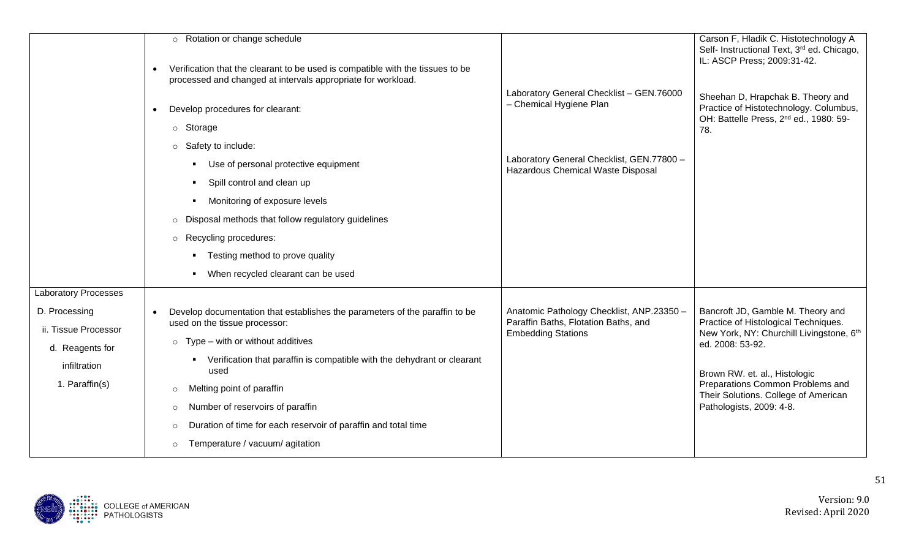|                                                                                            | o Rotation or change schedule<br>Verification that the clearant to be used is compatible with the tissues to be<br>$\bullet$<br>processed and changed at intervals appropriate for workload.                                                                                                                                                                                                                                                                       |                                                                                                                                                       | Carson F, Hladik C. Histotechnology A<br>Self- Instructional Text, 3 <sup>rd</sup> ed. Chicago,<br>IL: ASCP Press; 2009:31-42.                                                                                                                                                     |
|--------------------------------------------------------------------------------------------|--------------------------------------------------------------------------------------------------------------------------------------------------------------------------------------------------------------------------------------------------------------------------------------------------------------------------------------------------------------------------------------------------------------------------------------------------------------------|-------------------------------------------------------------------------------------------------------------------------------------------------------|------------------------------------------------------------------------------------------------------------------------------------------------------------------------------------------------------------------------------------------------------------------------------------|
|                                                                                            | Develop procedures for clearant:<br>$\bullet$<br>o Storage<br>Safety to include:<br>$\circ$<br>Use of personal protective equipment<br>Spill control and clean up<br>Monitoring of exposure levels<br>Disposal methods that follow regulatory guidelines<br>$\circ$<br>o Recycling procedures:<br>• Testing method to prove quality<br>When recycled clearant can be used                                                                                          | Laboratory General Checklist - GEN.76000<br>- Chemical Hygiene Plan<br>Laboratory General Checklist, GEN.77800 -<br>Hazardous Chemical Waste Disposal | Sheehan D, Hrapchak B. Theory and<br>Practice of Histotechnology. Columbus,<br>OH: Battelle Press, 2 <sup>nd</sup> ed., 1980: 59-<br>78.                                                                                                                                           |
| <b>Laboratory Processes</b>                                                                |                                                                                                                                                                                                                                                                                                                                                                                                                                                                    |                                                                                                                                                       |                                                                                                                                                                                                                                                                                    |
| D. Processing<br>ii. Tissue Processor<br>d. Reagents for<br>infiltration<br>1. Paraffin(s) | Develop documentation that establishes the parameters of the paraffin to be<br>$\bullet$<br>used on the tissue processor:<br>Type – with or without additives<br>$\circ$<br>Verification that paraffin is compatible with the dehydrant or clearant<br>used<br>Melting point of paraffin<br>$\circ$<br>Number of reservoirs of paraffin<br>$\circ$<br>Duration of time for each reservoir of paraffin and total time<br>$\circ$<br>Temperature / vacuum/ agitation | Anatomic Pathology Checklist, ANP.23350 -<br>Paraffin Baths, Flotation Baths, and<br><b>Embedding Stations</b>                                        | Bancroft JD, Gamble M. Theory and<br>Practice of Histological Techniques.<br>New York, NY: Churchill Livingstone, 6th<br>ed. 2008: 53-92.<br>Brown RW. et. al., Histologic<br>Preparations Common Problems and<br>Their Solutions. College of American<br>Pathologists, 2009: 4-8. |

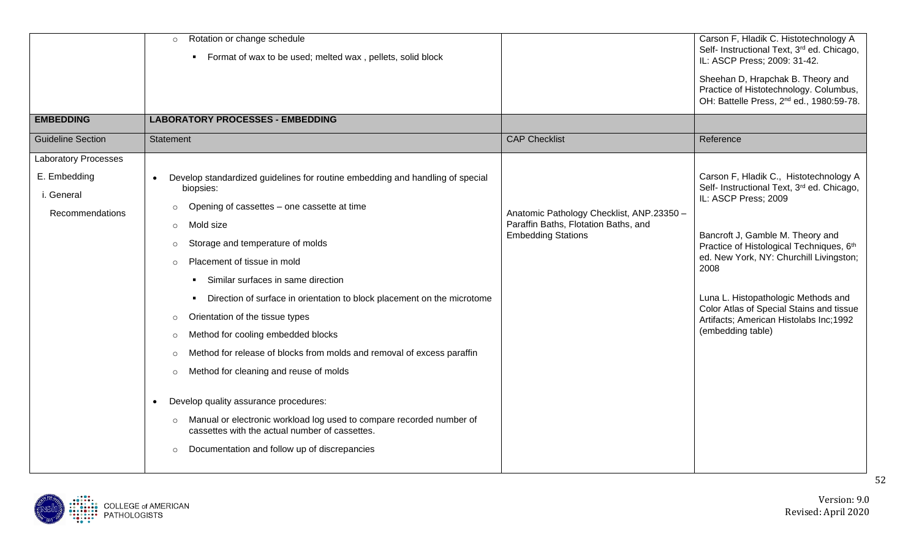|                             | Rotation or change schedule<br>$\circ$<br>• Format of wax to be used; melted wax, pellets, solid block                            |                                                                                   | Carson F, Hladik C. Histotechnology A<br>Self- Instructional Text, 3 <sup>rd</sup> ed. Chicago,<br>IL: ASCP Press; 2009: 31-42.     |
|-----------------------------|-----------------------------------------------------------------------------------------------------------------------------------|-----------------------------------------------------------------------------------|-------------------------------------------------------------------------------------------------------------------------------------|
|                             |                                                                                                                                   |                                                                                   | Sheehan D, Hrapchak B. Theory and<br>Practice of Histotechnology. Columbus,<br>OH: Battelle Press, 2 <sup>nd</sup> ed., 1980:59-78. |
| <b>EMBEDDING</b>            | <b>LABORATORY PROCESSES - EMBEDDING</b>                                                                                           |                                                                                   |                                                                                                                                     |
| <b>Guideline Section</b>    | Statement                                                                                                                         | <b>CAP Checklist</b>                                                              | Reference                                                                                                                           |
| <b>Laboratory Processes</b> |                                                                                                                                   |                                                                                   |                                                                                                                                     |
| E. Embedding                | Develop standardized guidelines for routine embedding and handling of special                                                     |                                                                                   | Carson F, Hladik C., Histotechnology A                                                                                              |
| i. General                  | biopsies:                                                                                                                         |                                                                                   | Self- Instructional Text, 3rd ed. Chicago,<br>IL: ASCP Press; 2009                                                                  |
| Recommendations             | Opening of cassettes - one cassette at time<br>$\circ$                                                                            | Anatomic Pathology Checklist, ANP.23350 -<br>Paraffin Baths, Flotation Baths, and |                                                                                                                                     |
|                             | Mold size<br>$\circ$                                                                                                              | <b>Embedding Stations</b>                                                         | Bancroft J, Gamble M. Theory and                                                                                                    |
|                             | Storage and temperature of molds<br>$\circ$                                                                                       |                                                                                   | Practice of Histological Techniques, 6th<br>ed. New York, NY: Churchill Livingston;<br>2008                                         |
|                             | Placement of tissue in mold<br>$\circ$                                                                                            |                                                                                   |                                                                                                                                     |
|                             | Similar surfaces in same direction                                                                                                |                                                                                   |                                                                                                                                     |
|                             | • Direction of surface in orientation to block placement on the microtome                                                         |                                                                                   | Luna L. Histopathologic Methods and<br>Color Atlas of Special Stains and tissue                                                     |
|                             | Orientation of the tissue types<br>$\circ$                                                                                        |                                                                                   | Artifacts; American Histolabs Inc; 1992                                                                                             |
|                             | Method for cooling embedded blocks<br>$\circ$                                                                                     |                                                                                   | (embedding table)                                                                                                                   |
|                             | Method for release of blocks from molds and removal of excess paraffin<br>$\circ$                                                 |                                                                                   |                                                                                                                                     |
|                             | Method for cleaning and reuse of molds<br>$\circ$                                                                                 |                                                                                   |                                                                                                                                     |
|                             | Develop quality assurance procedures:<br>$\bullet$                                                                                |                                                                                   |                                                                                                                                     |
|                             | Manual or electronic workload log used to compare recorded number of<br>$\circ$<br>cassettes with the actual number of cassettes. |                                                                                   |                                                                                                                                     |
|                             | Documentation and follow up of discrepancies<br>$\circ$                                                                           |                                                                                   |                                                                                                                                     |

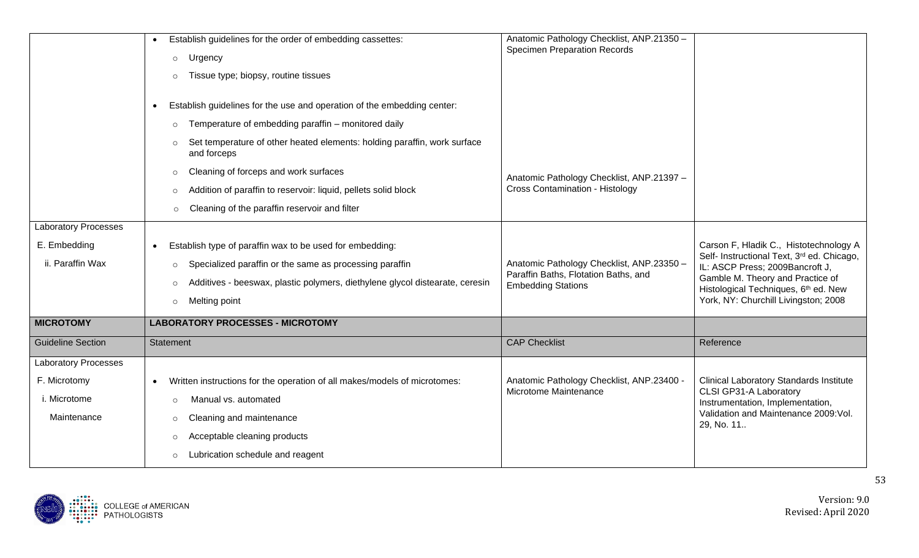|                             | Establish guidelines for the order of embedding cassettes:                              | Anatomic Pathology Checklist, ANP.21350 -<br><b>Specimen Preparation Records</b> |                                                                               |
|-----------------------------|-----------------------------------------------------------------------------------------|----------------------------------------------------------------------------------|-------------------------------------------------------------------------------|
|                             | Urgency<br>$\circ$                                                                      |                                                                                  |                                                                               |
|                             | Tissue type; biopsy, routine tissues                                                    |                                                                                  |                                                                               |
|                             |                                                                                         |                                                                                  |                                                                               |
|                             | Establish guidelines for the use and operation of the embedding center:                 |                                                                                  |                                                                               |
|                             | Temperature of embedding paraffin - monitored daily<br>$\circ$                          |                                                                                  |                                                                               |
|                             | Set temperature of other heated elements: holding paraffin, work surface<br>and forceps |                                                                                  |                                                                               |
|                             | Cleaning of forceps and work surfaces<br>$\circ$                                        | Anatomic Pathology Checklist, ANP.21397 -                                        |                                                                               |
|                             | Addition of paraffin to reservoir: liquid, pellets solid block<br>$\circ$               | <b>Cross Contamination - Histology</b>                                           |                                                                               |
|                             | Cleaning of the paraffin reservoir and filter<br>$\circ$                                |                                                                                  |                                                                               |
| <b>Laboratory Processes</b> |                                                                                         |                                                                                  |                                                                               |
| E. Embedding                | Establish type of paraffin wax to be used for embedding:                                |                                                                                  | Carson F, Hladik C., Histotechnology A                                        |
| ii. Paraffin Wax            | Specialized paraffin or the same as processing paraffin<br>$\circ$                      | Anatomic Pathology Checklist, ANP.23350 -                                        | Self- Instructional Text, 3rd ed. Chicago,<br>IL: ASCP Press; 2009Bancroft J, |
|                             | Additives - beeswax, plastic polymers, diethylene glycol distearate, ceresin<br>$\circ$ | Paraffin Baths, Flotation Baths, and<br><b>Embedding Stations</b>                | Gamble M. Theory and Practice of                                              |
|                             | Melting point<br>$\circ$                                                                |                                                                                  | Histological Techniques, 6th ed. New<br>York, NY: Churchill Livingston; 2008  |
| <b>MICROTOMY</b>            | <b>LABORATORY PROCESSES - MICROTOMY</b>                                                 |                                                                                  |                                                                               |
|                             |                                                                                         |                                                                                  |                                                                               |
| <b>Guideline Section</b>    | <b>Statement</b>                                                                        | <b>CAP Checklist</b>                                                             | Reference                                                                     |
| Laboratory Processes        |                                                                                         |                                                                                  |                                                                               |
| F. Microtomy                | Written instructions for the operation of all makes/models of microtomes:<br>$\bullet$  | Anatomic Pathology Checklist, ANP.23400 -                                        | <b>Clinical Laboratory Standards Institute</b>                                |
| i. Microtome                | Manual vs. automated<br>$\circ$                                                         | Microtome Maintenance                                                            | CLSI GP31-A Laboratory<br>Instrumentation, Implementation,                    |
| Maintenance                 | Cleaning and maintenance<br>$\circ$                                                     |                                                                                  | Validation and Maintenance 2009: Vol.<br>29, No. 11                           |
|                             | Acceptable cleaning products<br>$\circ$                                                 |                                                                                  |                                                                               |
|                             | Lubrication schedule and reagent<br>$\circ$                                             |                                                                                  |                                                                               |
|                             |                                                                                         |                                                                                  |                                                                               |

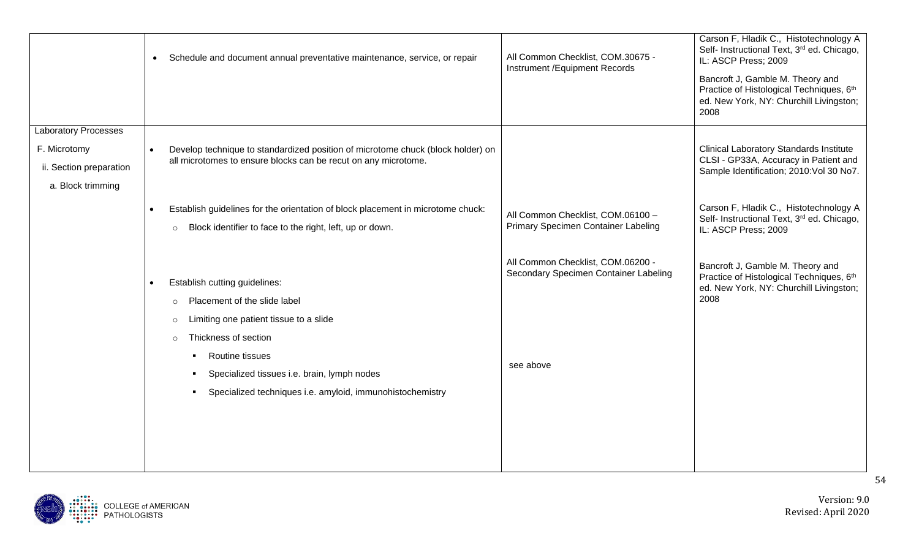|                                                                                             | Schedule and document annual preventative maintenance, service, or repair<br>$\bullet$                                                                                                                                                                                                                                   | All Common Checklist, COM.30675 -<br>Instrument / Equipment Records                     | Carson F, Hladik C., Histotechnology A<br>Self- Instructional Text, 3rd ed. Chicago,<br>IL: ASCP Press; 2009<br>Bancroft J, Gamble M. Theory and<br>Practice of Histological Techniques, 6th<br>ed. New York, NY: Churchill Livingston;<br>2008     |
|---------------------------------------------------------------------------------------------|--------------------------------------------------------------------------------------------------------------------------------------------------------------------------------------------------------------------------------------------------------------------------------------------------------------------------|-----------------------------------------------------------------------------------------|-----------------------------------------------------------------------------------------------------------------------------------------------------------------------------------------------------------------------------------------------------|
| <b>Laboratory Processes</b><br>F. Microtomy<br>ii. Section preparation<br>a. Block trimming | Develop technique to standardized position of microtome chuck (block holder) on<br>$\bullet$<br>all microtomes to ensure blocks can be recut on any microtome.<br>Establish guidelines for the orientation of block placement in microtome chuck:<br>Block identifier to face to the right, left, up or down.<br>$\circ$ | All Common Checklist, COM.06100 -<br>Primary Specimen Container Labeling                | <b>Clinical Laboratory Standards Institute</b><br>CLSI - GP33A, Accuracy in Patient and<br>Sample Identification; 2010: Vol 30 No7.<br>Carson F, Hladik C., Histotechnology A<br>Self- Instructional Text, 3rd ed. Chicago,<br>IL: ASCP Press; 2009 |
|                                                                                             | Establish cutting guidelines:<br>Placement of the slide label<br>$\circ$<br>Limiting one patient tissue to a slide<br>$\circ$<br>Thickness of section<br>$\circ$<br>Routine tissues<br>Specialized tissues i.e. brain, lymph nodes<br>Specialized techniques i.e. amyloid, immunohistochemistry                          | All Common Checklist, COM.06200 -<br>Secondary Specimen Container Labeling<br>see above | Bancroft J, Gamble M. Theory and<br>Practice of Histological Techniques, 6th<br>ed. New York, NY: Churchill Livingston;<br>2008                                                                                                                     |

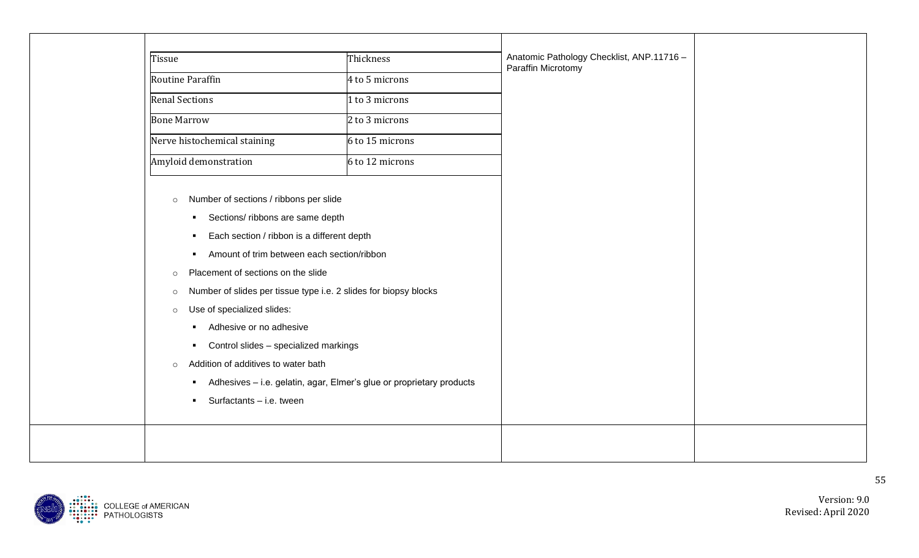| Tissue                                                                      | Thickness                                                            | Anatomic Pathology Checklist, ANP.11716 -<br>Paraffin Microtomy |  |
|-----------------------------------------------------------------------------|----------------------------------------------------------------------|-----------------------------------------------------------------|--|
| <b>Routine Paraffin</b>                                                     | 4 to 5 microns                                                       |                                                                 |  |
| <b>Renal Sections</b>                                                       | 1 to 3 microns                                                       |                                                                 |  |
| <b>Bone Marrow</b>                                                          | 2 to 3 microns                                                       |                                                                 |  |
| Nerve histochemical staining                                                | 6 to 15 microns                                                      |                                                                 |  |
| Amyloid demonstration                                                       | 6 to 12 microns                                                      |                                                                 |  |
|                                                                             |                                                                      |                                                                 |  |
| Number of sections / ribbons per slide<br>$\circ$                           |                                                                      |                                                                 |  |
| Sections/ ribbons are same depth<br>$\blacksquare$                          |                                                                      |                                                                 |  |
| Each section / ribbon is a different depth<br>٠                             |                                                                      |                                                                 |  |
| Amount of trim between each section/ribbon<br>$\blacksquare$                |                                                                      |                                                                 |  |
| Placement of sections on the slide<br>$\circ$                               |                                                                      |                                                                 |  |
| Number of slides per tissue type i.e. 2 slides for biopsy blocks<br>$\circ$ |                                                                      |                                                                 |  |
| Use of specialized slides:<br>$\circ$                                       |                                                                      |                                                                 |  |
| Adhesive or no adhesive<br>٠                                                |                                                                      |                                                                 |  |
| Control slides - specialized markings<br>$\blacksquare$                     |                                                                      |                                                                 |  |
| Addition of additives to water bath<br>$\circ$                              |                                                                      |                                                                 |  |
|                                                                             | Adhesives - i.e. gelatin, agar, Elmer's glue or proprietary products |                                                                 |  |
| Surfactants - i.e. tween<br>٠                                               |                                                                      |                                                                 |  |
|                                                                             |                                                                      |                                                                 |  |
|                                                                             |                                                                      |                                                                 |  |

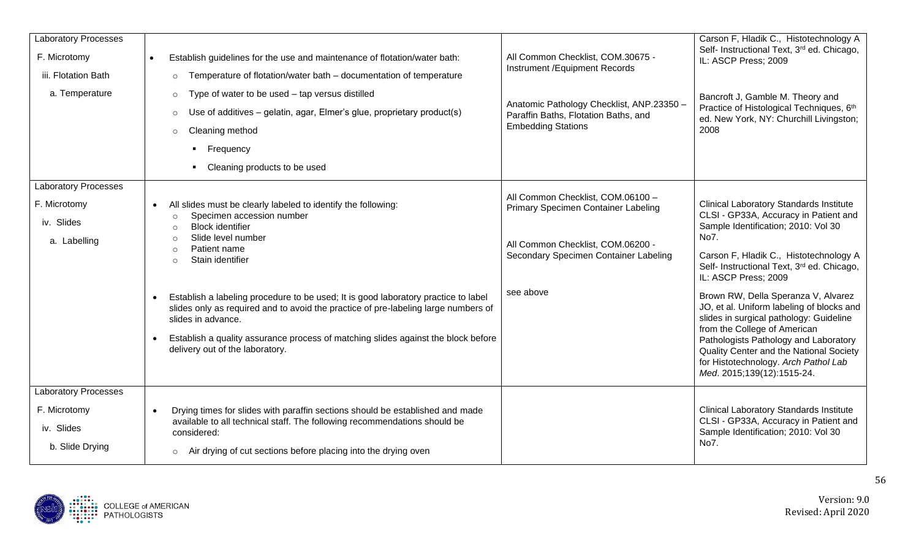| <b>Laboratory Processes</b>                                                  |                                                                                                                                                                                                                                                                                                                                                                                                                                                                                                                                                                                            |                                                                                                                                                                     | Carson F, Hladik C., Histotechnology A                                                                                                                                                                                                                                                                                                                                                                                                                                                                                                            |  |
|------------------------------------------------------------------------------|--------------------------------------------------------------------------------------------------------------------------------------------------------------------------------------------------------------------------------------------------------------------------------------------------------------------------------------------------------------------------------------------------------------------------------------------------------------------------------------------------------------------------------------------------------------------------------------------|---------------------------------------------------------------------------------------------------------------------------------------------------------------------|---------------------------------------------------------------------------------------------------------------------------------------------------------------------------------------------------------------------------------------------------------------------------------------------------------------------------------------------------------------------------------------------------------------------------------------------------------------------------------------------------------------------------------------------------|--|
| F. Microtomy                                                                 | Establish guidelines for the use and maintenance of flotation/water bath:<br>$\bullet$                                                                                                                                                                                                                                                                                                                                                                                                                                                                                                     | All Common Checklist, COM.30675 -<br>Instrument / Equipment Records                                                                                                 | Self- Instructional Text, 3rd ed. Chicago,<br>IL: ASCP Press; 2009                                                                                                                                                                                                                                                                                                                                                                                                                                                                                |  |
| iii. Flotation Bath                                                          | Temperature of flotation/water bath - documentation of temperature<br>$\circ$                                                                                                                                                                                                                                                                                                                                                                                                                                                                                                              |                                                                                                                                                                     |                                                                                                                                                                                                                                                                                                                                                                                                                                                                                                                                                   |  |
| a. Temperature                                                               | Type of water to be used - tap versus distilled<br>$\circ$                                                                                                                                                                                                                                                                                                                                                                                                                                                                                                                                 |                                                                                                                                                                     | Bancroft J, Gamble M. Theory and                                                                                                                                                                                                                                                                                                                                                                                                                                                                                                                  |  |
|                                                                              | Use of additives - gelatin, agar, Elmer's glue, proprietary product(s)<br>$\circ$                                                                                                                                                                                                                                                                                                                                                                                                                                                                                                          | Anatomic Pathology Checklist, ANP.23350 -<br>Paraffin Baths, Flotation Baths, and                                                                                   | Practice of Histological Techniques, 6th<br>ed. New York, NY: Churchill Livingston;                                                                                                                                                                                                                                                                                                                                                                                                                                                               |  |
|                                                                              | Cleaning method<br>$\circ$                                                                                                                                                                                                                                                                                                                                                                                                                                                                                                                                                                 | <b>Embedding Stations</b>                                                                                                                                           | 2008                                                                                                                                                                                                                                                                                                                                                                                                                                                                                                                                              |  |
|                                                                              | • Frequency                                                                                                                                                                                                                                                                                                                                                                                                                                                                                                                                                                                |                                                                                                                                                                     |                                                                                                                                                                                                                                                                                                                                                                                                                                                                                                                                                   |  |
|                                                                              | Cleaning products to be used                                                                                                                                                                                                                                                                                                                                                                                                                                                                                                                                                               |                                                                                                                                                                     |                                                                                                                                                                                                                                                                                                                                                                                                                                                                                                                                                   |  |
| <b>Laboratory Processes</b><br>F. Microtomy<br>iv. Slides<br>a. Labelling    | All slides must be clearly labeled to identify the following:<br>$\bullet$<br>Specimen accession number<br>$\circ$<br><b>Block identifier</b><br>$\circ$<br>Slide level number<br>$\circ$<br>Patient name<br>$\circ$<br>Stain identifier<br>$\circ$<br>Establish a labeling procedure to be used; It is good laboratory practice to label<br>slides only as required and to avoid the practice of pre-labeling large numbers of<br>slides in advance.<br>Establish a quality assurance process of matching slides against the block before<br>$\bullet$<br>delivery out of the laboratory. | All Common Checklist, COM.06100 -<br>Primary Specimen Container Labeling<br>All Common Checklist, COM.06200 -<br>Secondary Specimen Container Labeling<br>see above | <b>Clinical Laboratory Standards Institute</b><br>CLSI - GP33A, Accuracy in Patient and<br>Sample Identification; 2010: Vol 30<br>No7.<br>Carson F, Hladik C., Histotechnology A<br>Self- Instructional Text, 3rd ed. Chicago,<br>IL: ASCP Press; 2009<br>Brown RW, Della Speranza V, Alvarez<br>JO, et al. Uniform labeling of blocks and<br>slides in surgical pathology: Guideline<br>from the College of American<br>Pathologists Pathology and Laboratory<br>Quality Center and the National Society<br>for Histotechnology. Arch Pathol Lab |  |
|                                                                              |                                                                                                                                                                                                                                                                                                                                                                                                                                                                                                                                                                                            |                                                                                                                                                                     | Med. 2015;139(12):1515-24.                                                                                                                                                                                                                                                                                                                                                                                                                                                                                                                        |  |
| <b>Laboratory Processes</b><br>F. Microtomy<br>iv. Slides<br>b. Slide Drying | Drying times for slides with paraffin sections should be established and made<br>$\bullet$<br>available to all technical staff. The following recommendations should be<br>considered:<br>o Air drying of cut sections before placing into the drying oven                                                                                                                                                                                                                                                                                                                                 |                                                                                                                                                                     | <b>Clinical Laboratory Standards Institute</b><br>CLSI - GP33A, Accuracy in Patient and<br>Sample Identification; 2010: Vol 30<br>No7.                                                                                                                                                                                                                                                                                                                                                                                                            |  |

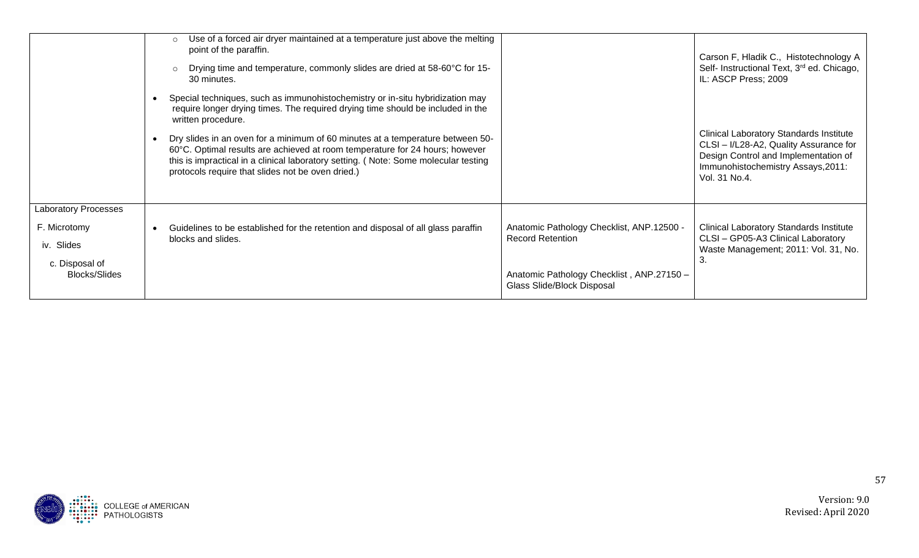|                                        | Use of a forced air dryer maintained at a temperature just above the melting<br>point of the paraffin.<br>Drying time and temperature, commonly slides are dried at 58-60°C for 15-<br>30 minutes.                                                                                                                                                                                                                                                                                                   |                                                                         | Carson F, Hladik C., Histotechnology A<br>Self- Instructional Text, 3 <sup>rd</sup> ed. Chicago,<br>IL: ASCP Press; 2009                                                                |
|----------------------------------------|------------------------------------------------------------------------------------------------------------------------------------------------------------------------------------------------------------------------------------------------------------------------------------------------------------------------------------------------------------------------------------------------------------------------------------------------------------------------------------------------------|-------------------------------------------------------------------------|-----------------------------------------------------------------------------------------------------------------------------------------------------------------------------------------|
|                                        | Special techniques, such as immunohistochemistry or in-situ hybridization may<br>require longer drying times. The required drying time should be included in the<br>written procedure.<br>Dry slides in an oven for a minimum of 60 minutes at a temperature between 50-<br>60°C. Optimal results are achieved at room temperature for 24 hours; however<br>this is impractical in a clinical laboratory setting. (Note: Some molecular testing<br>protocols require that slides not be oven dried.) |                                                                         | <b>Clinical Laboratory Standards Institute</b><br>CLSI - I/L28-A2, Quality Assurance for<br>Design Control and Implementation of<br>Immunohistochemistry Assays, 2011:<br>Vol. 31 No.4. |
| <b>Laboratory Processes</b>            |                                                                                                                                                                                                                                                                                                                                                                                                                                                                                                      |                                                                         |                                                                                                                                                                                         |
| F. Microtomy                           | Guidelines to be established for the retention and disposal of all glass paraffin                                                                                                                                                                                                                                                                                                                                                                                                                    | Anatomic Pathology Checklist, ANP.12500 -                               | <b>Clinical Laboratory Standards Institute</b>                                                                                                                                          |
| iv. Slides                             | blocks and slides.                                                                                                                                                                                                                                                                                                                                                                                                                                                                                   | <b>Record Retention</b>                                                 | CLSI - GP05-A3 Clinical Laboratory<br>Waste Management; 2011: Vol. 31, No.                                                                                                              |
| c. Disposal of<br><b>Blocks/Slides</b> |                                                                                                                                                                                                                                                                                                                                                                                                                                                                                                      | Anatomic Pathology Checklist, ANP.27150 -<br>Glass Slide/Block Disposal | 3.                                                                                                                                                                                      |

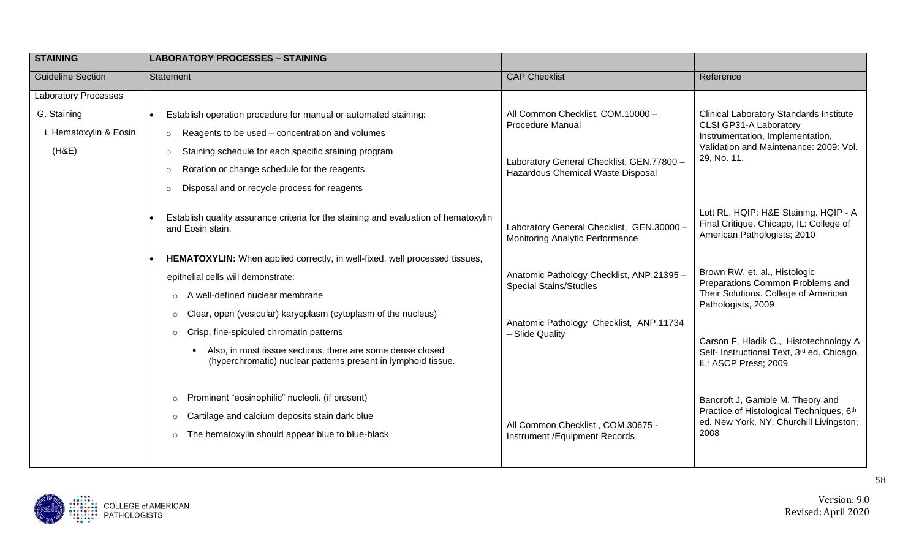| <b>STAINING</b>             | <b>LABORATORY PROCESSES - STAINING</b>                                                                                                        |                                                                                |                                                                                                                 |
|-----------------------------|-----------------------------------------------------------------------------------------------------------------------------------------------|--------------------------------------------------------------------------------|-----------------------------------------------------------------------------------------------------------------|
| <b>Guideline Section</b>    | <b>Statement</b>                                                                                                                              | <b>CAP Checklist</b>                                                           | Reference                                                                                                       |
| <b>Laboratory Processes</b> |                                                                                                                                               |                                                                                |                                                                                                                 |
| G. Staining                 | Establish operation procedure for manual or automated staining:                                                                               | All Common Checklist, COM.10000 -                                              | <b>Clinical Laboratory Standards Institute</b>                                                                  |
| i. Hematoxylin & Eosin      | Reagents to be used - concentration and volumes<br>$\circ$                                                                                    | <b>Procedure Manual</b>                                                        | CLSI GP31-A Laboratory<br>Instrumentation, Implementation,                                                      |
| (H&E)                       | Staining schedule for each specific staining program<br>$\circ$                                                                               |                                                                                | Validation and Maintenance: 2009: Vol.<br>29, No. 11.                                                           |
|                             | Rotation or change schedule for the reagents<br>$\Omega$                                                                                      | Laboratory General Checklist, GEN.77800 -<br>Hazardous Chemical Waste Disposal |                                                                                                                 |
|                             | Disposal and or recycle process for reagents<br>$\circ$                                                                                       |                                                                                |                                                                                                                 |
|                             | Establish quality assurance criteria for the staining and evaluation of hematoxylin<br>and Eosin stain.                                       | Laboratory General Checklist, GEN.30000 -<br>Monitoring Analytic Performance   | Lott RL. HQIP: H&E Staining. HQIP - A<br>Final Critique. Chicago, IL: College of<br>American Pathologists; 2010 |
|                             | HEMATOXYLIN: When applied correctly, in well-fixed, well processed tissues,<br>$\bullet$                                                      |                                                                                |                                                                                                                 |
|                             | epithelial cells will demonstrate:                                                                                                            | Anatomic Pathology Checklist, ANP.21395 -                                      | Brown RW. et. al., Histologic<br>Preparations Common Problems and                                               |
|                             | o A well-defined nuclear membrane                                                                                                             | <b>Special Stains/Studies</b>                                                  | Their Solutions. College of American<br>Pathologists, 2009                                                      |
|                             | $\circ$ Clear, open (vesicular) karyoplasm (cytoplasm of the nucleus)                                                                         | Anatomic Pathology Checklist, ANP.11734                                        |                                                                                                                 |
|                             | Crisp, fine-spiculed chromatin patterns<br>$\circ$                                                                                            | - Slide Quality                                                                | Carson F, Hladik C., Histotechnology A                                                                          |
|                             | Also, in most tissue sections, there are some dense closed<br>$\blacksquare$<br>(hyperchromatic) nuclear patterns present in lymphoid tissue. |                                                                                | Self- Instructional Text, 3rd ed. Chicago,<br>IL: ASCP Press; 2009                                              |
|                             | Prominent "eosinophilic" nucleoli. (if present)<br>$\circ$                                                                                    |                                                                                | Bancroft J, Gamble M. Theory and                                                                                |
|                             | Cartilage and calcium deposits stain dark blue<br>$\circ$                                                                                     |                                                                                | Practice of Histological Techniques, 6th<br>ed. New York, NY: Churchill Livingston;                             |
|                             | The hematoxylin should appear blue to blue-black<br>$\circ$                                                                                   | All Common Checklist, COM.30675 -<br>Instrument / Equipment Records            | 2008                                                                                                            |
|                             |                                                                                                                                               |                                                                                |                                                                                                                 |

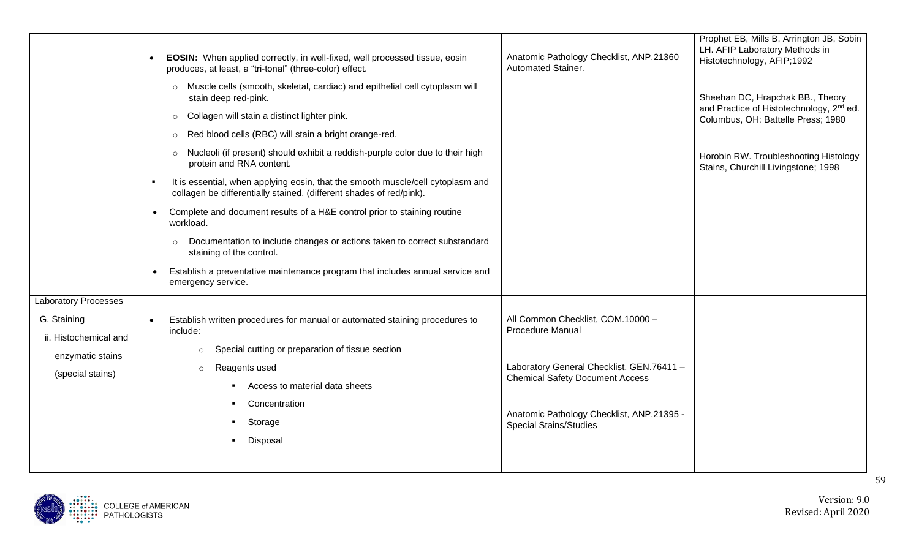|                                                                                                             | EOSIN: When applied correctly, in well-fixed, well processed tissue, eosin<br>produces, at least, a "tri-tonal" (three-color) effect.<br>Muscle cells (smooth, skeletal, cardiac) and epithelial cell cytoplasm will<br>stain deep red-pink.<br>Collagen will stain a distinct lighter pink.<br>$\circ$<br>Red blood cells (RBC) will stain a bright orange-red.<br>$\circ$<br>Nucleoli (if present) should exhibit a reddish-purple color due to their high<br>$\circ$<br>protein and RNA content.<br>It is essential, when applying eosin, that the smooth muscle/cell cytoplasm and<br>collagen be differentially stained. (different shades of red/pink).<br>Complete and document results of a H&E control prior to staining routine<br>$\bullet$<br>workload.<br>Documentation to include changes or actions taken to correct substandard<br>$\circ$<br>staining of the control.<br>Establish a preventative maintenance program that includes annual service and<br>emergency service. | Anatomic Pathology Checklist, ANP.21360<br>Automated Stainer.                                                                                                                                                                     | Prophet EB, Mills B, Arrington JB, Sobin<br>LH. AFIP Laboratory Methods in<br>Histotechnology, AFIP;1992<br>Sheehan DC, Hrapchak BB., Theory<br>and Practice of Histotechnology, 2 <sup>nd</sup> ed.<br>Columbus, OH: Battelle Press; 1980<br>Horobin RW. Troubleshooting Histology<br>Stains, Churchill Livingstone; 1998 |
|-------------------------------------------------------------------------------------------------------------|-----------------------------------------------------------------------------------------------------------------------------------------------------------------------------------------------------------------------------------------------------------------------------------------------------------------------------------------------------------------------------------------------------------------------------------------------------------------------------------------------------------------------------------------------------------------------------------------------------------------------------------------------------------------------------------------------------------------------------------------------------------------------------------------------------------------------------------------------------------------------------------------------------------------------------------------------------------------------------------------------|-----------------------------------------------------------------------------------------------------------------------------------------------------------------------------------------------------------------------------------|----------------------------------------------------------------------------------------------------------------------------------------------------------------------------------------------------------------------------------------------------------------------------------------------------------------------------|
| <b>Laboratory Processes</b><br>G. Staining<br>ii. Histochemical and<br>enzymatic stains<br>(special stains) | Establish written procedures for manual or automated staining procedures to<br>include:<br>Special cutting or preparation of tissue section<br>$\circ$<br>Reagents used<br>$\circ$<br>Access to material data sheets<br>Concentration<br>Storage<br>Disposal                                                                                                                                                                                                                                                                                                                                                                                                                                                                                                                                                                                                                                                                                                                                  | All Common Checklist, COM.10000 -<br><b>Procedure Manual</b><br>Laboratory General Checklist, GEN.76411 -<br><b>Chemical Safety Document Access</b><br>Anatomic Pathology Checklist, ANP.21395 -<br><b>Special Stains/Studies</b> |                                                                                                                                                                                                                                                                                                                            |

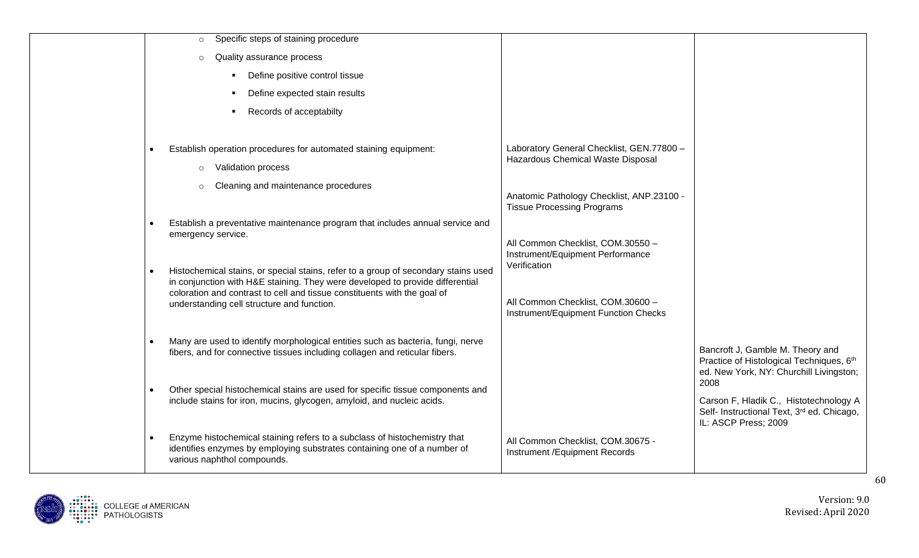| Specific steps of staining procedure<br>$\circ$<br>Quality assurance process<br>$\Omega$<br>Define positive control tissue<br>Define expected stain results                                                                                                                                                |                                                                                                                     |                                                                                                                         |
|------------------------------------------------------------------------------------------------------------------------------------------------------------------------------------------------------------------------------------------------------------------------------------------------------------|---------------------------------------------------------------------------------------------------------------------|-------------------------------------------------------------------------------------------------------------------------|
| Records of acceptabilty<br>Establish operation procedures for automated staining equipment:<br>$\bullet$                                                                                                                                                                                                   | Laboratory General Checklist, GEN.77800 -                                                                           |                                                                                                                         |
| <b>Validation process</b><br>$\circ$<br>Cleaning and maintenance procedures<br>$\Omega$                                                                                                                                                                                                                    | Hazardous Chemical Waste Disposal<br>Anatomic Pathology Checklist, ANP.23100 -<br><b>Tissue Processing Programs</b> |                                                                                                                         |
| Establish a preventative maintenance program that includes annual service and<br>emergency service.                                                                                                                                                                                                        | All Common Checklist, COM.30550 -<br>Instrument/Equipment Performance                                               |                                                                                                                         |
| Histochemical stains, or special stains, refer to a group of secondary stains used<br>$\bullet$<br>in conjunction with H&E staining. They were developed to provide differential<br>coloration and contrast to cell and tissue constituents with the goal of<br>understanding cell structure and function. | Verification<br>All Common Checklist, COM.30600 -<br>Instrument/Equipment Function Checks                           |                                                                                                                         |
| Many are used to identify morphological entities such as bacteria, fungi, nerve<br>$\bullet$<br>fibers, and for connective tissues including collagen and reticular fibers.                                                                                                                                |                                                                                                                     | Bancroft J, Gamble M. Theory and<br>Practice of Histological Techniques, 6th<br>ed. New York, NY: Churchill Livingston; |
| Other special histochemical stains are used for specific tissue components and<br>include stains for iron, mucins, glycogen, amyloid, and nucleic acids.                                                                                                                                                   |                                                                                                                     | 2008<br>Carson F, Hladik C., Histotechnology A<br>Self- Instructional Text, 3rd ed. Chicago,<br>IL: ASCP Press; 2009    |
| Enzyme histochemical staining refers to a subclass of histochemistry that<br>identifies enzymes by employing substrates containing one of a number of<br>various naphthol compounds.                                                                                                                       | All Common Checklist, COM.30675 -<br>Instrument / Equipment Records                                                 |                                                                                                                         |

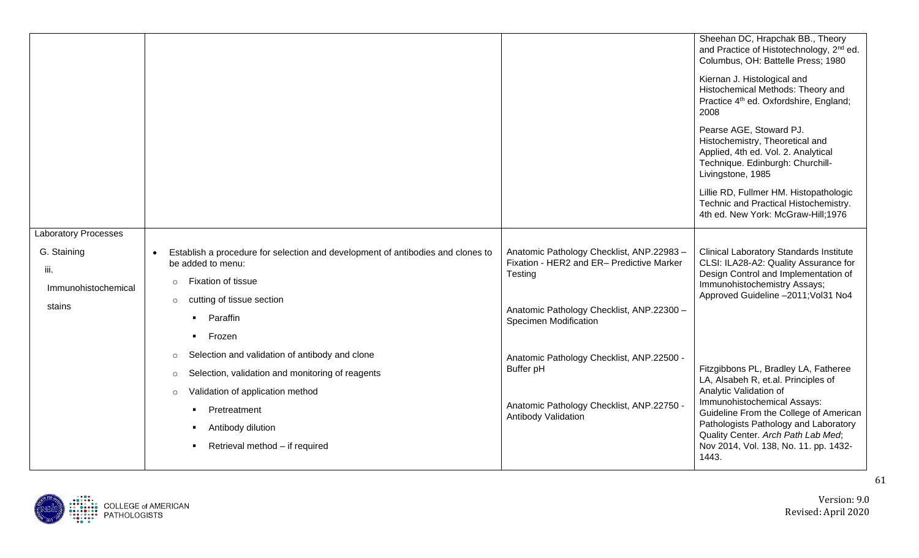|                                            |                                                                                                      |                                                        | Sheehan DC, Hrapchak BB., Theory<br>and Practice of Histotechnology, 2 <sup>nd</sup> ed.<br>Columbus, OH: Battelle Press; 1980<br>Kiernan J. Histological and<br>Histochemical Methods: Theory and<br>Practice 4 <sup>th</sup> ed. Oxfordshire, England;<br>2008<br>Pearse AGE, Stoward PJ.<br>Histochemistry, Theoretical and<br>Applied, 4th ed. Vol. 2. Analytical<br>Technique. Edinburgh: Churchill-<br>Livingstone, 1985<br>Lillie RD, Fullmer HM. Histopathologic<br>Technic and Practical Histochemistry.<br>4th ed. New York: McGraw-Hill;1976 |
|--------------------------------------------|------------------------------------------------------------------------------------------------------|--------------------------------------------------------|---------------------------------------------------------------------------------------------------------------------------------------------------------------------------------------------------------------------------------------------------------------------------------------------------------------------------------------------------------------------------------------------------------------------------------------------------------------------------------------------------------------------------------------------------------|
| <b>Laboratory Processes</b><br>G. Staining |                                                                                                      | Anatomic Pathology Checklist, ANP.22983-               | <b>Clinical Laboratory Standards Institute</b>                                                                                                                                                                                                                                                                                                                                                                                                                                                                                                          |
| iii.                                       | Establish a procedure for selection and development of antibodies and clones to<br>be added to menu: | Fixation - HER2 and ER- Predictive Marker<br>Testing   | CLSI: ILA28-A2: Quality Assurance for<br>Design Control and Implementation of                                                                                                                                                                                                                                                                                                                                                                                                                                                                           |
| Immunohistochemical                        | Fixation of tissue<br>$\circ$                                                                        |                                                        | Immunohistochemistry Assays;<br>Approved Guideline -2011; Vol31 No4                                                                                                                                                                                                                                                                                                                                                                                                                                                                                     |
| stains                                     | cutting of tissue section<br>$\circ$                                                                 | Anatomic Pathology Checklist, ANP.22300 -              |                                                                                                                                                                                                                                                                                                                                                                                                                                                                                                                                                         |
|                                            | Paraffin                                                                                             | <b>Specimen Modification</b>                           |                                                                                                                                                                                                                                                                                                                                                                                                                                                                                                                                                         |
|                                            | Frozen<br>$\blacksquare$<br>Selection and validation of antibody and clone                           |                                                        |                                                                                                                                                                                                                                                                                                                                                                                                                                                                                                                                                         |
|                                            | $\circ$<br>Selection, validation and monitoring of reagents<br>$\circ$                               | Anatomic Pathology Checklist, ANP.22500 -<br>Buffer pH | Fitzgibbons PL, Bradley LA, Fatheree                                                                                                                                                                                                                                                                                                                                                                                                                                                                                                                    |
|                                            | Validation of application method<br>$\circ$                                                          |                                                        | LA, Alsabeh R, et.al. Principles of<br>Analytic Validation of                                                                                                                                                                                                                                                                                                                                                                                                                                                                                           |
|                                            | Pretreatment                                                                                         | Anatomic Pathology Checklist, ANP.22750 -              | Immunohistochemical Assays:<br>Guideline From the College of American                                                                                                                                                                                                                                                                                                                                                                                                                                                                                   |
|                                            | Antibody dilution                                                                                    | Antibody Validation                                    | Pathologists Pathology and Laboratory                                                                                                                                                                                                                                                                                                                                                                                                                                                                                                                   |
|                                            | Retrieval method - if required                                                                       |                                                        | Quality Center. Arch Path Lab Med;<br>Nov 2014, Vol. 138, No. 11. pp. 1432-<br>1443.                                                                                                                                                                                                                                                                                                                                                                                                                                                                    |

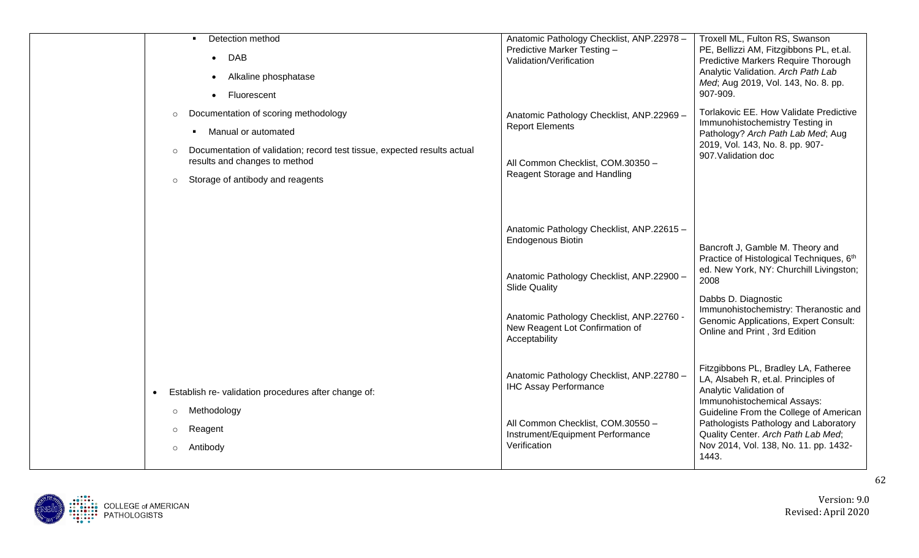| Detection method<br>DAB<br>$\bullet$<br>Alkaline phosphatase<br>$\bullet$<br>Fluorescent<br>Documentation of scoring methodology<br>$\circ$<br>Manual or automated<br>Documentation of validation; record test tissue, expected results actual<br>$\circ$<br>results and changes to method<br>Storage of antibody and reagents<br>$\circ$ | Anatomic Pathology Checklist, ANP.22978 -<br>Predictive Marker Testing -<br>Validation/Verification<br>Anatomic Pathology Checklist, ANP.22969 -<br><b>Report Elements</b><br>All Common Checklist, COM.30350 -<br>Reagent Storage and Handling | Troxell ML, Fulton RS, Swanson<br>PE, Bellizzi AM, Fitzgibbons PL, et.al.<br>Predictive Markers Require Thorough<br>Analytic Validation. Arch Path Lab<br>Med; Aug 2019, Vol. 143, No. 8. pp.<br>907-909.<br>Torlakovic EE. How Validate Predictive<br>Immunohistochemistry Testing in<br>Pathology? Arch Path Lab Med; Aug<br>2019, Vol. 143, No. 8. pp. 907-<br>907. Validation doc |
|-------------------------------------------------------------------------------------------------------------------------------------------------------------------------------------------------------------------------------------------------------------------------------------------------------------------------------------------|-------------------------------------------------------------------------------------------------------------------------------------------------------------------------------------------------------------------------------------------------|---------------------------------------------------------------------------------------------------------------------------------------------------------------------------------------------------------------------------------------------------------------------------------------------------------------------------------------------------------------------------------------|
|                                                                                                                                                                                                                                                                                                                                           | Anatomic Pathology Checklist, ANP.22615 -<br><b>Endogenous Biotin</b><br>Anatomic Pathology Checklist, ANP.22900 -<br><b>Slide Quality</b><br>Anatomic Pathology Checklist, ANP.22760 -<br>New Reagent Lot Confirmation of<br>Acceptability     | Bancroft J, Gamble M. Theory and<br>Practice of Histological Techniques, 6th<br>ed. New York, NY: Churchill Livingston;<br>2008<br>Dabbs D. Diagnostic<br>Immunohistochemistry: Theranostic and<br><b>Genomic Applications, Expert Consult:</b><br>Online and Print, 3rd Edition                                                                                                      |
| Establish re- validation procedures after change of:<br>Methodology<br>$\circ$<br>Reagent<br>Antibody                                                                                                                                                                                                                                     | Anatomic Pathology Checklist, ANP.22780 -<br><b>IHC Assay Performance</b><br>All Common Checklist, COM.30550 -<br>Instrument/Equipment Performance<br>Verification                                                                              | Fitzgibbons PL, Bradley LA, Fatheree<br>LA, Alsabeh R, et.al. Principles of<br>Analytic Validation of<br>Immunohistochemical Assays:<br>Guideline From the College of American<br>Pathologists Pathology and Laboratory<br>Quality Center. Arch Path Lab Med;<br>Nov 2014, Vol. 138, No. 11. pp. 1432-<br>1443.                                                                       |

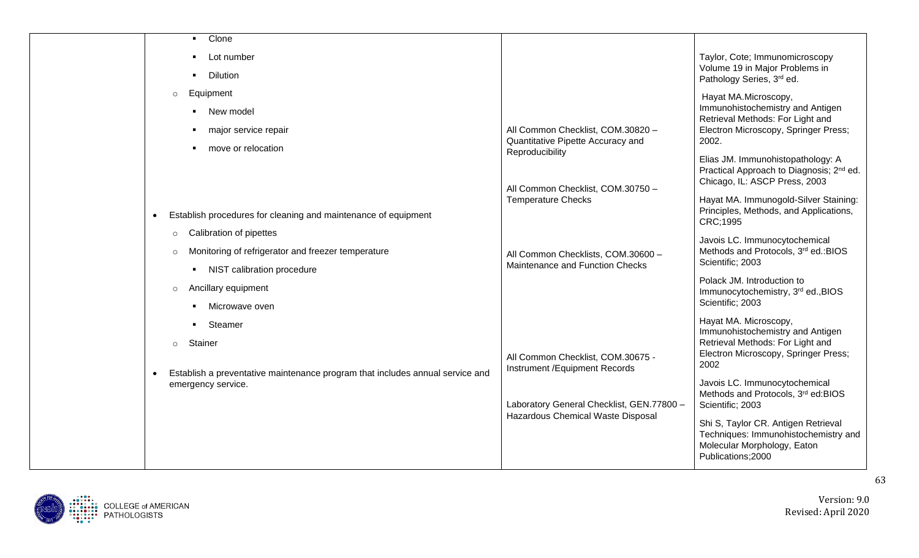| Clone<br>$\blacksquare$                                                                                          |                                                                                |                                                                                                                                  |
|------------------------------------------------------------------------------------------------------------------|--------------------------------------------------------------------------------|----------------------------------------------------------------------------------------------------------------------------------|
| Lot number<br><b>Dilution</b>                                                                                    |                                                                                | Taylor, Cote; Immunomicroscopy<br>Volume 19 in Major Problems in                                                                 |
|                                                                                                                  |                                                                                | Pathology Series, 3rd ed.                                                                                                        |
| Equipment<br>$\circ$                                                                                             |                                                                                | Hayat MA.Microscopy,                                                                                                             |
| • New model                                                                                                      |                                                                                | Immunohistochemistry and Antigen<br>Retrieval Methods: For Light and                                                             |
| major service repair                                                                                             | All Common Checklist, COM.30820 -<br>Quantitative Pipette Accuracy and         | Electron Microscopy, Springer Press;<br>2002.                                                                                    |
| move or relocation                                                                                               | Reproducibility                                                                | Elias JM. Immunohistopathology: A                                                                                                |
|                                                                                                                  |                                                                                | Practical Approach to Diagnosis; 2 <sup>nd</sup> ed.                                                                             |
|                                                                                                                  | All Common Checklist, COM.30750 -                                              | Chicago, IL: ASCP Press, 2003                                                                                                    |
|                                                                                                                  | <b>Temperature Checks</b>                                                      | Hayat MA. Immunogold-Silver Staining:<br>Principles, Methods, and Applications,                                                  |
| Establish procedures for cleaning and maintenance of equipment<br>$\bullet$                                      |                                                                                | CRC;1995                                                                                                                         |
| Calibration of pipettes<br>$\circ$                                                                               |                                                                                | Javois LC. Immunocytochemical                                                                                                    |
| Monitoring of refrigerator and freezer temperature<br>$\Omega$                                                   | All Common Checklists, COM.30600 -<br>Maintenance and Function Checks          | Methods and Protocols, 3rd ed.: BIOS<br>Scientific; 2003                                                                         |
| NIST calibration procedure<br>$\mathbf{H}$                                                                       |                                                                                | Polack JM. Introduction to                                                                                                       |
| Ancillary equipment<br>$\circ$                                                                                   |                                                                                | Immunocytochemistry, 3rd ed., BIOS                                                                                               |
| Microwave oven                                                                                                   |                                                                                | Scientific; 2003                                                                                                                 |
| Steamer                                                                                                          |                                                                                | Hayat MA. Microscopy,<br>Immunohistochemistry and Antigen                                                                        |
| Stainer<br>$\Omega$                                                                                              |                                                                                | Retrieval Methods: For Light and                                                                                                 |
|                                                                                                                  | All Common Checklist, COM.30675 -<br>Instrument / Equipment Records            | Electron Microscopy, Springer Press;<br>2002                                                                                     |
| Establish a preventative maintenance program that includes annual service and<br>$\bullet$<br>emergency service. |                                                                                | Javois LC. Immunocytochemical                                                                                                    |
|                                                                                                                  |                                                                                | Methods and Protocols, 3rd ed:BIOS                                                                                               |
|                                                                                                                  | Laboratory General Checklist, GEN.77800 -<br>Hazardous Chemical Waste Disposal | Scientific; 2003                                                                                                                 |
|                                                                                                                  |                                                                                | Shi S, Taylor CR. Antigen Retrieval<br>Techniques: Immunohistochemistry and<br>Molecular Morphology, Eaton<br>Publications; 2000 |
|                                                                                                                  |                                                                                |                                                                                                                                  |

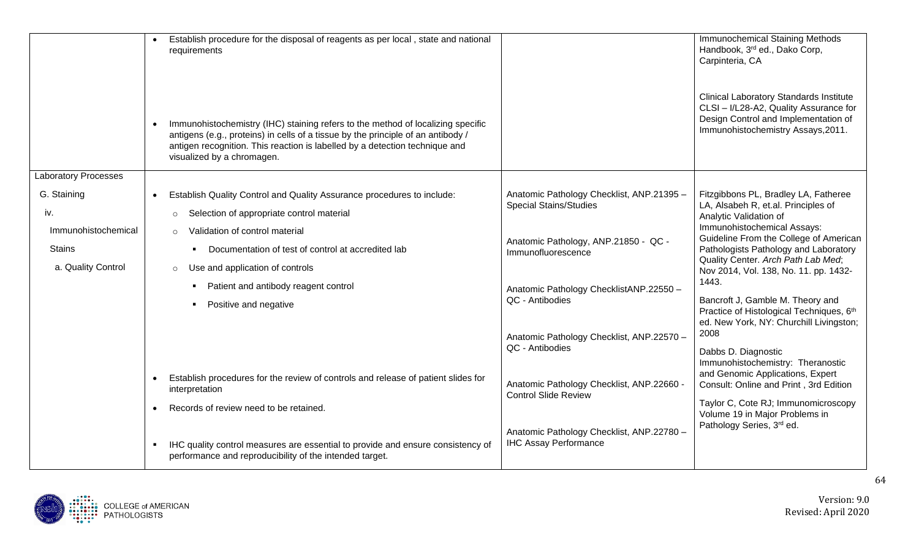|                                                            | Establish procedure for the disposal of reagents as per local, state and national<br>requirements                                                                                                                                                                                |                                                                            | Immunochemical Staining Methods<br>Handbook, 3rd ed., Dako Corp,<br>Carpinteria, CA                                                                                                           |
|------------------------------------------------------------|----------------------------------------------------------------------------------------------------------------------------------------------------------------------------------------------------------------------------------------------------------------------------------|----------------------------------------------------------------------------|-----------------------------------------------------------------------------------------------------------------------------------------------------------------------------------------------|
|                                                            | Immunohistochemistry (IHC) staining refers to the method of localizing specific<br>antigens (e.g., proteins) in cells of a tissue by the principle of an antibody /<br>antigen recognition. This reaction is labelled by a detection technique and<br>visualized by a chromagen. |                                                                            | <b>Clinical Laboratory Standards Institute</b><br>CLSI - I/L28-A2, Quality Assurance for<br>Design Control and Implementation of<br>Immunohistochemistry Assays, 2011.                        |
| <b>Laboratory Processes</b>                                |                                                                                                                                                                                                                                                                                  |                                                                            |                                                                                                                                                                                               |
| G. Staining<br>iv.                                         | Establish Quality Control and Quality Assurance procedures to include:<br>Selection of appropriate control material<br>$\circ$                                                                                                                                                   | Anatomic Pathology Checklist, ANP.21395 -<br><b>Special Stains/Studies</b> | Fitzgibbons PL, Bradley LA, Fatheree<br>LA, Alsabeh R, et.al. Principles of<br>Analytic Validation of                                                                                         |
| Immunohistochemical<br><b>Stains</b><br>a. Quality Control | Validation of control material<br>$\circ$<br>Documentation of test of control at accredited lab<br>Use and application of controls<br>$\circ$                                                                                                                                    | Anatomic Pathology, ANP.21850 - QC -<br>Immunofluorescence                 | Immunohistochemical Assays:<br>Guideline From the College of American<br>Pathologists Pathology and Laboratory<br>Quality Center. Arch Path Lab Med;<br>Nov 2014, Vol. 138, No. 11. pp. 1432- |
|                                                            | Patient and antibody reagent control<br>Positive and negative                                                                                                                                                                                                                    | Anatomic Pathology ChecklistANP.22550 -<br>QC - Antibodies                 | 1443.<br>Bancroft J, Gamble M. Theory and<br>Practice of Histological Techniques, 6th<br>ed. New York, NY: Churchill Livingston;                                                              |
|                                                            |                                                                                                                                                                                                                                                                                  | Anatomic Pathology Checklist, ANP.22570 -<br>QC - Antibodies               | 2008<br>Dabbs D. Diagnostic<br>Immunohistochemistry: Theranostic                                                                                                                              |
|                                                            | Establish procedures for the review of controls and release of patient slides for<br>$\bullet$<br>interpretation                                                                                                                                                                 | Anatomic Pathology Checklist, ANP.22660 -<br><b>Control Slide Review</b>   | and Genomic Applications, Expert<br>Consult: Online and Print, 3rd Edition                                                                                                                    |
|                                                            | Records of review need to be retained.                                                                                                                                                                                                                                           |                                                                            | Taylor C, Cote RJ; Immunomicroscopy<br>Volume 19 in Major Problems in<br>Pathology Series, 3rd ed.                                                                                            |
|                                                            | IHC quality control measures are essential to provide and ensure consistency of<br>$\blacksquare$<br>performance and reproducibility of the intended target.                                                                                                                     | Anatomic Pathology Checklist, ANP.22780 -<br><b>IHC Assay Performance</b>  |                                                                                                                                                                                               |

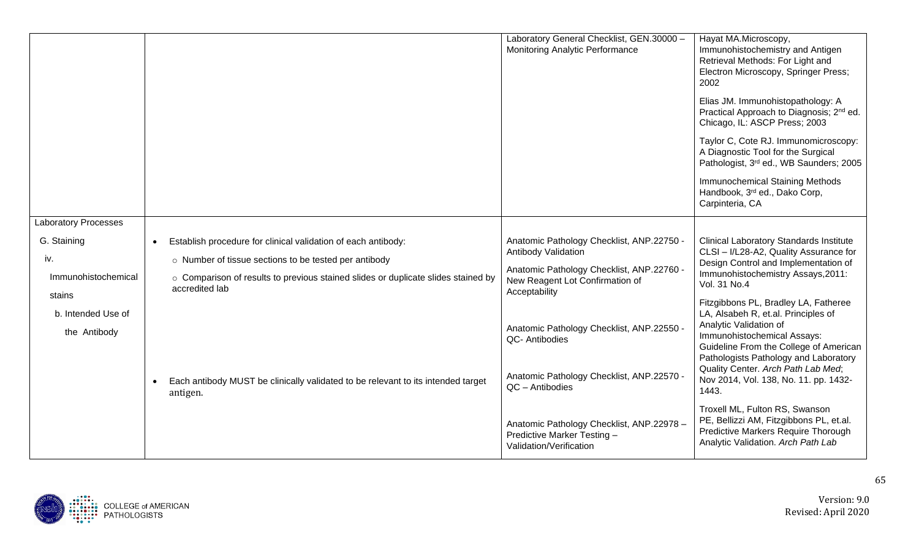|                                              |                                                                                                           | Laboratory General Checklist, GEN.30000 -                                                           | Hayat MA.Microscopy,                                                                                                                                                                                                    |
|----------------------------------------------|-----------------------------------------------------------------------------------------------------------|-----------------------------------------------------------------------------------------------------|-------------------------------------------------------------------------------------------------------------------------------------------------------------------------------------------------------------------------|
|                                              |                                                                                                           | Monitoring Analytic Performance                                                                     | Immunohistochemistry and Antigen<br>Retrieval Methods: For Light and<br>Electron Microscopy, Springer Press;<br>2002                                                                                                    |
|                                              |                                                                                                           |                                                                                                     | Elias JM. Immunohistopathology: A<br>Practical Approach to Diagnosis; 2 <sup>nd</sup> ed.<br>Chicago, IL: ASCP Press; 2003                                                                                              |
|                                              |                                                                                                           |                                                                                                     | Taylor C, Cote RJ. Immunomicroscopy:<br>A Diagnostic Tool for the Surgical<br>Pathologist, 3rd ed., WB Saunders; 2005                                                                                                   |
|                                              |                                                                                                           |                                                                                                     | <b>Immunochemical Staining Methods</b><br>Handbook, 3rd ed., Dako Corp,<br>Carpinteria, CA                                                                                                                              |
| <b>Laboratory Processes</b>                  |                                                                                                           |                                                                                                     |                                                                                                                                                                                                                         |
| G. Staining                                  | Establish procedure for clinical validation of each antibody:<br>$\bullet$                                | Anatomic Pathology Checklist, ANP.22750 -                                                           | <b>Clinical Laboratory Standards Institute</b>                                                                                                                                                                          |
| iv.                                          | o Number of tissue sections to be tested per antibody                                                     | <b>Antibody Validation</b>                                                                          | CLSI - I/L28-A2, Quality Assurance for<br>Design Control and Implementation of                                                                                                                                          |
| Immunohistochemical                          | o Comparison of results to previous stained slides or duplicate slides stained by<br>accredited lab       | Anatomic Pathology Checklist, ANP.22760 -<br>New Reagent Lot Confirmation of<br>Acceptability       | Immunohistochemistry Assays, 2011:<br>Vol. 31 No.4                                                                                                                                                                      |
| stains<br>b. Intended Use of<br>the Antibody |                                                                                                           | Anatomic Pathology Checklist, ANP.22550 -<br>QC- Antibodies                                         | Fitzgibbons PL, Bradley LA, Fatheree<br>LA, Alsabeh R, et.al. Principles of<br>Analytic Validation of<br>Immunohistochemical Assays:<br>Guideline From the College of American<br>Pathologists Pathology and Laboratory |
|                                              | Each antibody MUST be clinically validated to be relevant to its intended target<br>$\bullet$<br>antigen. | Anatomic Pathology Checklist, ANP.22570 -<br>QC - Antibodies                                        | Quality Center. Arch Path Lab Med;<br>Nov 2014, Vol. 138, No. 11. pp. 1432-<br>1443.                                                                                                                                    |
|                                              |                                                                                                           | Anatomic Pathology Checklist, ANP.22978 -<br>Predictive Marker Testing -<br>Validation/Verification | Troxell ML, Fulton RS, Swanson<br>PE, Bellizzi AM, Fitzgibbons PL, et.al.<br>Predictive Markers Require Thorough<br>Analytic Validation. Arch Path Lab                                                                  |

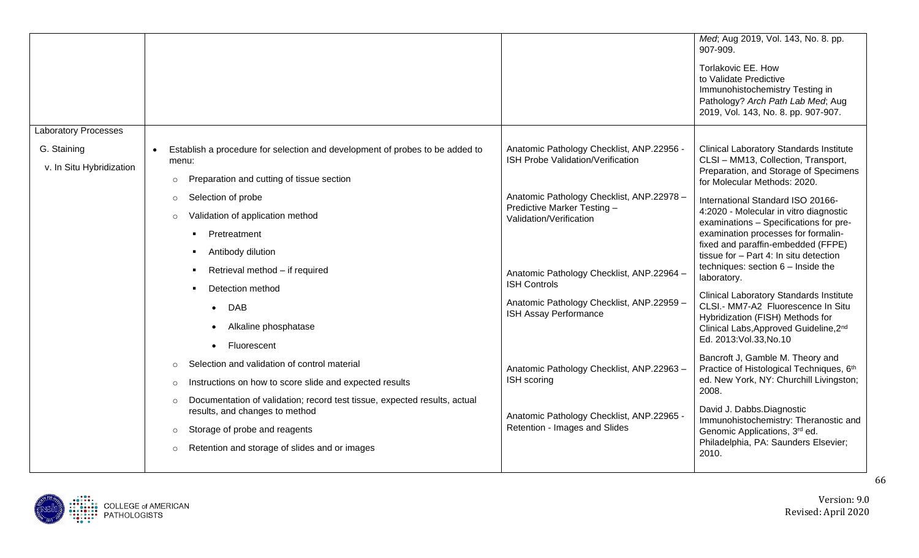|                                         |                                                                                                                                                                                                                                |                                                                                                                                                                         | Med; Aug 2019, Vol. 143, No. 8. pp.<br>907-909.<br>Torlakovic EE. How<br>to Validate Predictive<br>Immunohistochemistry Testing in<br>Pathology? Arch Path Lab Med; Aug<br>2019, Vol. 143, No. 8. pp. 907-907.                                                                                    |
|-----------------------------------------|--------------------------------------------------------------------------------------------------------------------------------------------------------------------------------------------------------------------------------|-------------------------------------------------------------------------------------------------------------------------------------------------------------------------|---------------------------------------------------------------------------------------------------------------------------------------------------------------------------------------------------------------------------------------------------------------------------------------------------|
| <b>Laboratory Processes</b>             |                                                                                                                                                                                                                                |                                                                                                                                                                         |                                                                                                                                                                                                                                                                                                   |
| G. Staining<br>v. In Situ Hybridization | Establish a procedure for selection and development of probes to be added to<br>menu:<br>Preparation and cutting of tissue section<br>$\circ$                                                                                  | Anatomic Pathology Checklist, ANP.22956 -<br>ISH Probe Validation/Verification                                                                                          | <b>Clinical Laboratory Standards Institute</b><br>CLSI - MM13, Collection, Transport,<br>Preparation, and Storage of Specimens<br>for Molecular Methods: 2020.                                                                                                                                    |
|                                         | Selection of probe<br>$\circ$<br>Validation of application method<br>$\circ$<br>Pretreatment<br>Antibody dilution<br>Retrieval method - if required                                                                            | Anatomic Pathology Checklist, ANP.22978 -<br>Predictive Marker Testing -<br>Validation/Verification<br>Anatomic Pathology Checklist, ANP.22964 -<br><b>ISH Controls</b> | International Standard ISO 20166-<br>4:2020 - Molecular in vitro diagnostic<br>examinations - Specifications for pre-<br>examination processes for formalin-<br>fixed and paraffin-embedded (FFPE)<br>tissue for - Part 4: In situ detection<br>techniques: section 6 - Inside the<br>laboratory. |
|                                         | Detection method<br>$\bullet$ DAB<br>Alkaline phosphatase<br>Fluorescent                                                                                                                                                       | Anatomic Pathology Checklist, ANP.22959 -<br>ISH Assay Performance                                                                                                      | <b>Clinical Laboratory Standards Institute</b><br>CLSI.- MM7-A2 Fluorescence In Situ<br>Hybridization (FISH) Methods for<br>Clinical Labs, Approved Guideline, 2nd<br>Ed. 2013: Vol.33, No.10                                                                                                     |
|                                         | Selection and validation of control material<br>$\circ$<br>Instructions on how to score slide and expected results<br>$\circ$                                                                                                  | Anatomic Pathology Checklist, ANP.22963-<br>ISH scoring                                                                                                                 | Bancroft J, Gamble M. Theory and<br>Practice of Histological Techniques, 6th<br>ed. New York, NY: Churchill Livingston;                                                                                                                                                                           |
|                                         | Documentation of validation; record test tissue, expected results, actual<br>$\circ$<br>results, and changes to method<br>Storage of probe and reagents<br>$\circ$<br>Retention and storage of slides and or images<br>$\circ$ | Anatomic Pathology Checklist, ANP.22965 -<br>Retention - Images and Slides                                                                                              | 2008.<br>David J. Dabbs.Diagnostic<br>Immunohistochemistry: Theranostic and<br>Genomic Applications, 3rd ed.<br>Philadelphia, PA: Saunders Elsevier;<br>2010.                                                                                                                                     |

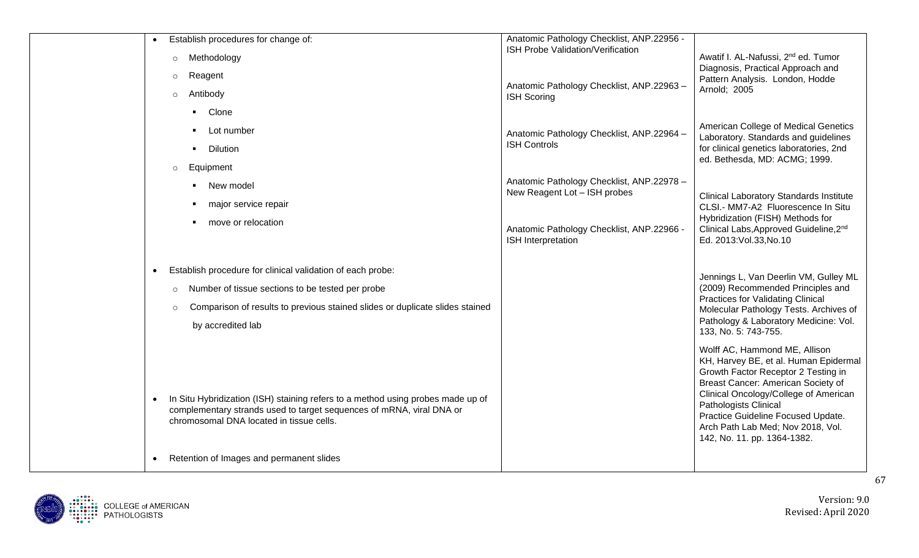| Establish procedures for change of:                                                                                                                                                                              | Anatomic Pathology Checklist, ANP.22956 -                                 |                                                                                                                                                                          |
|------------------------------------------------------------------------------------------------------------------------------------------------------------------------------------------------------------------|---------------------------------------------------------------------------|--------------------------------------------------------------------------------------------------------------------------------------------------------------------------|
| Methodology<br>$\circ$                                                                                                                                                                                           | ISH Probe Validation/Verification                                         | Awatif I. AL-Nafussi, 2 <sup>nd</sup> ed. Tumor<br>Diagnosis, Practical Approach and                                                                                     |
| Reagent<br>$\circ$                                                                                                                                                                                               |                                                                           | Pattern Analysis. London, Hodde                                                                                                                                          |
| Antibody<br>$\circ$                                                                                                                                                                                              | Anatomic Pathology Checklist, ANP.22963 -<br><b>ISH Scoring</b>           | Arnold; 2005                                                                                                                                                             |
| Clone                                                                                                                                                                                                            |                                                                           |                                                                                                                                                                          |
| Lot number                                                                                                                                                                                                       | Anatomic Pathology Checklist, ANP.22964 -                                 | American College of Medical Genetics<br>Laboratory. Standards and guidelines                                                                                             |
| <b>Dilution</b>                                                                                                                                                                                                  | <b>ISH Controls</b>                                                       | for clinical genetics laboratories, 2nd<br>ed. Bethesda, MD: ACMG; 1999.                                                                                                 |
| Equipment<br>$\circ$                                                                                                                                                                                             |                                                                           |                                                                                                                                                                          |
| New model                                                                                                                                                                                                        | Anatomic Pathology Checklist, ANP.22978 -<br>New Reagent Lot - ISH probes | <b>Clinical Laboratory Standards Institute</b>                                                                                                                           |
| major service repair                                                                                                                                                                                             |                                                                           | CLSI.- MM7-A2 Fluorescence In Situ                                                                                                                                       |
| move or relocation                                                                                                                                                                                               | Anatomic Pathology Checklist, ANP.22966 -<br>ISH Interpretation           | Hybridization (FISH) Methods for<br>Clinical Labs, Approved Guideline, 2nd<br>Ed. 2013: Vol.33, No.10                                                                    |
|                                                                                                                                                                                                                  |                                                                           |                                                                                                                                                                          |
| Establish procedure for clinical validation of each probe:<br>$\bullet$                                                                                                                                          |                                                                           | Jennings L, Van Deerlin VM, Gulley ML                                                                                                                                    |
| Number of tissue sections to be tested per probe<br>$\circ$                                                                                                                                                      |                                                                           | (2009) Recommended Principles and                                                                                                                                        |
| Comparison of results to previous stained slides or duplicate slides stained<br>$\Omega$                                                                                                                         |                                                                           | <b>Practices for Validating Clinical</b><br>Molecular Pathology Tests. Archives of                                                                                       |
| by accredited lab                                                                                                                                                                                                |                                                                           | Pathology & Laboratory Medicine: Vol.<br>133, No. 5: 743-755.                                                                                                            |
|                                                                                                                                                                                                                  |                                                                           | Wolff AC, Hammond ME, Allison<br>KH, Harvey BE, et al. Human Epidermal<br>Growth Factor Receptor 2 Testing in<br>Breast Cancer: American Society of                      |
| In Situ Hybridization (ISH) staining refers to a method using probes made up of<br>$\bullet$<br>complementary strands used to target sequences of mRNA, viral DNA or<br>chromosomal DNA located in tissue cells. |                                                                           | Clinical Oncology/College of American<br>Pathologists Clinical<br>Practice Guideline Focused Update.<br>Arch Path Lab Med; Nov 2018, Vol.<br>142, No. 11. pp. 1364-1382. |
| Retention of Images and permanent slides                                                                                                                                                                         |                                                                           |                                                                                                                                                                          |

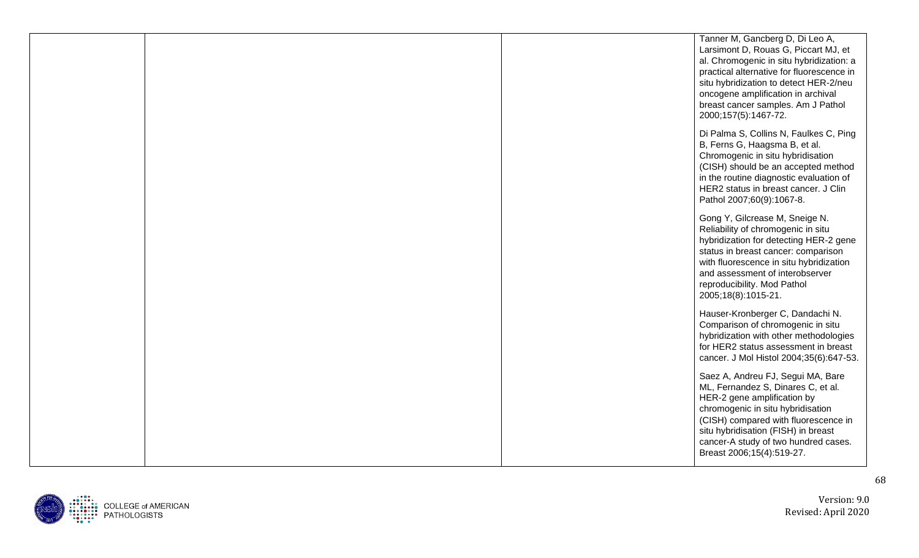|  | Tanner M, Gancberg D, Di Leo A,<br>Larsimont D, Rouas G, Piccart MJ, et<br>al. Chromogenic in situ hybridization: a<br>practical alternative for fluorescence in<br>situ hybridization to detect HER-2/neu<br>oncogene amplification in archival<br>breast cancer samples. Am J Pathol<br>2000;157(5):1467-72. |
|--|----------------------------------------------------------------------------------------------------------------------------------------------------------------------------------------------------------------------------------------------------------------------------------------------------------------|
|  | Di Palma S, Collins N, Faulkes C, Ping<br>B, Ferns G, Haagsma B, et al.<br>Chromogenic in situ hybridisation<br>(CISH) should be an accepted method<br>in the routine diagnostic evaluation of<br>HER2 status in breast cancer. J Clin<br>Pathol 2007;60(9):1067-8.                                            |
|  | Gong Y, Gilcrease M, Sneige N.<br>Reliability of chromogenic in situ<br>hybridization for detecting HER-2 gene<br>status in breast cancer: comparison<br>with fluorescence in situ hybridization<br>and assessment of interobserver<br>reproducibility. Mod Pathol<br>2005;18(8):1015-21.                      |
|  | Hauser-Kronberger C, Dandachi N.<br>Comparison of chromogenic in situ<br>hybridization with other methodologies<br>for HER2 status assessment in breast<br>cancer. J Mol Histol 2004;35(6):647-53.                                                                                                             |
|  | Saez A, Andreu FJ, Segui MA, Bare<br>ML, Fernandez S, Dinares C, et al.<br>HER-2 gene amplification by<br>chromogenic in situ hybridisation<br>(CISH) compared with fluorescence in<br>situ hybridisation (FISH) in breast<br>cancer-A study of two hundred cases.<br>Breast 2006;15(4):519-27.                |

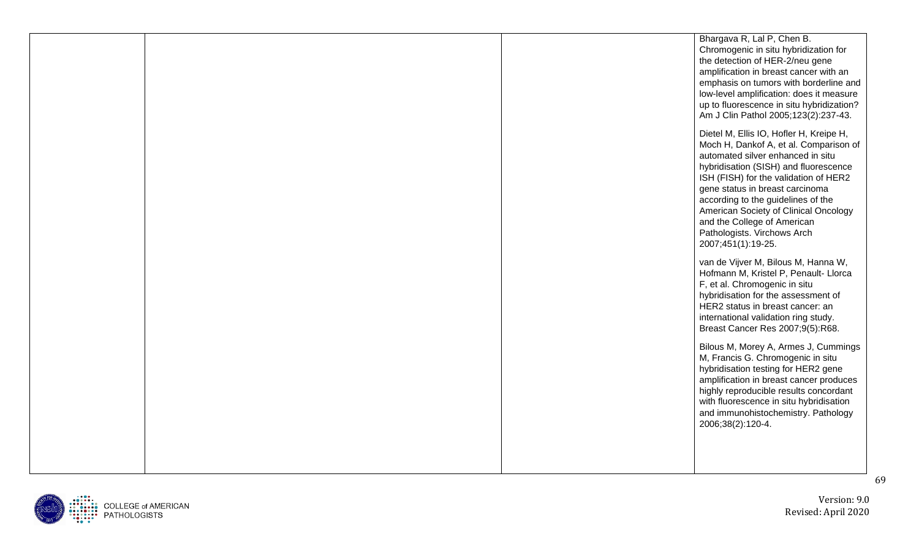|  | Bhargava R, Lal P, Chen B.<br>Chromogenic in situ hybridization for<br>the detection of HER-2/neu gene<br>amplification in breast cancer with an<br>emphasis on tumors with borderline and<br>low-level amplification: does it measure<br>up to fluorescence in situ hybridization?<br>Am J Clin Pathol 2005;123(2):237-43.                                                                                    |
|--|----------------------------------------------------------------------------------------------------------------------------------------------------------------------------------------------------------------------------------------------------------------------------------------------------------------------------------------------------------------------------------------------------------------|
|  | Dietel M, Ellis IO, Hofler H, Kreipe H,<br>Moch H, Dankof A, et al. Comparison of<br>automated silver enhanced in situ<br>hybridisation (SISH) and fluorescence<br>ISH (FISH) for the validation of HER2<br>gene status in breast carcinoma<br>according to the guidelines of the<br>American Society of Clinical Oncology<br>and the College of American<br>Pathologists. Virchows Arch<br>2007;451(1):19-25. |
|  | van de Vijver M, Bilous M, Hanna W,<br>Hofmann M, Kristel P, Penault- Llorca<br>F, et al. Chromogenic in situ<br>hybridisation for the assessment of<br>HER2 status in breast cancer: an<br>international validation ring study.<br>Breast Cancer Res 2007;9(5):R68.                                                                                                                                           |
|  | Bilous M, Morey A, Armes J, Cummings<br>M, Francis G. Chromogenic in situ<br>hybridisation testing for HER2 gene<br>amplification in breast cancer produces<br>highly reproducible results concordant<br>with fluorescence in situ hybridisation<br>and immunohistochemistry. Pathology<br>2006;38(2):120-4.                                                                                                   |
|  |                                                                                                                                                                                                                                                                                                                                                                                                                |

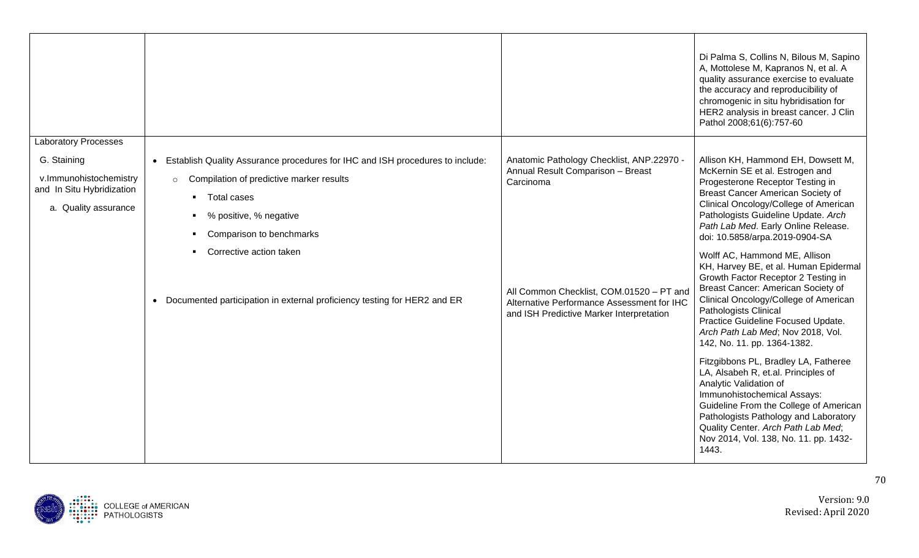| <b>Laboratory Processes</b>                                        |                                                                                                                                                                    |                                                                                                                                    | Di Palma S, Collins N, Bilous M, Sapino<br>A, Mottolese M, Kapranos N, et al. A<br>quality assurance exercise to evaluate<br>the accuracy and reproducibility of<br>chromogenic in situ hybridisation for<br>HER2 analysis in breast cancer. J Clin<br>Pathol 2008;61(6):757-60                                                 |
|--------------------------------------------------------------------|--------------------------------------------------------------------------------------------------------------------------------------------------------------------|------------------------------------------------------------------------------------------------------------------------------------|---------------------------------------------------------------------------------------------------------------------------------------------------------------------------------------------------------------------------------------------------------------------------------------------------------------------------------|
| G. Staining<br>v.Immunohistochemistry<br>and In Situ Hybridization | Establish Quality Assurance procedures for IHC and ISH procedures to include:<br>$\bullet$<br>Compilation of predictive marker results<br>$\circ$<br>• Total cases | Anatomic Pathology Checklist, ANP.22970 -<br>Annual Result Comparison - Breast<br>Carcinoma                                        | Allison KH, Hammond EH, Dowsett M,<br>McKernin SE et al. Estrogen and<br>Progesterone Receptor Testing in<br>Breast Cancer American Society of                                                                                                                                                                                  |
| a. Quality assurance                                               | • % positive, % negative<br>• Comparison to benchmarks                                                                                                             |                                                                                                                                    | Clinical Oncology/College of American<br>Pathologists Guideline Update. Arch<br>Path Lab Med. Early Online Release.<br>doi: 10.5858/arpa.2019-0904-SA                                                                                                                                                                           |
|                                                                    | • Corrective action taken<br>• Documented participation in external proficiency testing for HER2 and ER                                                            | All Common Checklist, COM.01520 - PT and<br>Alternative Performance Assessment for IHC<br>and ISH Predictive Marker Interpretation | Wolff AC, Hammond ME, Allison<br>KH, Harvey BE, et al. Human Epidermal<br>Growth Factor Receptor 2 Testing in<br>Breast Cancer: American Society of<br>Clinical Oncology/College of American<br>Pathologists Clinical<br>Practice Guideline Focused Update.<br>Arch Path Lab Med; Nov 2018, Vol.<br>142, No. 11. pp. 1364-1382. |
|                                                                    |                                                                                                                                                                    |                                                                                                                                    | Fitzgibbons PL, Bradley LA, Fatheree<br>LA, Alsabeh R, et.al. Principles of<br>Analytic Validation of<br>Immunohistochemical Assays:<br>Guideline From the College of American<br>Pathologists Pathology and Laboratory<br>Quality Center. Arch Path Lab Med;<br>Nov 2014, Vol. 138, No. 11. pp. 1432-<br>1443.                 |